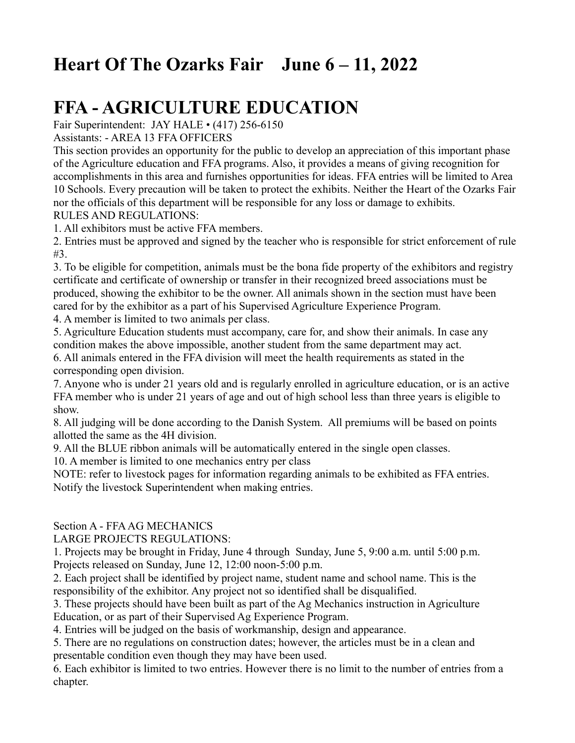# **Heart Of The Ozarks Fair June 6 – 11, 2022**

# **FFA - AGRICULTURE EDUCATION**

Fair Superintendent: JAY HALE • (417) 256-6150

Assistants: - AREA 13 FFA OFFICERS

This section provides an opportunity for the public to develop an appreciation of this important phase of the Agriculture education and FFA programs. Also, it provides a means of giving recognition for accomplishments in this area and furnishes opportunities for ideas. FFA entries will be limited to Area 10 Schools. Every precaution will be taken to protect the exhibits. Neither the Heart of the Ozarks Fair nor the officials of this department will be responsible for any loss or damage to exhibits. RULES AND REGULATIONS:

1. All exhibitors must be active FFA members.

2. Entries must be approved and signed by the teacher who is responsible for strict enforcement of rule #3.

3. To be eligible for competition, animals must be the bona fide property of the exhibitors and registry certificate and certificate of ownership or transfer in their recognized breed associations must be produced, showing the exhibitor to be the owner. All animals shown in the section must have been cared for by the exhibitor as a part of his Supervised Agriculture Experience Program.

4. A member is limited to two animals per class.

5. Agriculture Education students must accompany, care for, and show their animals. In case any condition makes the above impossible, another student from the same department may act.

6. All animals entered in the FFA division will meet the health requirements as stated in the corresponding open division.

7. Anyone who is under 21 years old and is regularly enrolled in agriculture education, or is an active FFA member who is under 21 years of age and out of high school less than three years is eligible to show.

8. All judging will be done according to the Danish System. All premiums will be based on points allotted the same as the 4H division.

9. All the BLUE ribbon animals will be automatically entered in the single open classes.

10. A member is limited to one mechanics entry per class

NOTE: refer to livestock pages for information regarding animals to be exhibited as FFA entries. Notify the livestock Superintendent when making entries.

### Section A - FFA AG MECHANICS

LARGE PROJECTS REGULATIONS:

1. Projects may be brought in Friday, June 4 through Sunday, June 5, 9:00 a.m. until 5:00 p.m. Projects released on Sunday, June 12, 12:00 noon-5:00 p.m.

2. Each project shall be identified by project name, student name and school name. This is the responsibility of the exhibitor. Any project not so identified shall be disqualified.

3. These projects should have been built as part of the Ag Mechanics instruction in Agriculture Education, or as part of their Supervised Ag Experience Program.

4. Entries will be judged on the basis of workmanship, design and appearance.

5. There are no regulations on construction dates; however, the articles must be in a clean and presentable condition even though they may have been used.

6. Each exhibitor is limited to two entries. However there is no limit to the number of entries from a chapter.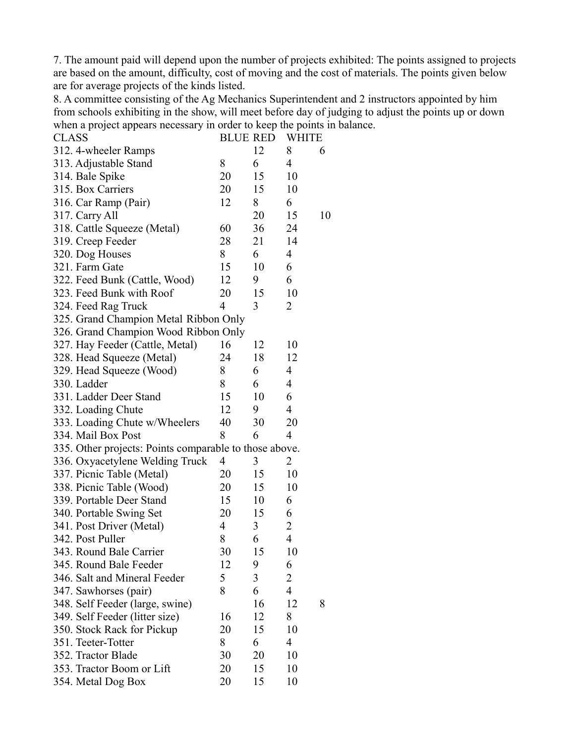7. The amount paid will depend upon the number of projects exhibited: The points assigned to projects are based on the amount, difficulty, cost of moving and the cost of materials. The points given below are for average projects of the kinds listed.

8. A committee consisting of the Ag Mechanics Superintendent and 2 instructors appointed by him from schools exhibiting in the show, will meet before day of judging to adjust the points up or down when a project appears necessary in order to keep the points in balance.

| <b>CLASS</b>                                           | <b>BLUE RED</b> |    | <b>WHITE</b>   |    |
|--------------------------------------------------------|-----------------|----|----------------|----|
| 312. 4-wheeler Ramps                                   |                 | 12 | 8              | 6  |
| 313. Adjustable Stand                                  | 8               | 6  | $\overline{4}$ |    |
| 314. Bale Spike                                        | 20              | 15 | 10             |    |
| 315. Box Carriers                                      | 20              | 15 | 10             |    |
| 316. Car Ramp (Pair)                                   | 12              | 8  | 6              |    |
| 317. Carry All                                         |                 | 20 | 15             | 10 |
| 318. Cattle Squeeze (Metal)                            | 60              | 36 | 24             |    |
| 319. Creep Feeder                                      | 28              | 21 | 14             |    |
| 320. Dog Houses                                        | 8               | 6  | $\overline{4}$ |    |
| 321. Farm Gate                                         | 15              | 10 | 6              |    |
| 322. Feed Bunk (Cattle, Wood)                          | 12              | 9  | 6              |    |
| 323. Feed Bunk with Roof                               | 20              | 15 | 10             |    |
| 324. Feed Rag Truck                                    | 4               | 3  | 2              |    |
| 325. Grand Champion Metal Ribbon Only                  |                 |    |                |    |
| 326. Grand Champion Wood Ribbon Only                   |                 |    |                |    |
| 327. Hay Feeder (Cattle, Metal)                        | 16              | 12 | 10             |    |
| 328. Head Squeeze (Metal)                              | 24              | 18 | 12             |    |
| 329. Head Squeeze (Wood)                               | 8               | 6  | 4              |    |
| 330. Ladder                                            | 8               | 6  | 4              |    |
| 331. Ladder Deer Stand                                 | 15              | 10 | 6              |    |
| 332. Loading Chute                                     | 12              | 9  | 4              |    |
| 333. Loading Chute w/Wheelers                          | 40              | 30 | 20             |    |
| 334. Mail Box Post                                     | 8               | 6  | 4              |    |
| 335. Other projects: Points comparable to those above. |                 |    |                |    |
| 336. Oxyacetylene Welding Truck                        | 4               | 3  | 2              |    |
| 337. Picnic Table (Metal)                              | 20              | 15 | 10             |    |
| 338. Picnic Table (Wood)                               | 20              | 15 | 10             |    |
| 339. Portable Deer Stand                               | 15              | 10 | 6              |    |
| 340. Portable Swing Set                                | 20              | 15 | 6              |    |
| 341. Post Driver (Metal)                               | 4               | 3  | 2              |    |
| 342. Post Puller                                       | 8               | 6  | $\overline{4}$ |    |
| 343. Round Bale Carrier                                | 30              | 15 | 10             |    |
| 345. Round Bale Feeder                                 | 12              | 9  | 6              |    |
| 346. Salt and Mineral Feeder                           | 5               | 3  | $\overline{c}$ |    |
| 347. Sawhorses (pair)                                  | 8               | 6  | $\overline{4}$ |    |
| 348. Self Feeder (large, swine)                        |                 | 16 | 12             | 8  |
| 349. Self Feeder (litter size)                         | 16              | 12 | 8              |    |
| 350. Stock Rack for Pickup                             | 20              | 15 | 10             |    |
| 351. Teeter-Totter                                     | 8               | 6  | $\overline{4}$ |    |
| 352. Tractor Blade                                     | 30              | 20 | 10             |    |
| 353. Tractor Boom or Lift                              | 20              | 15 | 10             |    |
| 354. Metal Dog Box                                     | 20              | 15 | 10             |    |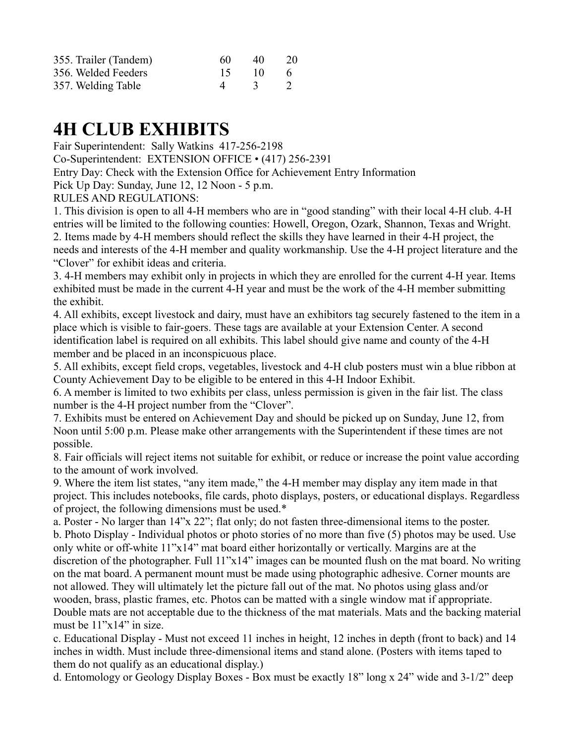| 355. Trailer (Tandem) | 60 | 40        | -20      |
|-----------------------|----|-----------|----------|
| 356. Welded Feeders   | 15 | $\Box$ 10 | $\sim$ 6 |
| 357. Welding Table    |    | 3 2       |          |

# **4H CLUB EXHIBITS**

Fair Superintendent: Sally Watkins 417-256-2198

Co-Superintendent: EXTENSION OFFICE • (417) 256-2391

Entry Day: Check with the Extension Office for Achievement Entry Information

Pick Up Day: Sunday, June 12, 12 Noon - 5 p.m.

RULES AND REGULATIONS:

1. This division is open to all 4-H members who are in "good standing" with their local 4-H club. 4-H entries will be limited to the following counties: Howell, Oregon, Ozark, Shannon, Texas and Wright. 2. Items made by 4-H members should reflect the skills they have learned in their 4-H project, the needs and interests of the 4-H member and quality workmanship. Use the 4-H project literature and the "Clover" for exhibit ideas and criteria.

3. 4-H members may exhibit only in projects in which they are enrolled for the current 4-H year. Items exhibited must be made in the current 4-H year and must be the work of the 4-H member submitting the exhibit.

4. All exhibits, except livestock and dairy, must have an exhibitors tag securely fastened to the item in a place which is visible to fair-goers. These tags are available at your Extension Center. A second identification label is required on all exhibits. This label should give name and county of the 4-H member and be placed in an inconspicuous place.

5. All exhibits, except field crops, vegetables, livestock and 4-H club posters must win a blue ribbon at County Achievement Day to be eligible to be entered in this 4-H Indoor Exhibit.

6. A member is limited to two exhibits per class, unless permission is given in the fair list. The class number is the 4-H project number from the "Clover".

7. Exhibits must be entered on Achievement Day and should be picked up on Sunday, June 12, from Noon until 5:00 p.m. Please make other arrangements with the Superintendent if these times are not possible.

8. Fair officials will reject items not suitable for exhibit, or reduce or increase the point value according to the amount of work involved.

9. Where the item list states, "any item made," the 4-H member may display any item made in that project. This includes notebooks, file cards, photo displays, posters, or educational displays. Regardless of project, the following dimensions must be used.\*

a. Poster - No larger than 14"x 22"; flat only; do not fasten three-dimensional items to the poster. b. Photo Display - Individual photos or photo stories of no more than five (5) photos may be used. Use only white or off-white 11"x14" mat board either horizontally or vertically. Margins are at the discretion of the photographer. Full 11"x14" images can be mounted flush on the mat board. No writing on the mat board. A permanent mount must be made using photographic adhesive. Corner mounts are not allowed. They will ultimately let the picture fall out of the mat. No photos using glass and/or wooden, brass, plastic frames, etc. Photos can be matted with a single window mat if appropriate. Double mats are not acceptable due to the thickness of the mat materials. Mats and the backing material must be 11"x14" in size.

c. Educational Display - Must not exceed 11 inches in height, 12 inches in depth (front to back) and 14 inches in width. Must include three-dimensional items and stand alone. (Posters with items taped to them do not qualify as an educational display.)

d. Entomology or Geology Display Boxes - Box must be exactly 18" long x 24" wide and 3-1/2" deep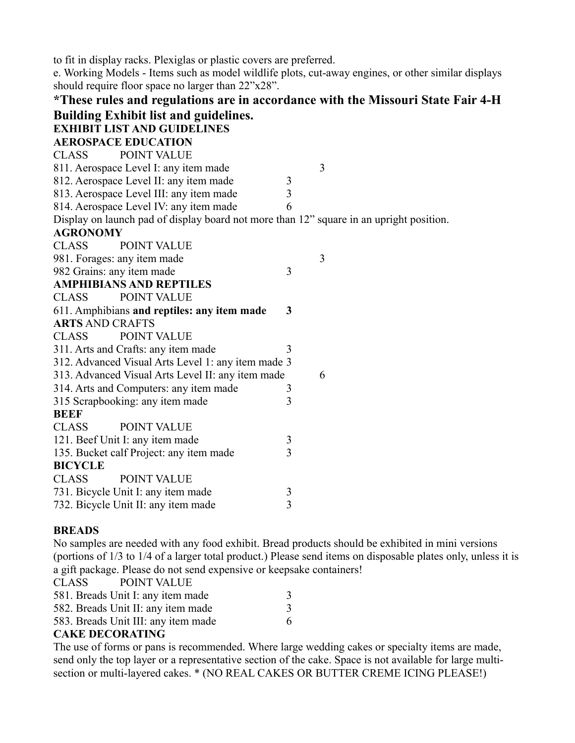to fit in display racks. Plexiglas or plastic covers are preferred.

e. Working Models - Items such as model wildlife plots, cut-away engines, or other similar displays should require floor space no larger than 22"x28".

| *These rules and regulations are in accordance with the Missouri State Fair 4-H         |                |   |
|-----------------------------------------------------------------------------------------|----------------|---|
| <b>Building Exhibit list and guidelines.</b>                                            |                |   |
| <b>EXHIBIT LIST AND GUIDELINES</b>                                                      |                |   |
| <b>AEROSPACE EDUCATION</b>                                                              |                |   |
| <b>POINT VALUE</b><br><b>CLASS</b>                                                      |                |   |
| 811. Aerospace Level I: any item made                                                   |                | 3 |
| 812. Aerospace Level II: any item made                                                  | 3              |   |
| 813. Aerospace Level III: any item made                                                 | $\overline{3}$ |   |
| 814. Aerospace Level IV: any item made                                                  | 6              |   |
| Display on launch pad of display board not more than 12" square in an upright position. |                |   |
| <b>AGRONOMY</b>                                                                         |                |   |
| <b>POINT VALUE</b><br><b>CLASS</b>                                                      |                |   |
| 981. Forages: any item made                                                             |                | 3 |
| 982 Grains: any item made                                                               | 3              |   |
| <b>AMPHIBIANS AND REPTILES</b>                                                          |                |   |
| POINT VALUE<br><b>CLASS</b>                                                             |                |   |
| 611. Amphibians and reptiles: any item made                                             | 3              |   |
| <b>ARTS AND CRAFTS</b>                                                                  |                |   |
| POINT VALUE<br><b>CLASS</b>                                                             |                |   |
| 311. Arts and Crafts: any item made                                                     | 3              |   |
| 312. Advanced Visual Arts Level 1: any item made 3                                      |                |   |
| 313. Advanced Visual Arts Level II: any item made                                       |                | 6 |
| 314. Arts and Computers: any item made                                                  | 3              |   |
| 315 Scrapbooking: any item made                                                         | 3              |   |
| <b>BEEF</b>                                                                             |                |   |
| <b>POINT VALUE</b><br><b>CLASS</b>                                                      |                |   |
| 121. Beef Unit I: any item made                                                         | $\mathfrak{Z}$ |   |
| 135. Bucket calf Project: any item made                                                 | $\overline{3}$ |   |
| <b>BICYCLE</b>                                                                          |                |   |
| <b>POINT VALUE</b><br><b>CLASS</b>                                                      |                |   |
| 731. Bicycle Unit I: any item made                                                      | 3              |   |
| 732. Bicycle Unit II: any item made                                                     | $\overline{3}$ |   |

### **BREADS**

No samples are needed with any food exhibit. Bread products should be exhibited in mini versions (portions of 1/3 to 1/4 of a larger total product.) Please send items on disposable plates only, unless it is a gift package. Please do not send expensive or keepsake containers!

| <b>CLASS</b> | <b>POINT VALUE</b>                  |   |
|--------------|-------------------------------------|---|
|              | 581. Breads Unit I: any item made   |   |
|              | 582. Breads Unit II: any item made  | 3 |
|              | 583. Breads Unit III: any item made | 6 |
|              |                                     |   |

### **CAKE DECORATING**

The use of forms or pans is recommended. Where large wedding cakes or specialty items are made, send only the top layer or a representative section of the cake. Space is not available for large multisection or multi-layered cakes. \* (NO REAL CAKES OR BUTTER CREME ICING PLEASE!)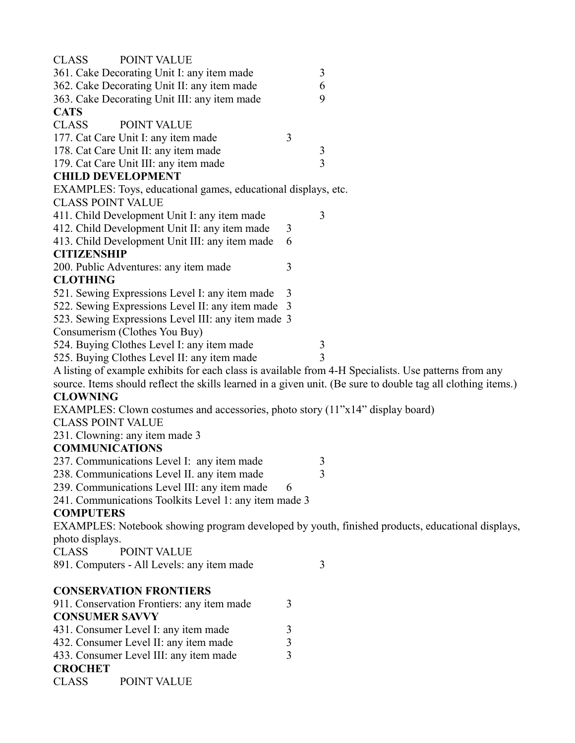| <b>POINT VALUE</b><br><b>CLASS</b>                                                                    |                                                                                                              |
|-------------------------------------------------------------------------------------------------------|--------------------------------------------------------------------------------------------------------------|
| 361. Cake Decorating Unit I: any item made                                                            | 3                                                                                                            |
| 362. Cake Decorating Unit II: any item made                                                           | 6                                                                                                            |
| 363. Cake Decorating Unit III: any item made                                                          | 9                                                                                                            |
| <b>CATS</b>                                                                                           |                                                                                                              |
| <b>CLASS</b><br>POINT VALUE                                                                           |                                                                                                              |
| 177. Cat Care Unit I: any item made                                                                   | 3                                                                                                            |
| 178. Cat Care Unit II: any item made                                                                  | $\mathfrak{Z}$                                                                                               |
| 179. Cat Care Unit III: any item made                                                                 | $\overline{3}$                                                                                               |
| <b>CHILD DEVELOPMENT</b>                                                                              |                                                                                                              |
| EXAMPLES: Toys, educational games, educational displays, etc.                                         |                                                                                                              |
| <b>CLASS POINT VALUE</b>                                                                              |                                                                                                              |
| 411. Child Development Unit I: any item made                                                          | 3                                                                                                            |
| 412. Child Development Unit II: any item made                                                         | 3                                                                                                            |
| 413. Child Development Unit III: any item made                                                        | 6                                                                                                            |
| <b>CITIZENSHIP</b>                                                                                    |                                                                                                              |
| 200. Public Adventures: any item made                                                                 | 3                                                                                                            |
| <b>CLOTHING</b>                                                                                       |                                                                                                              |
| 521. Sewing Expressions Level I: any item made                                                        | 3                                                                                                            |
| 522. Sewing Expressions Level II: any item made 3                                                     |                                                                                                              |
| 523. Sewing Expressions Level III: any item made 3                                                    |                                                                                                              |
| Consumerism (Clothes You Buy)                                                                         |                                                                                                              |
| 524. Buying Clothes Level I: any item made                                                            | 3                                                                                                            |
| 525. Buying Clothes Level II: any item made                                                           | 3                                                                                                            |
| A listing of example exhibits for each class is available from 4-H Specialists. Use patterns from any |                                                                                                              |
|                                                                                                       | source. Items should reflect the skills learned in a given unit. (Be sure to double tag all clothing items.) |
| <b>CLOWNING</b>                                                                                       |                                                                                                              |
| EXAMPLES: Clown costumes and accessories, photo story (11"x14" display board)                         |                                                                                                              |
| <b>CLASS POINT VALUE</b>                                                                              |                                                                                                              |
| 231. Clowning: any item made 3                                                                        |                                                                                                              |
| <b>COMMUNICATIONS</b>                                                                                 |                                                                                                              |
| 237. Communications Level I: any item made                                                            | 3                                                                                                            |
| 238. Communications Level II. any item made                                                           | 3                                                                                                            |
| 239. Communications Level III: any item made                                                          | 6                                                                                                            |
| 241. Communications Toolkits Level 1: any item made 3                                                 |                                                                                                              |
| <b>COMPUTERS</b>                                                                                      |                                                                                                              |
|                                                                                                       | EXAMPLES: Notebook showing program developed by youth, finished products, educational displays,              |
| photo displays.                                                                                       |                                                                                                              |
| <b>CLASS</b><br>POINT VALUE                                                                           |                                                                                                              |
| 891. Computers - All Levels: any item made                                                            | 3                                                                                                            |
| <b>CONSERVATION FRONTIERS</b>                                                                         |                                                                                                              |
| 911. Conservation Frontiers: any item made                                                            | 3                                                                                                            |
| <b>CONSUMER SAVVY</b>                                                                                 |                                                                                                              |
| 431. Consumer Level I: any item made                                                                  | 3                                                                                                            |
| 432. Consumer Level II: any item made                                                                 | 3                                                                                                            |
| 433. Consumer Level III: any item made                                                                | $\overline{3}$                                                                                               |
| <b>CROCHET</b>                                                                                        |                                                                                                              |
|                                                                                                       |                                                                                                              |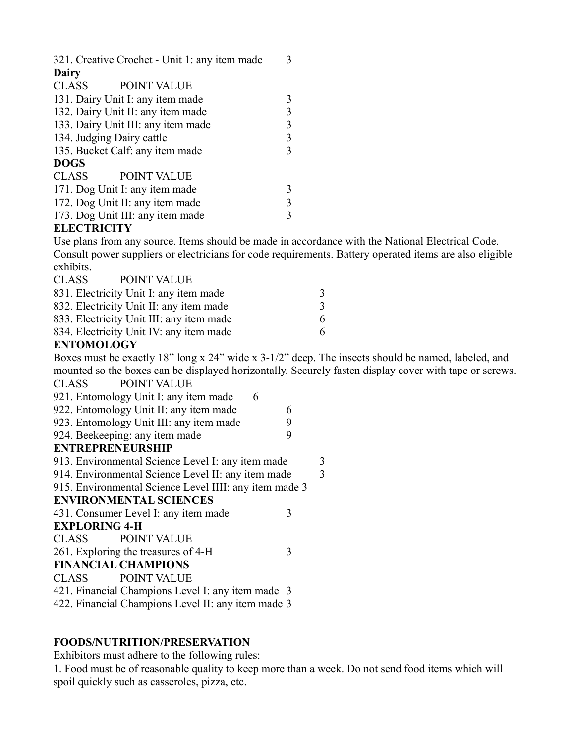| 321. Creative Crochet - Unit 1: any item made |   |
|-----------------------------------------------|---|
| Dairy                                         |   |
| CLASS<br><b>POINT VALUE</b>                   |   |
| 131. Dairy Unit I: any item made              | 3 |
| 132. Dairy Unit II: any item made             | 3 |
| 133. Dairy Unit III: any item made            | 3 |
| 134. Judging Dairy cattle                     | 3 |
| 135. Bucket Calf: any item made               | 3 |
| <b>DOGS</b>                                   |   |
| CLASS<br><b>POINT VALUE</b>                   |   |
| 171. Dog Unit I: any item made                | 3 |
| 172. Dog Unit II: any item made               | 3 |
| 173. Dog Unit III: any item made              |   |

### **ELECTRICITY**

Use plans from any source. Items should be made in accordance with the National Electrical Code. Consult power suppliers or electricians for code requirements. Battery operated items are also eligible exhibits.

| <b>CLASS</b>      | <b>POINT VALUE</b>                       |               |
|-------------------|------------------------------------------|---------------|
|                   | 831. Electricity Unit I: any item made   | 3             |
|                   | 832. Electricity Unit II: any item made  | $\mathcal{R}$ |
|                   | 833. Electricity Unit III: any item made | 6.            |
|                   | 834. Electricity Unit IV: any item made  | 6.            |
| <b>ENTOMOLOCY</b> |                                          |               |

### **ENTOMOLOGY**

Boxes must be exactly 18" long x 24" wide x 3-1/2" deep. The insects should be named, labeled, and mounted so the boxes can be displayed horizontally. Securely fasten display cover with tape or screws.<br>CLASS POINT VALUE POINT VALUE

| $1 \cup 1 \cup 1 \cup 1$                               |   |
|--------------------------------------------------------|---|
| 921. Entomology Unit I: any item made<br>6             |   |
| 922. Entomology Unit II: any item made                 | 6 |
| 923. Entomology Unit III: any item made                | 9 |
| 924. Beekeeping: any item made                         | 9 |
| <b>ENTREPRENEURSHIP</b>                                |   |
| 913. Environmental Science Level I: any item made      | 3 |
| 914. Environmental Science Level II: any item made     | 3 |
| 915. Environmental Science Level IIII: any item made 3 |   |
| <b>ENVIRONMENTAL SCIENCES</b>                          |   |
| 431. Consumer Level I: any item made                   | 3 |
| <b>EXPLORING 4-H</b>                                   |   |
| <b>CLASS POINT VALUE</b>                               |   |
| 261. Exploring the treasures of 4-H                    | 3 |
| <b>FINANCIAL CHAMPIONS</b>                             |   |
| CLASS POINT VALUE                                      |   |
| 421. Financial Champions Level I: any item made 3      |   |
| 422. Financial Champions Level II: any item made 3     |   |

### **FOODS/NUTRITION/PRESERVATION**

Exhibitors must adhere to the following rules:

1. Food must be of reasonable quality to keep more than a week. Do not send food items which will spoil quickly such as casseroles, pizza, etc.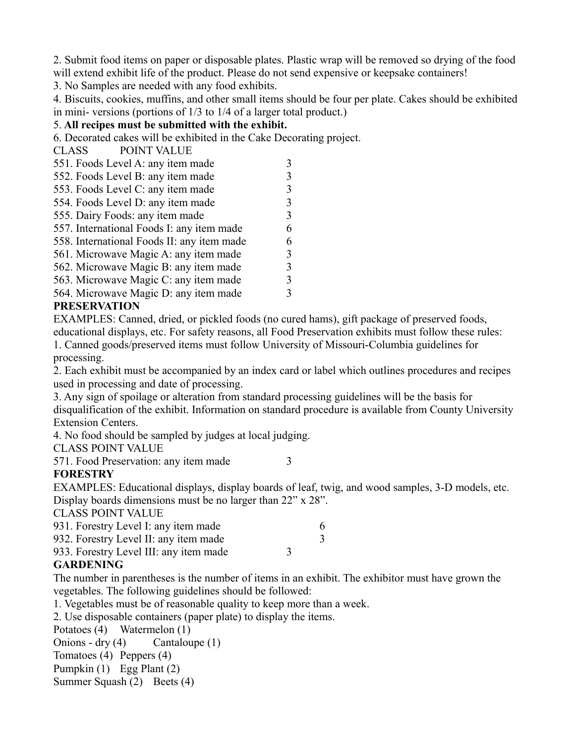2. Submit food items on paper or disposable plates. Plastic wrap will be removed so drying of the food will extend exhibit life of the product. Please do not send expensive or keepsake containers!

3. No Samples are needed with any food exhibits.

4. Biscuits, cookies, muffins, and other small items should be four per plate. Cakes should be exhibited in mini- versions (portions of 1/3 to 1/4 of a larger total product.)

### 5. **All recipes must be submitted with the exhibit.**

6. Decorated cakes will be exhibited in the Cake Decorating project.

CLASS POINT VALUE

| 551. Foods Level A: any item made          |   |
|--------------------------------------------|---|
| 552. Foods Level B: any item made          |   |
| 553. Foods Level C: any item made          |   |
| 554. Foods Level D: any item made          | 3 |
| 555. Dairy Foods: any item made            | 3 |
| 557. International Foods I: any item made  | 6 |
| 558. International Foods II: any item made | 6 |
| 561. Microwave Magic A: any item made      | 3 |
| 562. Microwave Magic B: any item made      | 3 |
| 563. Microwave Magic C: any item made      |   |
| 564. Microwave Magic D: any item made      |   |
|                                            |   |

### **PRESERVATION**

EXAMPLES: Canned, dried, or pickled foods (no cured hams), gift package of preserved foods, educational displays, etc. For safety reasons, all Food Preservation exhibits must follow these rules:

1. Canned goods/preserved items must follow University of Missouri-Columbia guidelines for processing.

2. Each exhibit must be accompanied by an index card or label which outlines procedures and recipes used in processing and date of processing.

3. Any sign of spoilage or alteration from standard processing guidelines will be the basis for disqualification of the exhibit. Information on standard procedure is available from County University Extension Centers.

4. No food should be sampled by judges at local judging.

CLASS POINT VALUE

571. Food Preservation: any item made 3

### **FORESTRY**

EXAMPLES: Educational displays, display boards of leaf, twig, and wood samples, 3-D models, etc. Display boards dimensions must be no larger than 22" x 28".

CLASS POINT VALUE

| 931. Forestry Level I: any item made   |  |
|----------------------------------------|--|
| 932. Forestry Level II: any item made  |  |
| 933. Forestry Level III: any item made |  |
| $C$ ADDENIN $C$                        |  |

### **GARDENING**

The number in parentheses is the number of items in an exhibit. The exhibitor must have grown the vegetables. The following guidelines should be followed:

1. Vegetables must be of reasonable quality to keep more than a week.

2. Use disposable containers (paper plate) to display the items.

Potatoes (4) Watermelon (1)

Onions - dry (4) Cantaloupe (1) Tomatoes (4) Peppers (4) Pumpkin (1) Egg Plant (2)

Summer Squash (2) Beets (4)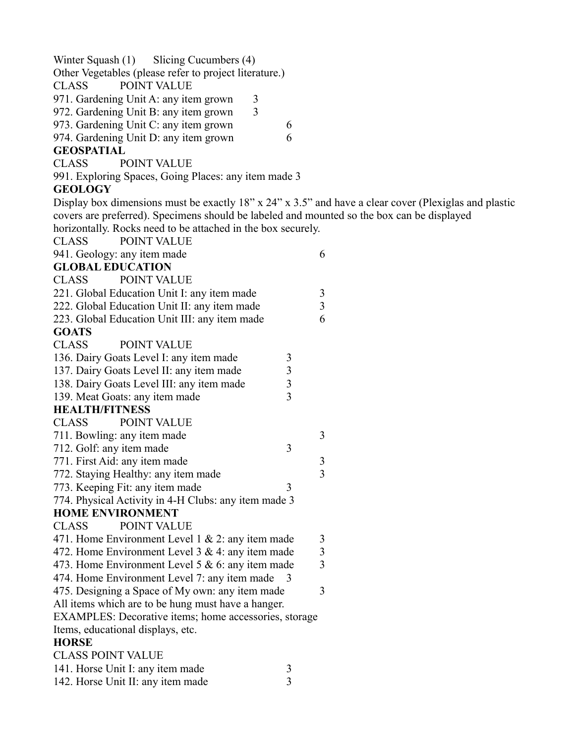Winter Squash (1) Slicing Cucumbers (4)

Other Vegetables (please refer to project literature.)

CLASS POINT VALUE

971. Gardening Unit A: any item grown 3

972. Gardening Unit B: any item grown 3

973. Gardening Unit C: any item grown 6

974. Gardening Unit D: any item grown 6

### **GEOSPATIAL**

CLASS POINT VALUE

991. Exploring Spaces, Going Places: any item made 3

### **GEOLOGY**

Display box dimensions must be exactly 18" x 24" x 3.5" and have a clear cover (Plexiglas and plastic covers are preferred). Specimens should be labeled and mounted so the box can be displayed horizontally. Rocks need to be attached in the box securely.

| <b>CLASS</b>          | POINT VALUE                                           |                                            |                         |
|-----------------------|-------------------------------------------------------|--------------------------------------------|-------------------------|
|                       | 941. Geology: any item made                           |                                            | 6                       |
|                       | <b>GLOBAL EDUCATION</b>                               |                                            |                         |
| <b>CLASS</b>          | <b>POINT VALUE</b>                                    |                                            |                         |
|                       | 221. Global Education Unit I: any item made           |                                            | 3                       |
|                       | 222. Global Education Unit II: any item made          |                                            | $\overline{3}$          |
|                       | 223. Global Education Unit III: any item made         |                                            | 6                       |
| <b>GOATS</b>          |                                                       |                                            |                         |
| <b>CLASS</b>          | POINT VALUE                                           |                                            |                         |
|                       | 136. Dairy Goats Level I: any item made               | 3                                          |                         |
|                       | 137. Dairy Goats Level II: any item made              |                                            |                         |
|                       | 138. Dairy Goats Level III: any item made             | $\begin{array}{c} 3 \\ 3 \\ 3 \end{array}$ |                         |
|                       | 139. Meat Goats: any item made                        |                                            |                         |
| <b>HEALTH/FITNESS</b> |                                                       |                                            |                         |
| <b>CLASS</b>          | <b>POINT VALUE</b>                                    |                                            |                         |
|                       | 711. Bowling: any item made                           |                                            | 3                       |
|                       | 712. Golf: any item made                              | 3                                          |                         |
|                       | 771. First Aid: any item made                         |                                            | 3                       |
|                       | 772. Staying Healthy: any item made                   |                                            | $\overline{3}$          |
|                       | 773. Keeping Fit: any item made                       | 3                                          |                         |
|                       | 774. Physical Activity in 4-H Clubs: any item made 3  |                                            |                         |
|                       | <b>HOME ENVIRONMENT</b>                               |                                            |                         |
| <b>CLASS</b>          | POINT VALUE                                           |                                            |                         |
|                       | 471. Home Environment Level 1 & 2: any item made      |                                            | 3                       |
|                       | 472. Home Environment Level 3 & 4: any item made      |                                            | $\overline{\mathbf{3}}$ |
|                       | 473. Home Environment Level 5 $& 6$ : any item made   |                                            | $\overline{3}$          |
|                       | 474. Home Environment Level 7: any item made          | 3                                          |                         |
|                       | 475. Designing a Space of My own: any item made       |                                            | 3                       |
|                       | All items which are to be hung must have a hanger.    |                                            |                         |
|                       | EXAMPLES: Decorative items; home accessories, storage |                                            |                         |
|                       | Items, educational displays, etc.                     |                                            |                         |
| <b>HORSE</b>          |                                                       |                                            |                         |
|                       | <b>CLASS POINT VALUE</b>                              |                                            |                         |
|                       | 141. Horse Unit I: any item made                      | $\mathfrak{Z}$                             |                         |
|                       | 142. Horse Unit II: any item made                     | $\overline{3}$                             |                         |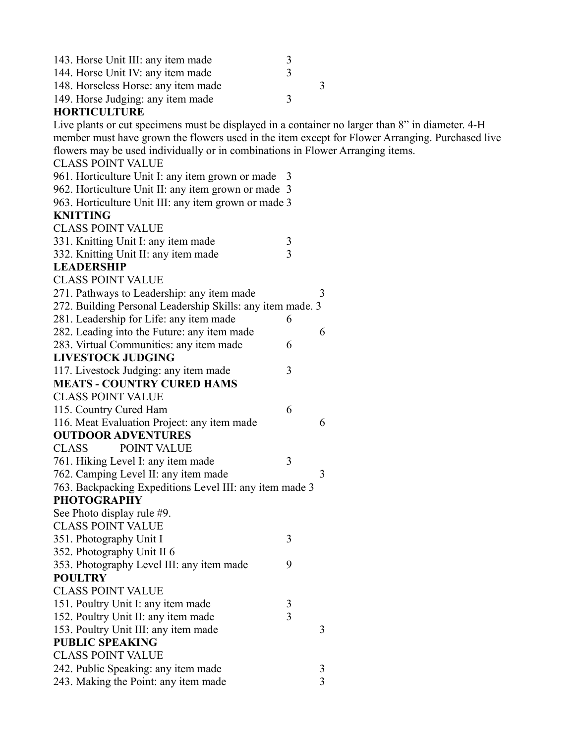| 143. Horse Unit III: any item made                                                               | 3              |                |
|--------------------------------------------------------------------------------------------------|----------------|----------------|
| 144. Horse Unit IV: any item made                                                                | 3              |                |
| 148. Horseless Horse: any item made                                                              |                | 3              |
| 149. Horse Judging: any item made                                                                | 3              |                |
| <b>HORTICULTURE</b>                                                                              |                |                |
| Live plants or cut specimens must be displayed in a container no larger than 8" in diameter. 4-H |                |                |
| member must have grown the flowers used in the item except for Flower Arranging. Purchased live  |                |                |
| flowers may be used individually or in combinations in Flower Arranging items.                   |                |                |
| <b>CLASS POINT VALUE</b>                                                                         |                |                |
| 961. Horticulture Unit I: any item grown or made 3                                               |                |                |
| 962. Horticulture Unit II: any item grown or made 3                                              |                |                |
| 963. Horticulture Unit III: any item grown or made 3                                             |                |                |
| <b>KNITTING</b>                                                                                  |                |                |
| <b>CLASS POINT VALUE</b>                                                                         |                |                |
| 331. Knitting Unit I: any item made                                                              | 3              |                |
| 332. Knitting Unit II: any item made                                                             | $\overline{3}$ |                |
| <b>LEADERSHIP</b>                                                                                |                |                |
| <b>CLASS POINT VALUE</b>                                                                         |                |                |
| 271. Pathways to Leadership: any item made                                                       |                | 3              |
| 272. Building Personal Leadership Skills: any item made. 3                                       |                |                |
| 281. Leadership for Life: any item made                                                          | 6              |                |
| 282. Leading into the Future: any item made                                                      |                | 6              |
| 283. Virtual Communities: any item made                                                          | 6              |                |
| <b>LIVESTOCK JUDGING</b>                                                                         |                |                |
| 117. Livestock Judging: any item made                                                            | 3              |                |
| <b>MEATS - COUNTRY CURED HAMS</b>                                                                |                |                |
| <b>CLASS POINT VALUE</b>                                                                         |                |                |
| 115. Country Cured Ham                                                                           | 6              |                |
| 116. Meat Evaluation Project: any item made                                                      |                | 6              |
| <b>OUTDOOR ADVENTURES</b>                                                                        |                |                |
| <b>CLASS</b><br><b>POINT VALUE</b>                                                               |                |                |
| 761. Hiking Level I: any item made                                                               | 3              |                |
| 762. Camping Level II: any item made                                                             |                | 3              |
| 763. Backpacking Expeditions Level III: any item made 3                                          |                |                |
| <b>PHOTOGRAPHY</b>                                                                               |                |                |
| See Photo display rule #9.<br><b>CLASS POINT VALUE</b>                                           |                |                |
|                                                                                                  | 3              |                |
| 351. Photography Unit I<br>352. Photography Unit II 6                                            |                |                |
| 353. Photography Level III: any item made                                                        | 9              |                |
| <b>POULTRY</b>                                                                                   |                |                |
| <b>CLASS POINT VALUE</b>                                                                         |                |                |
| 151. Poultry Unit I: any item made                                                               |                |                |
| 152. Poultry Unit II: any item made                                                              | 3<br>3         |                |
| 153. Poultry Unit III: any item made                                                             |                | 3              |
| <b>PUBLIC SPEAKING</b>                                                                           |                |                |
| <b>CLASS POINT VALUE</b>                                                                         |                |                |
| 242. Public Speaking: any item made                                                              |                | 3              |
| 243. Making the Point: any item made                                                             |                | $\overline{3}$ |
|                                                                                                  |                |                |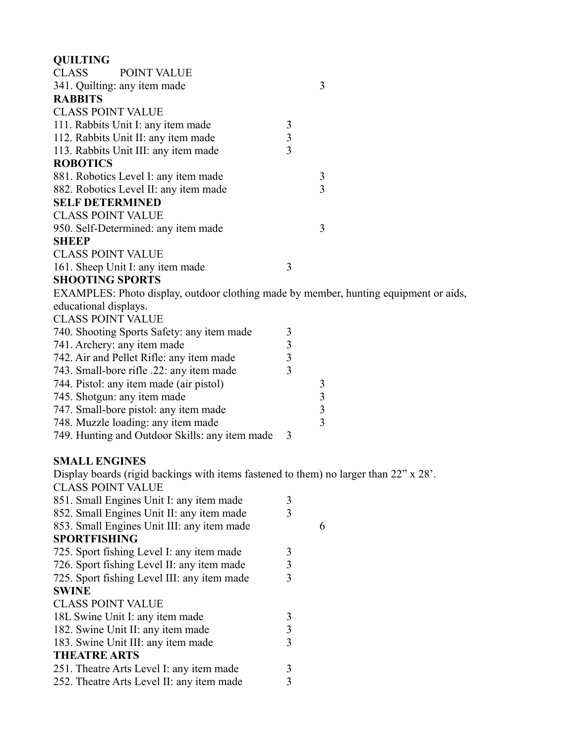| <b>QUILTING</b>                                                                       |                |                         |
|---------------------------------------------------------------------------------------|----------------|-------------------------|
| <b>CLASS</b><br><b>POINT VALUE</b>                                                    |                |                         |
| 341. Quilting: any item made                                                          |                | 3                       |
| <b>RABBITS</b>                                                                        |                |                         |
| <b>CLASS POINT VALUE</b>                                                              |                |                         |
| 111. Rabbits Unit I: any item made                                                    | 3              |                         |
| 112. Rabbits Unit II: any item made                                                   | $\mathfrak{Z}$ |                         |
| 113. Rabbits Unit III: any item made                                                  | 3              |                         |
| <b>ROBOTICS</b>                                                                       |                |                         |
| 881. Robotics Level I: any item made                                                  |                | 3                       |
| 882. Robotics Level II: any item made                                                 |                | 3                       |
| <b>SELF DETERMINED</b>                                                                |                |                         |
| <b>CLASS POINT VALUE</b>                                                              |                |                         |
| 950. Self-Determined: any item made                                                   |                | 3                       |
| <b>SHEEP</b>                                                                          |                |                         |
| <b>CLASS POINT VALUE</b>                                                              |                |                         |
| 161. Sheep Unit I: any item made                                                      | 3              |                         |
| <b>SHOOTING SPORTS</b>                                                                |                |                         |
| EXAMPLES: Photo display, outdoor clothing made by member, hunting equipment or aids,  |                |                         |
| educational displays.                                                                 |                |                         |
| <b>CLASS POINT VALUE</b>                                                              |                |                         |
| 740. Shooting Sports Safety: any item made                                            | 3              |                         |
| 741. Archery: any item made                                                           | $\overline{3}$ |                         |
| 742. Air and Pellet Rifle: any item made                                              | 3              |                         |
| 743. Small-bore rifle .22: any item made                                              | 3              |                         |
| 744. Pistol: any item made (air pistol)                                               |                | 3                       |
| 745. Shotgun: any item made                                                           |                | $\overline{\mathbf{3}}$ |
| 747. Small-bore pistol: any item made                                                 |                | 3                       |
| 748. Muzzle loading: any item made                                                    |                | $\overline{3}$          |
| 749. Hunting and Outdoor Skills: any item made                                        | 3              |                         |
|                                                                                       |                |                         |
| <b>SMALL ENGINES</b>                                                                  |                |                         |
| Display boards (rigid backings with items fastened to them) no larger than 22" x 28'. |                |                         |
| <b>CLASS POINT VALUE</b>                                                              |                |                         |
| 851. Small Engines Unit I: any item made                                              | 3              |                         |
| 852. Small Engines Unit II: any item made                                             | 3              |                         |
| 853. Small Engines Unit III: any item made                                            |                | 6                       |
| <b>SPORTFISHING</b>                                                                   |                |                         |
| 725. Sport fishing Level I: any item made                                             | 3              |                         |
| 726. Sport fishing Level II: any item made                                            | 3              |                         |
| 725. Sport fishing Level III: any item made                                           | 3              |                         |
| <b>SWINE</b>                                                                          |                |                         |

| OWLINE                                    |               |
|-------------------------------------------|---------------|
| <b>CLASS POINT VALUE</b>                  |               |
| 18L Swine Unit I: any item made           |               |
| 182. Swine Unit II: any item made         | 3             |
| 183. Swine Unit III: any item made        | $\mathcal{L}$ |
| <b>THEATRE ARTS</b>                       |               |
| 251. Theatre Arts Level I: any item made  | 3             |
| 252. Theatre Arts Level II: any item made |               |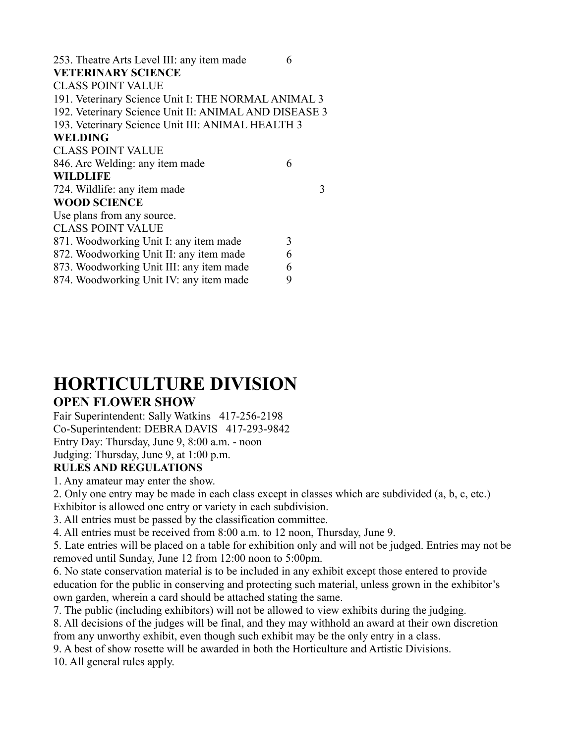| 253. Theatre Arts Level III: any item made            | 6 |   |
|-------------------------------------------------------|---|---|
| <b>VETERINARY SCIENCE</b>                             |   |   |
| <b>CLASS POINT VALUE</b>                              |   |   |
| 191. Veterinary Science Unit I: THE NORMAL ANIMAL 3   |   |   |
| 192. Veterinary Science Unit II: ANIMAL AND DISEASE 3 |   |   |
| 193. Veterinary Science Unit III: ANIMAL HEALTH 3     |   |   |
| <b>WELDING</b>                                        |   |   |
| <b>CLASS POINT VALUE</b>                              |   |   |
| 846. Arc Welding: any item made                       | 6 |   |
| <b>WILDLIFE</b>                                       |   |   |
| 724. Wildlife: any item made                          |   | 3 |
| <b>WOOD SCIENCE</b>                                   |   |   |
| Use plans from any source.                            |   |   |
| <b>CLASS POINT VALUE</b>                              |   |   |
| 871. Woodworking Unit I: any item made                | 3 |   |
| 872. Woodworking Unit II: any item made               | 6 |   |
| 873. Woodworking Unit III: any item made              | 6 |   |
| 874. Woodworking Unit IV: any item made               | 9 |   |
|                                                       |   |   |

# **HORTICULTURE DIVISION**

### **OPEN FLOWER SHOW**

Fair Superintendent: Sally Watkins 417-256-2198 Co-Superintendent: DEBRA DAVIS 417-293-9842 Entry Day: Thursday, June 9, 8:00 a.m. - noon Judging: Thursday, June 9, at 1:00 p.m.

### **RULES AND REGULATIONS**

1. Any amateur may enter the show.

2. Only one entry may be made in each class except in classes which are subdivided (a, b, c, etc.) Exhibitor is allowed one entry or variety in each subdivision.

3. All entries must be passed by the classification committee.

4. All entries must be received from 8:00 a.m. to 12 noon, Thursday, June 9.

5. Late entries will be placed on a table for exhibition only and will not be judged. Entries may not be removed until Sunday, June 12 from 12:00 noon to 5:00pm.

6. No state conservation material is to be included in any exhibit except those entered to provide education for the public in conserving and protecting such material, unless grown in the exhibitor's own garden, wherein a card should be attached stating the same.

7. The public (including exhibitors) will not be allowed to view exhibits during the judging.

8. All decisions of the judges will be final, and they may withhold an award at their own discretion from any unworthy exhibit, even though such exhibit may be the only entry in a class.

9. A best of show rosette will be awarded in both the Horticulture and Artistic Divisions.

10. All general rules apply.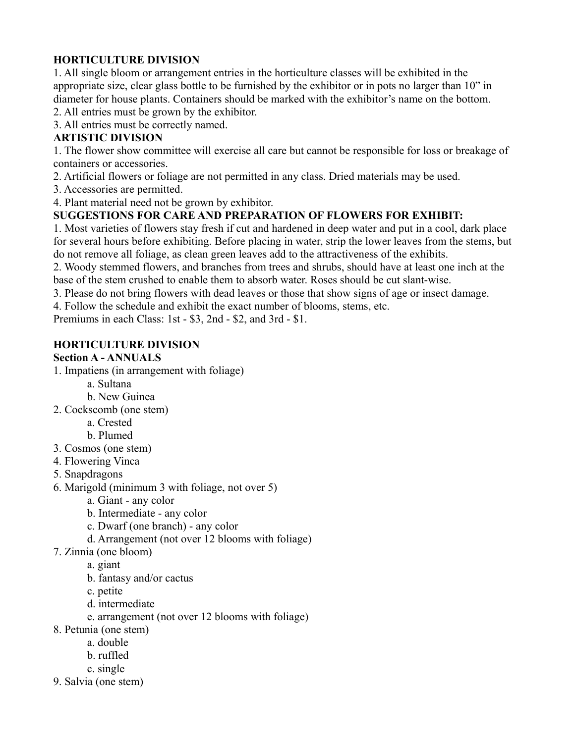### **HORTICULTURE DIVISION**

1. All single bloom or arrangement entries in the horticulture classes will be exhibited in the appropriate size, clear glass bottle to be furnished by the exhibitor or in pots no larger than 10" in diameter for house plants. Containers should be marked with the exhibitor's name on the bottom.

2. All entries must be grown by the exhibitor.

3. All entries must be correctly named.

### **ARTISTIC DIVISION**

1. The flower show committee will exercise all care but cannot be responsible for loss or breakage of containers or accessories.

2. Artificial flowers or foliage are not permitted in any class. Dried materials may be used.

3. Accessories are permitted.

4. Plant material need not be grown by exhibitor.

### **SUGGESTIONS FOR CARE AND PREPARATION OF FLOWERS FOR EXHIBIT:**

1. Most varieties of flowers stay fresh if cut and hardened in deep water and put in a cool, dark place for several hours before exhibiting. Before placing in water, strip the lower leaves from the stems, but do not remove all foliage, as clean green leaves add to the attractiveness of the exhibits.

2. Woody stemmed flowers, and branches from trees and shrubs, should have at least one inch at the base of the stem crushed to enable them to absorb water. Roses should be cut slant-wise.

3. Please do not bring flowers with dead leaves or those that show signs of age or insect damage.

4. Follow the schedule and exhibit the exact number of blooms, stems, etc.

Premiums in each Class: 1st - \$3, 2nd - \$2, and 3rd - \$1.

### **HORTICULTURE DIVISION**

### **Section A - ANNUALS**

1. Impatiens (in arrangement with foliage)

- a. Sultana
- b. New Guinea
- 2. Cockscomb (one stem)
	- a. Crested

b. Plumed

- 3. Cosmos (one stem)
- 4. Flowering Vinca
- 5. Snapdragons
- 6. Marigold (minimum 3 with foliage, not over 5)
	- a. Giant any color
	- b. Intermediate any color
	- c. Dwarf (one branch) any color
	- d. Arrangement (not over 12 blooms with foliage)
- 7. Zinnia (one bloom)
	- a. giant
	- b. fantasy and/or cactus
	- c. petite
	- d. intermediate
	- e. arrangement (not over 12 blooms with foliage)
- 8. Petunia (one stem)
	- a. double
		- b. ruffled
		- c. single
- 9. Salvia (one stem)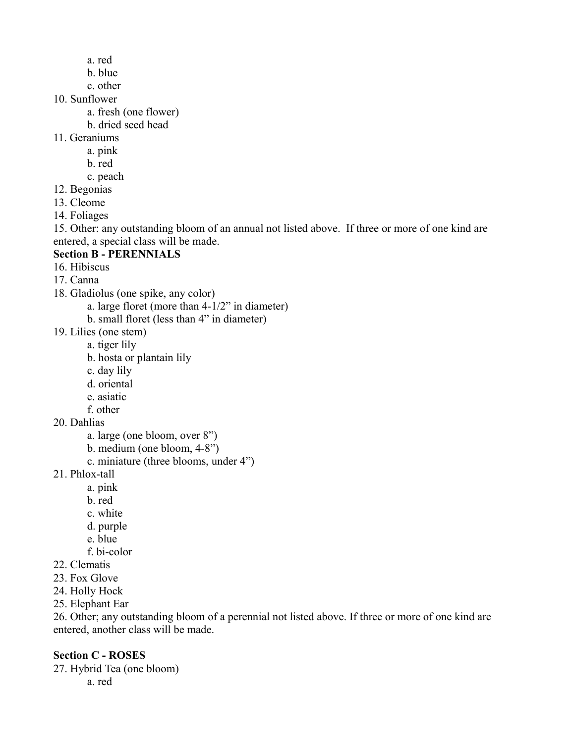- a. red
- b. blue
- c. other
- 10. Sunflower
	- a. fresh (one flower)
	- b. dried seed head
- 11. Geraniums
	- a. pink
	- b. red
	- c. peach
- 12. Begonias
- 13. Cleome
- 14. Foliages

15. Other: any outstanding bloom of an annual not listed above. If three or more of one kind are entered, a special class will be made.

### **Section B - PERENNIALS**

- 16. Hibiscus
- 17. Canna
- 18. Gladiolus (one spike, any color)
	- a. large floret (more than 4-1/2" in diameter)
	- b. small floret (less than 4" in diameter)
- 19. Lilies (one stem)
	- a. tiger lily
	- b. hosta or plantain lily
	- c. day lily
	- d. oriental
	- e. asiatic
	- f. other
- 20. Dahlias
	- a. large (one bloom, over 8")
	- b. medium (one bloom, 4-8")
	- c. miniature (three blooms, under 4")
- 21. Phlox-tall
	- a. pink
	- b. red
	- c. white
	- d. purple
	- e. blue
	- f. bi-color
- 22. Clematis
- 23. Fox Glove
- 24. Holly Hock
- 25. Elephant Ear

26. Other; any outstanding bloom of a perennial not listed above. If three or more of one kind are entered, another class will be made.

### **Section C - ROSES**

27. Hybrid Tea (one bloom) a. red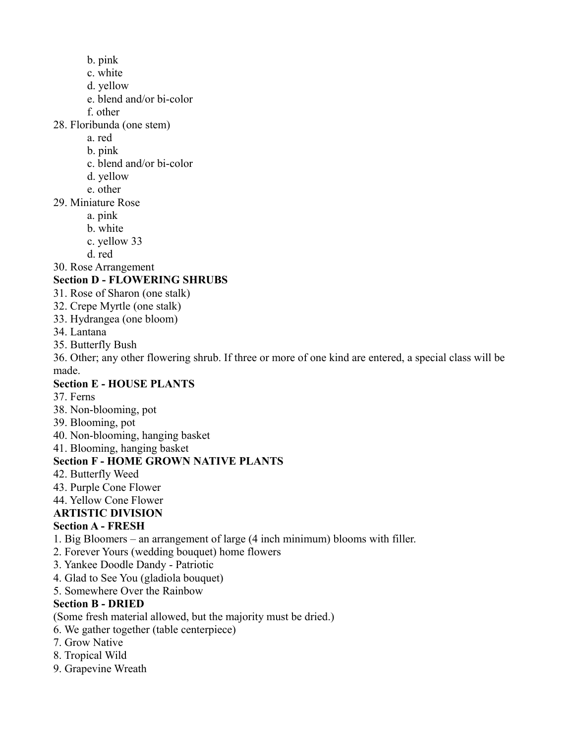- b. pink
- c. white
- d. yellow
- e. blend and/or bi-color
- f. other

28. Floribunda (one stem)

- a. red
- b. pink
- c. blend and/or bi-color
- d. yellow
- e. other
- 29. Miniature Rose
	- a. pink
	- b. white
	- c. yellow 33
	- d. red

30. Rose Arrangement

### **Section D - FLOWERING SHRUBS**

- 31. Rose of Sharon (one stalk)
- 32. Crepe Myrtle (one stalk)
- 33. Hydrangea (one bloom)
- 34. Lantana
- 35. Butterfly Bush

36. Other; any other flowering shrub. If three or more of one kind are entered, a special class will be made.

### **Section E - HOUSE PLANTS**

- 37. Ferns
- 38. Non-blooming, pot
- 39. Blooming, pot
- 40. Non-blooming, hanging basket
- 41. Blooming, hanging basket

### **Section F - HOME GROWN NATIVE PLANTS**

- 42. Butterfly Weed
- 43. Purple Cone Flower
- 44. Yellow Cone Flower

### **ARTISTIC DIVISION**

### **Section A - FRESH**

- 1. Big Bloomers an arrangement of large (4 inch minimum) blooms with filler.
- 2. Forever Yours (wedding bouquet) home flowers
- 3. Yankee Doodle Dandy Patriotic
- 4. Glad to See You (gladiola bouquet)
- 5. Somewhere Over the Rainbow

### **Section B - DRIED**

- (Some fresh material allowed, but the majority must be dried.)
- 6. We gather together (table centerpiece)
- 7. Grow Native
- 8. Tropical Wild
- 9. Grapevine Wreath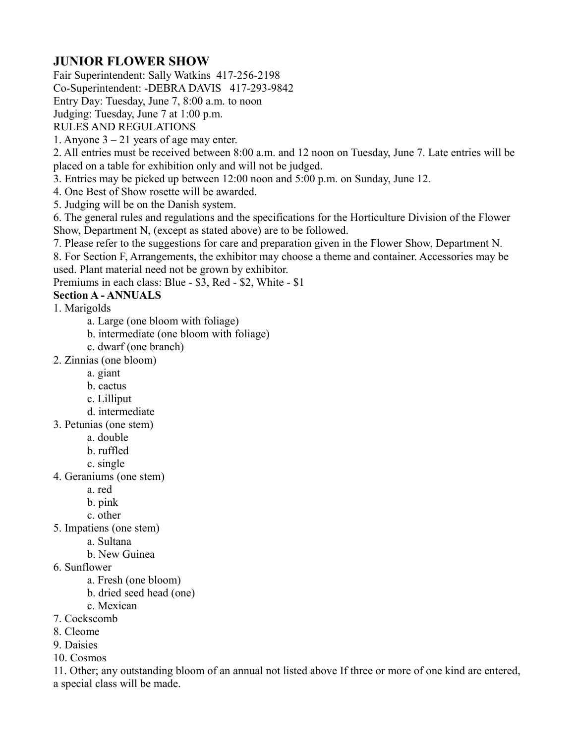### **JUNIOR FLOWER SHOW**

Fair Superintendent: Sally Watkins 417-256-2198

Co-Superintendent: -DEBRA DAVIS 417-293-9842

Entry Day: Tuesday, June 7, 8:00 a.m. to noon

Judging: Tuesday, June 7 at 1:00 p.m.

RULES AND REGULATIONS

1. Anyone  $3 - 21$  years of age may enter.

2. All entries must be received between 8:00 a.m. and 12 noon on Tuesday, June 7. Late entries will be placed on a table for exhibition only and will not be judged.

3. Entries may be picked up between 12:00 noon and 5:00 p.m. on Sunday, June 12.

4. One Best of Show rosette will be awarded.

5. Judging will be on the Danish system.

6. The general rules and regulations and the specifications for the Horticulture Division of the Flower Show, Department N, (except as stated above) are to be followed.

7. Please refer to the suggestions for care and preparation given in the Flower Show, Department N.

8. For Section F, Arrangements, the exhibitor may choose a theme and container. Accessories may be used. Plant material need not be grown by exhibitor.

Premiums in each class: Blue - \$3, Red - \$2, White - \$1

### **Section A - ANNUALS**

1. Marigolds

a. Large (one bloom with foliage)

- b. intermediate (one bloom with foliage)
- c. dwarf (one branch)
- 2. Zinnias (one bloom)
	- a. giant
	- b. cactus
	- c. Lilliput
	- d. intermediate
- 3. Petunias (one stem)
	- a. double
	- b. ruffled
	- c. single
- 4. Geraniums (one stem)
	- a. red
	- b. pink
	- c. other
- 5. Impatiens (one stem)
	- a. Sultana
	- b. New Guinea
- 6. Sunflower
	- a. Fresh (one bloom)
	- b. dried seed head (one)
	- c. Mexican
- 7. Cockscomb
- 8. Cleome
- 9. Daisies
- 10. Cosmos

11. Other; any outstanding bloom of an annual not listed above If three or more of one kind are entered, a special class will be made.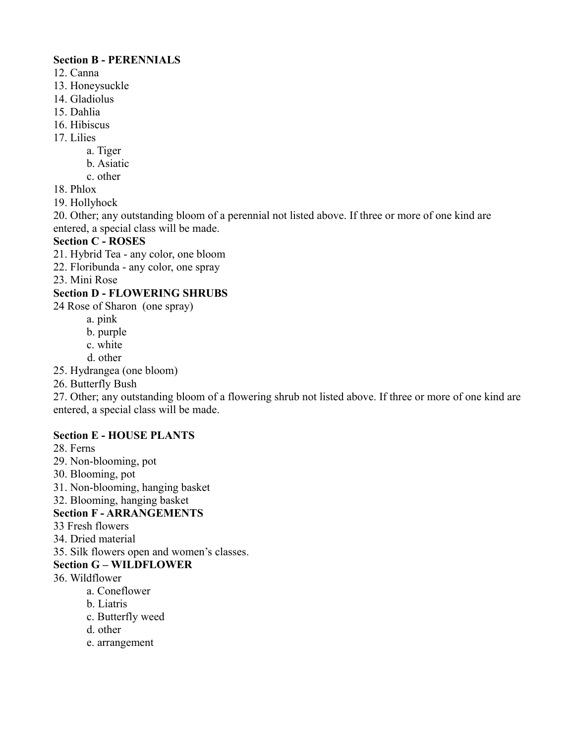### **Section B - PERENNIALS**

- 12. Canna
- 13. Honeysuckle
- 14. Gladiolus
- 15. Dahlia
- 16. Hibiscus
- 17. Lilies

a. Tiger

- b. Asiatic
- c. other
- 18. Phlox
- 19. Hollyhock

20. Other; any outstanding bloom of a perennial not listed above. If three or more of one kind are entered, a special class will be made.

### **Section C - ROSES**

- 21. Hybrid Tea any color, one bloom
- 22. Floribunda any color, one spray

23. Mini Rose

### **Section D - FLOWERING SHRUBS**

- 24 Rose of Sharon (one spray)
	- a. pink
	- b. purple
	- c. white
	- d. other
- 25. Hydrangea (one bloom)
- 26. Butterfly Bush

27. Other; any outstanding bloom of a flowering shrub not listed above. If three or more of one kind are entered, a special class will be made.

### **Section E - HOUSE PLANTS**

- 28. Ferns
- 29. Non-blooming, pot
- 30. Blooming, pot
- 31. Non-blooming, hanging basket
- 32. Blooming, hanging basket

### **Section F - ARRANGEMENTS**

- 33 Fresh flowers
- 34. Dried material
- 35. Silk flowers open and women's classes.

### **Section G – WILDFLOWER**

- 36. Wildflower
	- a. Coneflower
	- b. Liatris
	- c. Butterfly weed
	- d. other
	- e. arrangement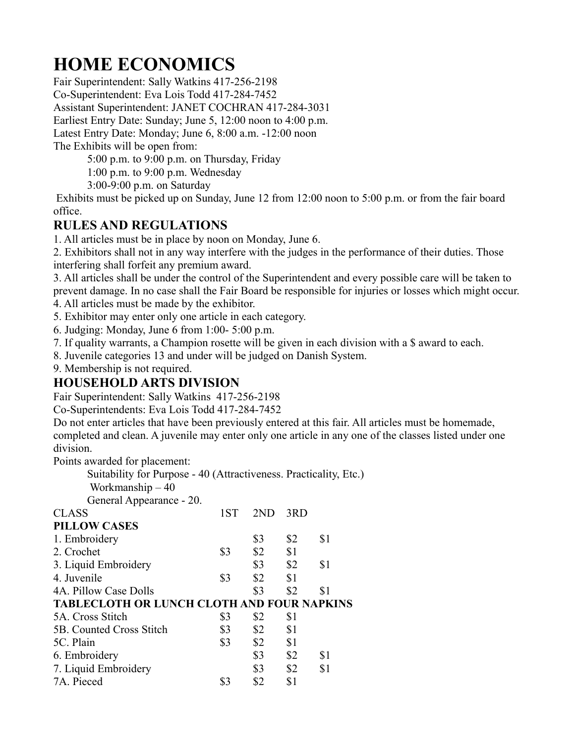# **HOME ECONOMICS**

Fair Superintendent: Sally Watkins 417-256-2198 Co-Superintendent: Eva Lois Todd 417-284-7452 Assistant Superintendent: JANET COCHRAN 417-284-3031 Earliest Entry Date: Sunday; June 5, 12:00 noon to 4:00 p.m. Latest Entry Date: Monday; June 6, 8:00 a.m. -12:00 noon The Exhibits will be open from:

5:00 p.m. to 9:00 p.m. on Thursday, Friday

1:00 p.m. to 9:00 p.m. Wednesday

3:00-9:00 p.m. on Saturday

 Exhibits must be picked up on Sunday, June 12 from 12:00 noon to 5:00 p.m. or from the fair board office.

### **RULES AND REGULATIONS**

1. All articles must be in place by noon on Monday, June 6.

2. Exhibitors shall not in any way interfere with the judges in the performance of their duties. Those interfering shall forfeit any premium award.

3. All articles shall be under the control of the Superintendent and every possible care will be taken to prevent damage. In no case shall the Fair Board be responsible for injuries or losses which might occur.

4. All articles must be made by the exhibitor.

5. Exhibitor may enter only one article in each category.

6. Judging: Monday, June 6 from 1:00- 5:00 p.m.

7. If quality warrants, a Champion rosette will be given in each division with a \$ award to each.

8. Juvenile categories 13 and under will be judged on Danish System.

9. Membership is not required.

### **HOUSEHOLD ARTS DIVISION**

Fair Superintendent: Sally Watkins 417-256-2198

Co-Superintendents: Eva Lois Todd 417-284-7452

Do not enter articles that have been previously entered at this fair. All articles must be homemade, completed and clean. A juvenile may enter only one article in any one of the classes listed under one division.

Points awarded for placement:

Suitability for Purpose - 40 (Attractiveness. Practicality, Etc.)

Workmanship – 40

General Appearance - 20.

| <b>CLASS</b>                                      | 1ST | 2ND | 3RD |     |
|---------------------------------------------------|-----|-----|-----|-----|
| <b>PILLOW CASES</b>                               |     |     |     |     |
| 1. Embroidery                                     |     | \$3 | \$2 | \$1 |
| 2. Crochet                                        | \$3 | \$2 | \$1 |     |
| 3. Liquid Embroidery                              |     | \$3 | \$2 | \$1 |
| 4. Juvenile                                       | \$3 | \$2 | \$1 |     |
| 4A. Pillow Case Dolls                             |     | \$3 | \$2 | \$1 |
|                                                   |     |     |     |     |
| <b>TABLECLOTH OR LUNCH CLOTH AND FOUR NAPKINS</b> |     |     |     |     |
| 5A. Cross Stitch                                  | \$3 | \$2 | \$1 |     |
| 5B. Counted Cross Stitch                          | \$3 | \$2 | \$1 |     |
| 5C. Plain                                         | \$3 | \$2 | \$1 |     |
| 6. Embroidery                                     |     | \$3 | \$2 | \$1 |
| 7. Liquid Embroidery                              |     | \$3 | \$2 | \$1 |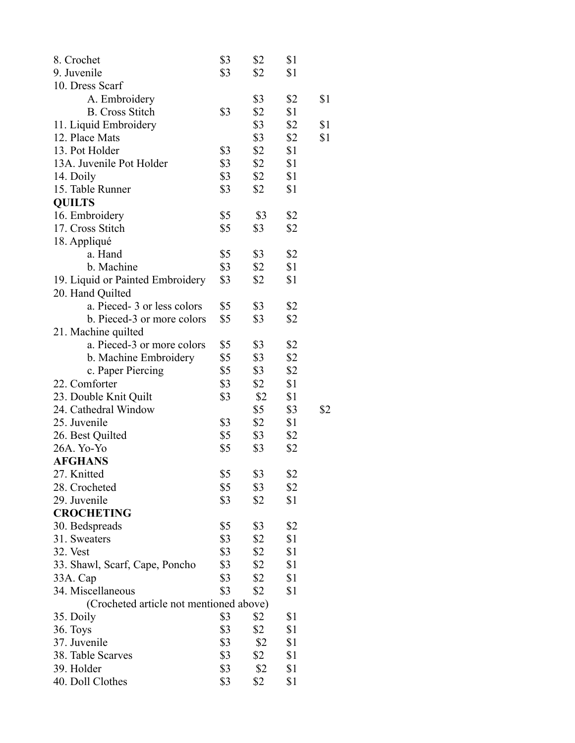| 8. Crochet                              | \$3 | \$2 | \$1 |     |
|-----------------------------------------|-----|-----|-----|-----|
| 9. Juvenile                             | \$3 | \$2 | \$1 |     |
| 10. Dress Scarf                         |     |     |     |     |
| A. Embroidery                           |     | \$3 | \$2 | \$1 |
| <b>B.</b> Cross Stitch                  | \$3 | \$2 | \$1 |     |
| 11. Liquid Embroidery                   |     | \$3 | \$2 | \$1 |
| 12. Place Mats                          |     | \$3 | \$2 | \$1 |
| 13. Pot Holder                          | \$3 | \$2 | \$1 |     |
| 13A. Juvenile Pot Holder                | \$3 | \$2 | \$1 |     |
| 14. Doily                               | \$3 | \$2 | \$1 |     |
| 15. Table Runner                        | \$3 | \$2 | \$1 |     |
| <b>QUILTS</b>                           |     |     |     |     |
| 16. Embroidery                          | \$5 | \$3 | \$2 |     |
| 17. Cross Stitch                        | \$5 | \$3 | \$2 |     |
| 18. Appliqué                            |     |     |     |     |
| a. Hand                                 | \$5 | \$3 | \$2 |     |
| b. Machine                              | \$3 | \$2 | \$1 |     |
| 19. Liquid or Painted Embroidery        | \$3 | \$2 | \$1 |     |
| 20. Hand Quilted                        |     |     |     |     |
| a. Pieced-3 or less colors              | \$5 | \$3 | \$2 |     |
| b. Pieced-3 or more colors              | \$5 | \$3 | \$2 |     |
| 21. Machine quilted                     |     |     |     |     |
| a. Pieced-3 or more colors              | \$5 | \$3 | \$2 |     |
| b. Machine Embroidery                   | \$5 | \$3 | \$2 |     |
| c. Paper Piercing                       | \$5 | \$3 | \$2 |     |
| 22. Comforter                           | \$3 | \$2 | \$1 |     |
| 23. Double Knit Quilt                   | \$3 | \$2 | \$1 |     |
| 24. Cathedral Window                    |     | \$5 | \$3 | \$2 |
| 25. Juvenile                            | \$3 | \$2 | \$1 |     |
|                                         | \$5 | \$3 | \$2 |     |
| 26. Best Quilted<br>26A. Yo-Yo          | \$5 | \$3 | \$2 |     |
| <b>AFGHANS</b>                          |     |     |     |     |
|                                         | \$5 |     |     |     |
| 27. Knitted<br>28. Crocheted            |     | \$3 | \$2 |     |
| 29. Juvenile                            | \$5 | \$3 | \$2 |     |
|                                         | \$3 | \$2 | \$1 |     |
| <b>CROCHETING</b>                       | \$5 |     |     |     |
| 30. Bedspreads                          |     | \$3 | \$2 |     |
| 31. Sweaters                            | \$3 | \$2 | \$1 |     |
| <b>32. Vest</b>                         | \$3 | \$2 | \$1 |     |
| 33. Shawl, Scarf, Cape, Poncho          | \$3 | \$2 | \$1 |     |
| 33A. Cap                                | \$3 | \$2 | \$1 |     |
| 34. Miscellaneous                       | \$3 | \$2 | \$1 |     |
| (Crocheted article not mentioned above) |     |     |     |     |
| 35. Doily                               | \$3 | \$2 | \$1 |     |
| 36. Toys                                | \$3 | \$2 | \$1 |     |
| 37. Juvenile                            | \$3 | \$2 | \$1 |     |
| 38. Table Scarves                       | \$3 | \$2 | \$1 |     |
| 39. Holder                              | \$3 | \$2 | \$1 |     |
| 40. Doll Clothes                        | \$3 | \$2 | \$1 |     |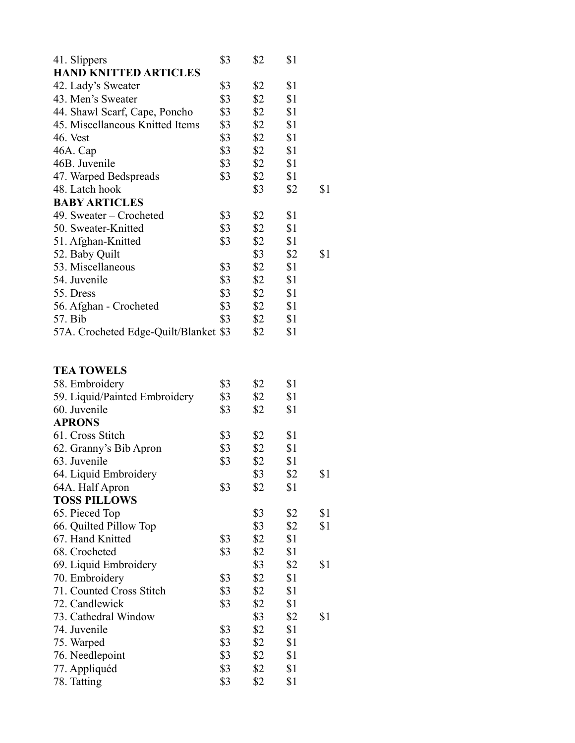| 41. Slippers                          | \$3 | \$2 | \$1 |     |
|---------------------------------------|-----|-----|-----|-----|
| <b>HAND KNITTED ARTICLES</b>          |     |     |     |     |
| 42. Lady's Sweater                    | \$3 | \$2 | \$1 |     |
| 43. Men's Sweater                     | \$3 | \$2 | \$1 |     |
| 44. Shawl Scarf, Cape, Poncho         | \$3 | \$2 | \$1 |     |
| 45. Miscellaneous Knitted Items       | \$3 | \$2 | \$1 |     |
| 46. Vest                              | \$3 | \$2 | \$1 |     |
| 46A. Cap                              | \$3 | \$2 | \$1 |     |
| 46B. Juvenile                         | \$3 | \$2 | \$1 |     |
| 47. Warped Bedspreads                 | \$3 | \$2 | \$1 |     |
| 48. Latch hook                        |     | \$3 | \$2 | \$1 |
| <b>BABY ARTICLES</b>                  |     |     |     |     |
| 49. Sweater – Crocheted               | \$3 | \$2 | \$1 |     |
| 50. Sweater-Knitted                   | \$3 | \$2 | \$1 |     |
| 51. Afghan-Knitted                    | \$3 | \$2 | \$1 |     |
| 52. Baby Quilt                        |     | \$3 | \$2 | \$1 |
| 53. Miscellaneous                     | \$3 | \$2 | \$1 |     |
| 54. Juvenile                          | \$3 | \$2 | \$1 |     |
| 55. Dress                             | \$3 | \$2 | \$1 |     |
| 56. Afghan - Crocheted                | \$3 | \$2 | \$1 |     |
| 57. Bib                               | \$3 | \$2 | \$1 |     |
|                                       |     | \$2 | \$1 |     |
| 57A. Crocheted Edge-Quilt/Blanket \$3 |     |     |     |     |
|                                       |     |     |     |     |
| <b>TEA TOWELS</b>                     |     |     |     |     |
| 58. Embroidery                        | \$3 | \$2 | \$1 |     |
| 59. Liquid/Painted Embroidery         | \$3 | \$2 | \$1 |     |
| 60. Juvenile                          | \$3 | \$2 | \$1 |     |
| <b>APRONS</b>                         |     |     |     |     |
| 61. Cross Stitch                      | \$3 | \$2 | \$1 |     |
| 62. Granny's Bib Apron                | \$3 | \$2 | \$1 |     |
| 63. Juvenile                          | \$3 | \$2 | \$1 |     |
| 64. Liquid Embroidery                 |     | \$3 | \$2 | \$1 |
| 64A. Half Apron                       | \$3 | \$2 | \$1 |     |
| <b>TOSS PILLOWS</b>                   |     |     |     |     |
| 65. Pieced Top                        |     | \$3 | \$2 | \$1 |
| 66. Quilted Pillow Top                |     | \$3 | \$2 | \$1 |
| 67. Hand Knitted                      | \$3 | \$2 | \$1 |     |
| 68. Crocheted                         | \$3 | \$2 | \$1 |     |
| 69. Liquid Embroidery                 |     | \$3 | \$2 | \$1 |
| 70. Embroidery                        | \$3 | \$2 | \$1 |     |
| 71. Counted Cross Stitch              | \$3 | \$2 | \$1 |     |
| 72. Candlewick                        | \$3 | \$2 | \$1 |     |
| 73. Cathedral Window                  |     | \$3 | \$2 | \$1 |
| 74. Juvenile                          |     | \$2 |     |     |
|                                       | \$3 |     | \$1 |     |
| 75. Warped                            | \$3 | \$2 | \$1 |     |
| 76. Needlepoint                       | \$3 | \$2 | \$1 |     |
| 77. Appliquéd                         | \$3 | \$2 | \$1 |     |
| 78. Tatting                           | \$3 | \$2 | \$1 |     |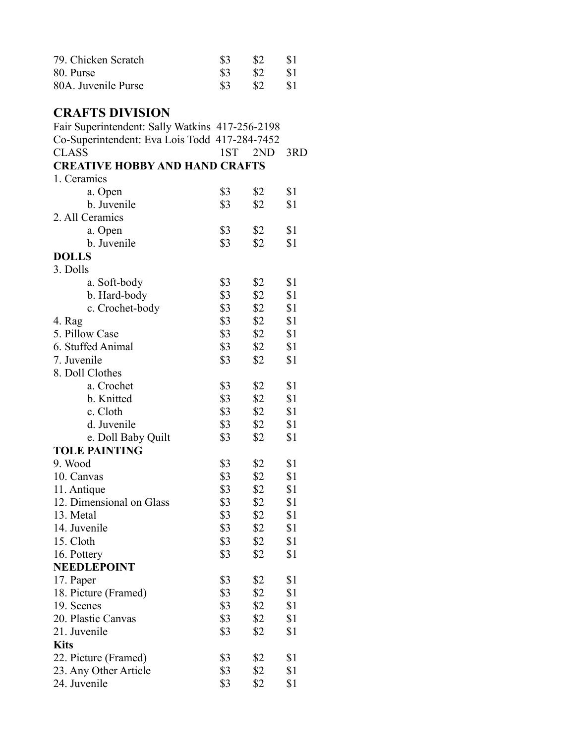| 79. Chicken Scratch                             | \$3        | \$2        | \$1 |
|-------------------------------------------------|------------|------------|-----|
| 80. Purse                                       | \$3        | \$2        | \$1 |
| 80A. Juvenile Purse                             | \$3        | \$2        | \$1 |
|                                                 |            |            |     |
| <b>CRAFTS DIVISION</b>                          |            |            |     |
| Fair Superintendent: Sally Watkins 417-256-2198 |            |            |     |
| Co-Superintendent: Eva Lois Todd 417-284-7452   |            |            |     |
| <b>CLASS</b>                                    | 1ST        | 2ND        | 3RD |
| <b>CREATIVE HOBBY AND HAND CRAFTS</b>           |            |            |     |
| 1. Ceramics                                     |            |            |     |
| a. Open                                         | \$3        | \$2        | \$1 |
| b. Juvenile                                     | \$3        | \$2        | \$1 |
| 2. All Ceramics                                 |            |            |     |
| a. Open                                         | \$3        | \$2        | \$1 |
| b. Juvenile                                     | \$3        | \$2        | \$1 |
| <b>DOLLS</b>                                    |            |            |     |
| 3. Dolls                                        |            |            |     |
| a. Soft-body                                    | \$3        | \$2        | \$1 |
| b. Hard-body                                    | \$3        | \$2        | \$1 |
| c. Crochet-body                                 | \$3        | \$2        | \$1 |
| 4. Rag                                          | \$3        | \$2        | \$1 |
| 5. Pillow Case                                  | \$3        | \$2        | \$1 |
| 6. Stuffed Animal                               | \$3        | \$2        | \$1 |
| 7. Juvenile                                     | \$3        | \$2        | \$1 |
| 8. Doll Clothes                                 |            |            |     |
| a. Crochet                                      | \$3        | \$2        | \$1 |
| b. Knitted                                      | \$3        | \$2        | \$1 |
| c. Cloth                                        | \$3        | \$2        | \$1 |
| d. Juvenile                                     | \$3        | \$2        | \$1 |
| e. Doll Baby Quilt                              | \$3        | \$2        | \$1 |
| <b>TOLE PAINTING</b>                            |            |            |     |
| 9. Wood                                         | \$3        | \$2        | \$1 |
| 10. Canvas                                      | \$3        | \$2        | \$1 |
| 11. Antique                                     | \$3        | \$2        | \$1 |
| 12. Dimensional on Glass                        | \$3        | \$2        | \$1 |
| 13. Metal                                       | \$3        | \$2        | \$1 |
| 14. Juvenile                                    | \$3        | \$2        | \$1 |
| 15. Cloth                                       | \$3        | \$2        | \$1 |
| 16. Pottery                                     | \$3        | \$2        | \$1 |
| <b>NEEDLEPOINT</b>                              |            |            |     |
|                                                 | \$3        | \$2        | \$1 |
| 17. Paper                                       | \$3        | \$2        | \$1 |
| 18. Picture (Framed)<br>19. Scenes              | \$3        | \$2        | \$1 |
| 20. Plastic Canvas                              |            |            |     |
| 21. Juvenile                                    | \$3<br>\$3 | \$2<br>\$2 | \$1 |
|                                                 |            |            | \$1 |
| <b>Kits</b>                                     |            |            |     |
| 22. Picture (Framed)                            | \$3        | \$2        | \$1 |
| 23. Any Other Article                           | \$3        | \$2        | \$1 |
| 24. Juvenile                                    | \$3        | \$2        | \$1 |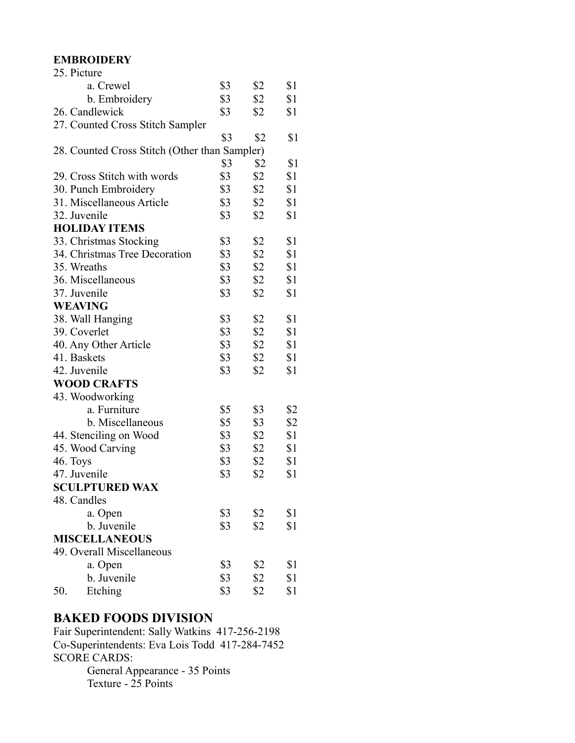### **EMBROIDERY**

| 25. Picture                                   |     |               |     |
|-----------------------------------------------|-----|---------------|-----|
| a. Crewel                                     | \$3 | \$2           | \$1 |
| b. Embroidery                                 | \$3 | \$2           | \$1 |
| 26. Candlewick                                | \$3 | \$2           | \$1 |
| 27. Counted Cross Stitch Sampler              |     |               |     |
|                                               | \$3 | \$2           | \$1 |
| 28. Counted Cross Stitch (Other than Sampler) |     |               |     |
|                                               | \$3 | \$2           | \$1 |
| 29. Cross Stitch with words                   | \$3 | \$2           | \$1 |
| 30. Punch Embroidery                          | \$3 | \$2           | \$1 |
| 31. Miscellaneous Article                     | \$3 | \$2           | \$1 |
| 32. Juvenile                                  | \$3 | \$2           | \$1 |
| <b>HOLIDAY ITEMS</b>                          |     |               |     |
| 33. Christmas Stocking                        | \$3 | \$2           | \$1 |
| 34. Christmas Tree Decoration                 | \$3 | \$2           | \$1 |
| 35. Wreaths                                   | \$3 | \$2           | \$1 |
| 36. Miscellaneous                             | \$3 | \$2           | \$1 |
| 37. Juvenile                                  | \$3 | \$2           | \$1 |
| <b>WEAVING</b>                                |     |               |     |
| 38. Wall Hanging                              | \$3 | \$2           | \$1 |
| 39. Coverlet                                  | \$3 | \$2           | \$1 |
| 40. Any Other Article                         | \$3 | \$2           | \$1 |
| 41. Baskets                                   | \$3 | \$2           | \$1 |
| 42. Juvenile                                  | \$3 | \$2           | \$1 |
| <b>WOOD CRAFTS</b>                            |     |               |     |
| 43. Woodworking                               |     |               |     |
| a. Furniture                                  | \$5 | \$3           | \$2 |
| b. Miscellaneous                              | \$5 | \$3           | \$2 |
| 44. Stenciling on Wood                        | \$3 | $\frac{1}{2}$ | \$1 |
| 45. Wood Carving                              | \$3 | \$2           | \$1 |
| 46. Toys                                      | \$3 | \$2           | \$1 |
| 47. Juvenile                                  | \$3 | \$2           | \$1 |
| <b>SCULPTURED WAX</b>                         |     |               |     |
| 48. Candles                                   |     |               |     |
| a. Open                                       | \$3 | \$2           | \$1 |
| b. Juvenile                                   | \$3 | \$2           | \$1 |
| <b>MISCELLANEOUS</b>                          |     |               |     |
| 49. Overall Miscellaneous                     |     |               |     |
| a. Open                                       | \$3 | \$2           | \$1 |
| b. Juvenile                                   | \$3 | \$2           | \$1 |
| Etching<br>50.                                | \$3 | \$2           | \$1 |

### **BAKED FOODS DIVISION**

Fair Superintendent: Sally Watkins 417-256-2198 Co-Superintendents: Eva Lois Todd 417-284-7452 SCORE CARDS: General Appearance - 35 Points Texture - 25 Points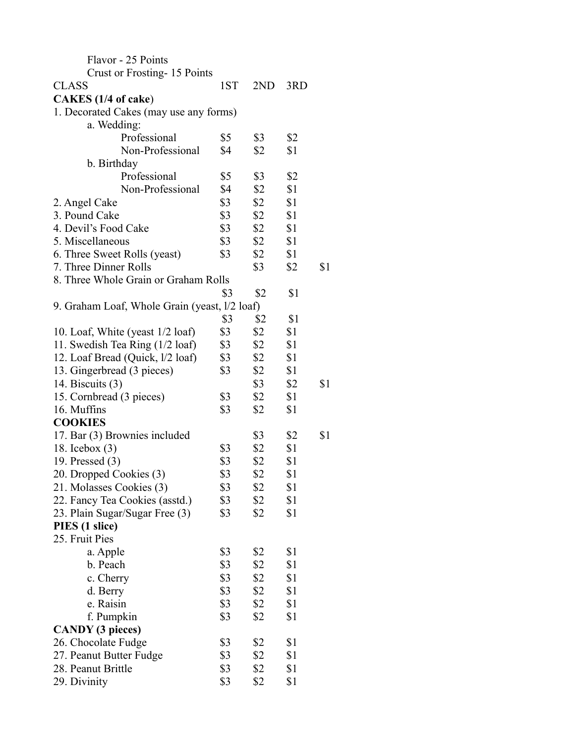| Flavor - 25 Points                            |     |     |     |     |
|-----------------------------------------------|-----|-----|-----|-----|
| Crust or Frosting-15 Points                   |     |     |     |     |
| <b>CLASS</b>                                  | 1ST | 2ND | 3RD |     |
| CAKES (1/4 of cake)                           |     |     |     |     |
| 1. Decorated Cakes (may use any forms)        |     |     |     |     |
| a. Wedding:                                   |     |     |     |     |
| Professional                                  | \$5 | \$3 | \$2 |     |
| Non-Professional                              | \$4 | \$2 | \$1 |     |
| b. Birthday                                   |     |     |     |     |
| Professional                                  | \$5 | \$3 | \$2 |     |
| Non-Professional                              | \$4 | \$2 | \$1 |     |
| 2. Angel Cake                                 | \$3 | \$2 | \$1 |     |
| 3. Pound Cake                                 | \$3 | \$2 | \$1 |     |
| 4. Devil's Food Cake                          | \$3 | \$2 | \$1 |     |
| 5. Miscellaneous                              | \$3 | \$2 | \$1 |     |
| 6. Three Sweet Rolls (yeast)                  | \$3 | \$2 | \$1 |     |
| 7. Three Dinner Rolls                         |     | \$3 | \$2 | \$1 |
| 8. Three Whole Grain or Graham Rolls          |     |     |     |     |
|                                               | \$3 | \$2 | \$1 |     |
| 9. Graham Loaf, Whole Grain (yeast, l/2 loaf) |     |     |     |     |
|                                               | \$3 | \$2 | \$1 |     |
| 10. Loaf, White (yeast 1/2 loaf)              | \$3 | \$2 | \$1 |     |
| 11. Swedish Tea Ring (1/2 loaf)               | \$3 | \$2 | \$1 |     |
| 12. Loaf Bread (Quick, l/2 loaf)              | \$3 | \$2 | \$1 |     |
| 13. Gingerbread (3 pieces)                    | \$3 | \$2 | \$1 |     |
| 14. Biscuits $(3)$                            |     | \$3 | \$2 | \$1 |
| 15. Cornbread (3 pieces)                      | \$3 | \$2 | \$1 |     |
| 16. Muffins                                   | \$3 | \$2 | \$1 |     |
| <b>COOKIES</b>                                |     |     |     |     |
| 17. Bar (3) Brownies included                 |     | \$3 | \$2 | \$1 |
| 18. Icebox $(3)$                              | \$3 | \$2 | \$1 |     |
| 19. Pressed $(3)$                             | \$3 | \$2 | \$1 |     |
| 20. Dropped Cookies (3)                       | \$3 | \$2 | \$1 |     |
| 21. Molasses Cookies (3)                      | \$3 | \$2 | \$1 |     |
| 22. Fancy Tea Cookies (asstd.)                | \$3 | \$2 | \$1 |     |
| 23. Plain Sugar/Sugar Free (3)                | \$3 | \$2 | \$1 |     |
| PIES (1 slice)                                |     |     |     |     |
| 25. Fruit Pies                                |     |     |     |     |
| a. Apple                                      | \$3 | \$2 | \$1 |     |
| b. Peach                                      | \$3 | \$2 | \$1 |     |
| c. Cherry                                     | \$3 | \$2 | \$1 |     |
| d. Berry                                      | \$3 | \$2 | \$1 |     |
| e. Raisin                                     | \$3 | \$2 | \$1 |     |
| f. Pumpkin                                    | \$3 | \$2 | \$1 |     |
| <b>CANDY</b> (3 pieces)                       |     |     |     |     |
| 26. Chocolate Fudge                           | \$3 | \$2 | \$1 |     |
| 27. Peanut Butter Fudge                       | \$3 | \$2 | \$1 |     |
| 28. Peanut Brittle                            | \$3 | \$2 | \$1 |     |
| 29. Divinity                                  | \$3 | \$2 | \$1 |     |
|                                               |     |     |     |     |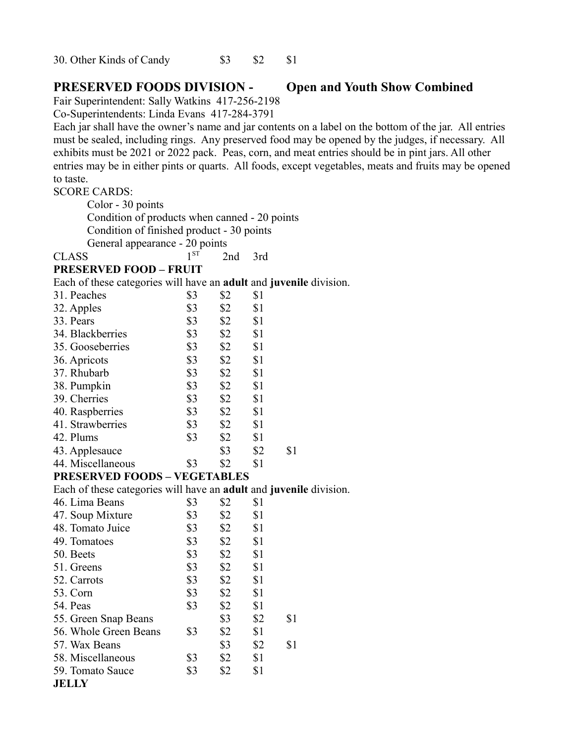30. Other Kinds of Candy  $$3 \t$3$  \$2 \$1

### **PRESERVED FOODS DIVISION - Open and Youth Show Combined**

Fair Superintendent: Sally Watkins 417-256-2198

Co-Superintendents: Linda Evans 417-284-3791

Each jar shall have the owner's name and jar contents on a label on the bottom of the jar. All entries must be sealed, including rings. Any preserved food may be opened by the judges, if necessary. All exhibits must be 2021 or 2022 pack. Peas, corn, and meat entries should be in pint jars. All other entries may be in either pints or quarts. All foods, except vegetables, meats and fruits may be opened to taste.

### SCORE CARDS:

Color - 30 points Condition of products when canned - 20 points

Condition of finished product - 30 points

General appearance - 20 points

| <b>CLASS</b> |  | 2nd 3rd |  |
|--------------|--|---------|--|
|              |  |         |  |

### **PRESERVED FOOD – FRUIT**

Each of these categories will have an **adult** and **juvenile** division.

| 31. Peaches       | \$3 | \$2   | \$1 |     |
|-------------------|-----|-------|-----|-----|
| 32. Apples        | \$3 | \$2   | \$1 |     |
| 33. Pears         | \$3 | \$2   | \$1 |     |
| 34. Blackberries  | \$3 | \$2   | \$1 |     |
| 35. Gooseberries  | \$3 | \$2   | \$1 |     |
| 36. Apricots      | \$3 | \$2   | \$1 |     |
| 37. Rhubarb       | \$3 | \$2   | \$1 |     |
| 38. Pumpkin       | \$3 | \$2   | \$1 |     |
| 39. Cherries      | \$3 | \$2   | \$1 |     |
| 40. Raspberries   | \$3 | \$2   | \$1 |     |
| 41. Strawberries  | \$3 | \$2   | \$1 |     |
| 42. Plums         | \$3 | \$2   | \$1 |     |
| 43. Applesauce    |     | \$3   | \$2 | \$1 |
| 44. Miscellaneous | \$3 | \$2   | \$1 |     |
| <b>DDRARDVED</b>  |     | nt Ra |     |     |

### **PRESERVED FOODS – VEGETABLES**

Each of these categories will have an **adult** and **juvenile** division.

| 46. Lima Beans        | \$3 | \$2   | \$1 |     |
|-----------------------|-----|-------|-----|-----|
| 47. Soup Mixture      | \$3 | \$2   | \$1 |     |
| 48. Tomato Juice      | \$3 | $\$2$ | \$1 |     |
| 49. Tomatoes          | \$3 | \$2   | \$1 |     |
| 50. Beets             | \$3 | \$2   | \$1 |     |
| 51. Greens            | \$3 | \$2   | \$1 |     |
| 52. Carrots           | \$3 | $\$2$ | \$1 |     |
| 53. Corn              | \$3 | $\$2$ | \$1 |     |
| 54. Peas              | \$3 | \$2   | \$1 |     |
| 55. Green Snap Beans  |     | \$3   | \$2 | \$1 |
| 56. Whole Green Beans | \$3 | \$2   | \$1 |     |
| 57. Wax Beans         |     | \$3   | \$2 | \$1 |
| 58. Miscellaneous     | \$3 | \$2   | \$1 |     |
| 59. Tomato Sauce      | \$3 | \$2   | \$1 |     |
| <b>JELLY</b>          |     |       |     |     |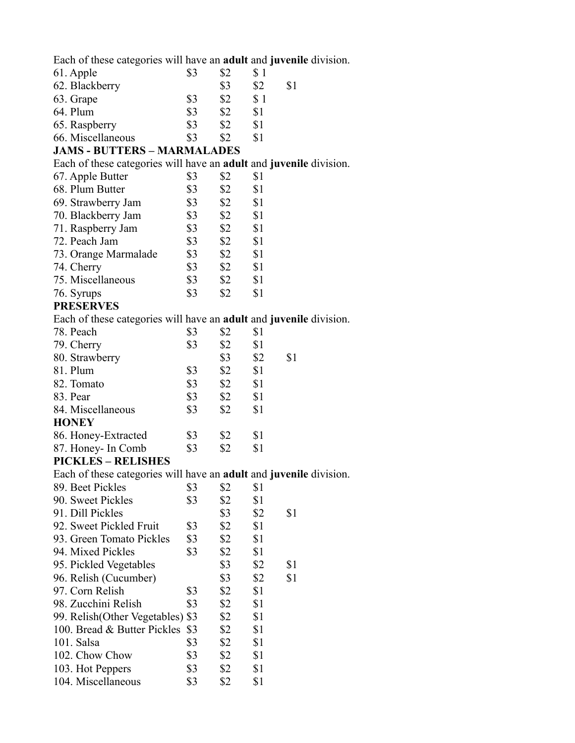Each of these categories will have an **adult** and **juvenile** division.

| 61. Apple         | \$3 | \$2 |     |     |
|-------------------|-----|-----|-----|-----|
| 62. Blackberry    |     | \$3 | \$2 | \$1 |
| 63. Grape         | \$3 | \$2 | \$1 |     |
| 64. Plum          | \$3 | \$2 | \$1 |     |
| 65. Raspberry     | \$3 | \$2 | \$1 |     |
| 66. Miscellaneous | \$3 | \$2 |     |     |

### **JAMS - BUTTERS – MARMALADES**

Each of these categories will have an **adult** and **juvenile** division.

| 67. Apple Butter     | \$3 | \$2 | \$1 |
|----------------------|-----|-----|-----|
| 68. Plum Butter      | \$3 | \$2 | \$1 |
| 69. Strawberry Jam   | \$3 | \$2 | \$1 |
| 70. Blackberry Jam   | \$3 | \$2 | \$1 |
| 71. Raspberry Jam    | \$3 | \$2 | \$1 |
| 72. Peach Jam        | \$3 | \$2 | \$1 |
| 73. Orange Marmalade | \$3 | \$2 | \$1 |
| 74. Cherry           | \$3 | \$2 | \$1 |
| 75. Miscellaneous    | \$3 | \$2 | \$1 |
| 76. Syrups           | \$3 | \$2 | \$1 |
|                      |     |     |     |

### **PRESERVES**

Each of these categories will have an **adult** and **juvenile** division.

| 78. Peach           | \$3 | \$2 | \$1 |     |
|---------------------|-----|-----|-----|-----|
| 79. Cherry          | \$3 | \$2 | \$1 |     |
| 80. Strawberry      |     | \$3 | \$2 | \$1 |
| 81. Plum            | \$3 | \$2 | \$1 |     |
| 82. Tomato          | \$3 | \$2 | \$1 |     |
| 83. Pear            | \$3 | \$2 | \$1 |     |
| 84. Miscellaneous   | \$3 | \$2 | \$1 |     |
| <b>HONEY</b>        |     |     |     |     |
| 86. Honey-Extracted | \$3 | \$2 | \$1 |     |
| 87. Honey- In Comb  | \$3 | \$2 | \$1 |     |
|                     |     |     |     |     |

### **PICKLES – RELISHES**

Each of these categories will have an **adult** and **juvenile** division.

| 89. Beet Pickles                  | \$3 | \$2   | \$1 |     |
|-----------------------------------|-----|-------|-----|-----|
| 90. Sweet Pickles                 | \$3 | \$2   | \$1 |     |
| 91. Dill Pickles                  |     | \$3   | \$2 | \$1 |
| 92. Sweet Pickled Fruit           | \$3 | $\$2$ | \$1 |     |
| 93. Green Tomato Pickles          | \$3 | \$2   | \$1 |     |
| 94. Mixed Pickles                 | \$3 | \$2   | \$1 |     |
| 95. Pickled Vegetables            |     | \$3   | \$2 | \$1 |
| 96. Relish (Cucumber)             |     | \$3   | \$2 | \$1 |
| 97. Corn Relish                   | \$3 | $\$2$ | \$1 |     |
| 98. Zucchini Relish               | \$3 | $\$2$ | \$1 |     |
| 99. Relish (Other Vegetables) \$3 |     | \$2   | \$1 |     |
| 100. Bread & Butter Pickles       | \$3 | \$2   | \$1 |     |
| $101.$ Salsa                      | \$3 | \$2   | \$1 |     |
| 102. Chow Chow                    | \$3 | \$2   | \$1 |     |
| 103. Hot Peppers                  | \$3 | \$2   | \$1 |     |
| 104. Miscellaneous                | \$3 | \$2   | \$1 |     |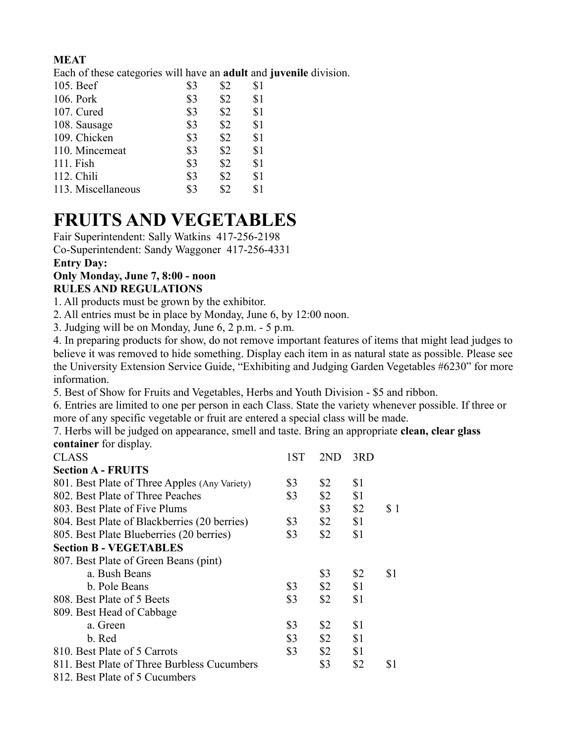### **MEAT**

Each of these categories will have an **adult** and **juvenile** division.

| 105. Beef          | \$3 | \$2 | \$1 |
|--------------------|-----|-----|-----|
| 106. Pork          | \$3 | \$2 | \$1 |
| 107. Cured         | \$3 | \$2 | \$1 |
| 108. Sausage       | \$3 | \$2 | \$1 |
| 109. Chicken       | \$3 | \$2 | \$1 |
| 110. Mincemeat     | \$3 | \$2 | \$1 |
| 111. Fish          | \$3 | \$2 | \$1 |
| 112. Chili         | \$3 | \$2 | \$1 |
| 113. Miscellaneous | \$3 | \$2 | \$1 |
|                    |     |     |     |

# **FRUITS AND VEGETABLES**

Fair Superintendent: Sally Watkins 417-256-2198 Co-Superintendent: Sandy Waggoner 417-256-4331

### **Entry Day:**

### **Only Monday, June 7, 8:00 - noon RULES AND REGULATIONS**

1. All products must be grown by the exhibitor.

2. All entries must be in place by Monday, June 6, by 12:00 noon.

3. Judging will be on Monday, June 6, 2 p.m. - 5 p.m.

4. In preparing products for show, do not remove important features of items that might lead judges to believe it was removed to hide something. Display each item in as natural state as possible. Please see the University Extension Service Guide, "Exhibiting and Judging Garden Vegetables #6230" for more information.

5. Best of Show for Fruits and Vegetables, Herbs and Youth Division - \$5 and ribbon.

6. Entries are limited to one per person in each Class. State the variety whenever possible. If three or more of any specific vegetable or fruit are entered a special class will be made.

7. Herbs will be judged on appearance, smell and taste. Bring an appropriate **clean, clear glass container** for display.

| <b>CLASS</b>                                  | 1ST | 2ND           | 3RD |     |
|-----------------------------------------------|-----|---------------|-----|-----|
| <b>Section A - FRUITS</b>                     |     |               |     |     |
| 801. Best Plate of Three Apples (Any Variety) | \$3 | \$2           | \$1 |     |
| 802. Best Plate of Three Peaches              | \$3 | \$2           | \$1 |     |
| 803. Best Plate of Five Plums                 |     | $\sqrt{3}$    | \$2 | \$1 |
| 804. Best Plate of Blackberries (20 berries)  | \$3 | $\frac{1}{2}$ | \$1 |     |
| 805. Best Plate Blueberries (20 berries)      | \$3 | \$2           | \$1 |     |
| <b>Section B - VEGETABLES</b>                 |     |               |     |     |
| 807. Best Plate of Green Beans (pint)         |     |               |     |     |
| a. Bush Beans                                 |     | \$3           | \$2 | \$1 |
| b. Pole Beans                                 | \$3 | \$2           | \$1 |     |
| 808. Best Plate of 5 Beets                    | \$3 | \$2           | \$1 |     |
| 809. Best Head of Cabbage                     |     |               |     |     |
| a. Green                                      | \$3 | \$2           | \$1 |     |
| b. Red                                        | \$3 | \$2           | \$1 |     |
| 810. Best Plate of 5 Carrots                  | \$3 | \$2           | \$1 |     |
| 811. Best Plate of Three Burbless Cucumbers   |     | \$3           | \$2 | \$1 |
| 812. Best Plate of 5 Cucumbers                |     |               |     |     |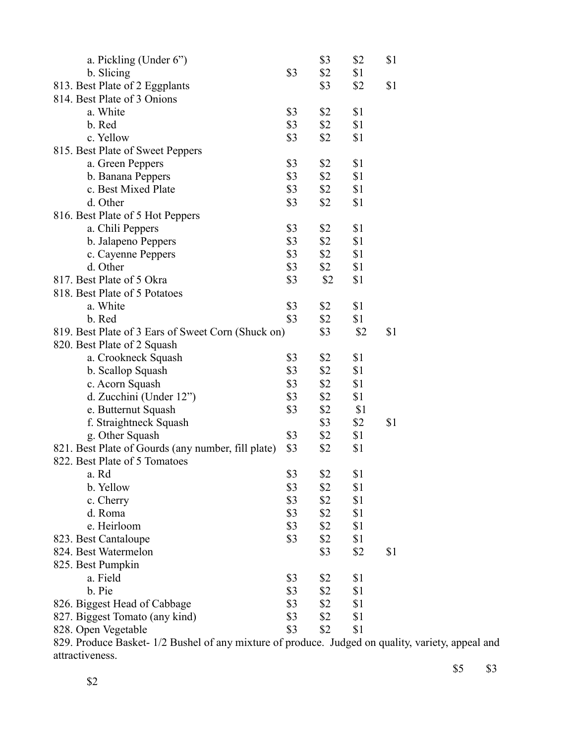| a. Pickling (Under 6")                             |     | \$3 | \$2 | \$1 |
|----------------------------------------------------|-----|-----|-----|-----|
| b. Slicing                                         | \$3 | \$2 | \$1 |     |
| 813. Best Plate of 2 Eggplants                     |     | \$3 | \$2 | \$1 |
| 814. Best Plate of 3 Onions                        |     |     |     |     |
| a. White                                           | \$3 | \$2 | \$1 |     |
| b. Red                                             | \$3 | \$2 | \$1 |     |
| c. Yellow                                          | \$3 | \$2 | \$1 |     |
| 815. Best Plate of Sweet Peppers                   |     |     |     |     |
| a. Green Peppers                                   | \$3 | \$2 | \$1 |     |
| b. Banana Peppers                                  | \$3 | \$2 | \$1 |     |
| c. Best Mixed Plate                                | \$3 | \$2 | \$1 |     |
| d. Other                                           | \$3 | \$2 | \$1 |     |
|                                                    |     |     |     |     |
| 816. Best Plate of 5 Hot Peppers                   | \$3 | \$2 |     |     |
| a. Chili Peppers                                   |     |     | \$1 |     |
| b. Jalapeno Peppers                                | \$3 | \$2 | \$1 |     |
| c. Cayenne Peppers                                 | \$3 | \$2 | \$1 |     |
| d. Other                                           | \$3 | \$2 | \$1 |     |
| 817. Best Plate of 5 Okra                          | \$3 | \$2 | \$1 |     |
| 818. Best Plate of 5 Potatoes                      |     |     |     |     |
| a. White                                           | \$3 | \$2 | \$1 |     |
| b. Red                                             | \$3 | \$2 | \$1 |     |
| 819. Best Plate of 3 Ears of Sweet Corn (Shuck on) |     | \$3 | \$2 | \$1 |
| 820. Best Plate of 2 Squash                        |     |     |     |     |
| a. Crookneck Squash                                | \$3 | \$2 | \$1 |     |
| b. Scallop Squash                                  | \$3 | \$2 | \$1 |     |
| c. Acorn Squash                                    | \$3 | \$2 | \$1 |     |
| d. Zucchini (Under 12")                            | \$3 | \$2 | \$1 |     |
| e. Butternut Squash                                | \$3 | \$2 | \$1 |     |
| f. Straightneck Squash                             |     | \$3 | \$2 | \$1 |
| g. Other Squash                                    | \$3 | \$2 | \$1 |     |
| 821. Best Plate of Gourds (any number, fill plate) | \$3 | \$2 | \$1 |     |
| 822. Best Plate of 5 Tomatoes                      |     |     |     |     |
| a. Rd                                              | \$3 | \$2 | \$1 |     |
| b. Yellow                                          | \$3 | \$2 | \$1 |     |
| c. Cherry                                          | \$3 | \$2 | \$1 |     |
| d. Roma                                            | \$3 | \$2 | \$1 |     |
| e. Heirloom                                        | \$3 | \$2 | \$1 |     |
| 823. Best Cantaloupe                               | \$3 | \$2 | \$1 |     |
| 824. Best Watermelon                               |     | \$3 | \$2 | \$1 |
| 825. Best Pumpkin                                  |     |     |     |     |
| a. Field                                           | \$3 | \$2 | \$1 |     |
| b. Pie                                             | \$3 | \$2 | \$1 |     |
| 826. Biggest Head of Cabbage                       | \$3 | \$2 | \$1 |     |
| 827. Biggest Tomato (any kind)                     | \$3 | \$2 | \$1 |     |
|                                                    | \$3 |     |     |     |
| 828. Open Vegetable<br>$\pm$ 1/2 D.                |     | \$2 | \$1 |     |

829. Produce Basket- 1/2 Bushel of any mixture of produce. Judged on quality, variety, appeal and attractiveness.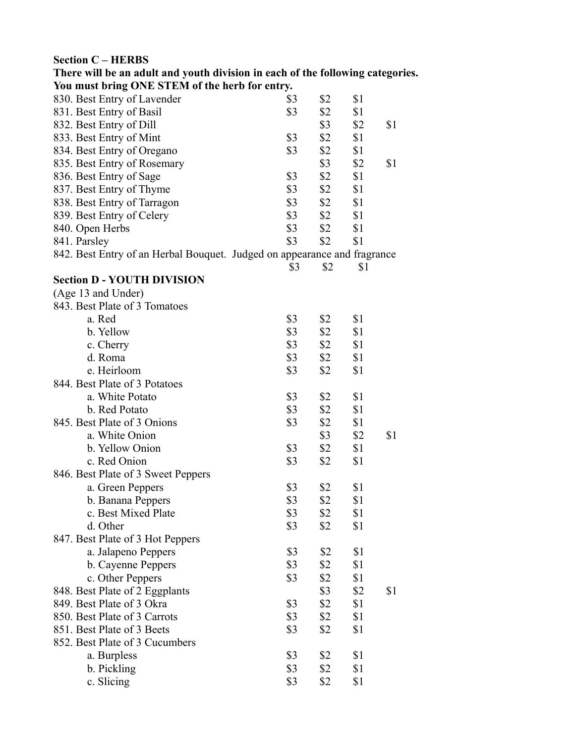### **Section C – HERBS**

| You must bring ONE STEM of the herb for entry.                           |            |            |     |     |
|--------------------------------------------------------------------------|------------|------------|-----|-----|
| 830. Best Entry of Lavender                                              | \$3        | \$2        | \$1 |     |
| 831. Best Entry of Basil                                                 | \$3        | \$2        | \$1 |     |
| 832. Best Entry of Dill                                                  |            | \$3        | \$2 | \$1 |
| 833. Best Entry of Mint                                                  | \$3        | \$2        | \$1 |     |
| 834. Best Entry of Oregano                                               | \$3        | \$2        | \$1 |     |
| 835. Best Entry of Rosemary                                              |            | $\sqrt{3}$ | \$2 | \$1 |
| 836. Best Entry of Sage                                                  | \$3        | \$2        | \$1 |     |
| 837. Best Entry of Thyme                                                 | \$3        | \$2        | \$1 |     |
| 838. Best Entry of Tarragon                                              | \$3        | \$2        | \$1 |     |
| 839. Best Entry of Celery                                                | \$3        | \$2        | \$1 |     |
| 840. Open Herbs                                                          | \$3        | \$2        | \$1 |     |
| 841. Parsley                                                             | \$3        | \$2        | \$1 |     |
| 842. Best Entry of an Herbal Bouquet. Judged on appearance and fragrance |            |            |     |     |
|                                                                          | \$3        | \$2        | \$1 |     |
| <b>Section D - YOUTH DIVISION</b>                                        |            |            |     |     |
| (Age 13 and Under)                                                       |            |            |     |     |
| 843. Best Plate of 3 Tomatoes                                            |            |            |     |     |
| a. Red                                                                   | \$3        | \$2        | \$1 |     |
| b. Yellow                                                                | \$3        | \$2        | \$1 |     |
| c. Cherry                                                                | \$3        | \$2        | \$1 |     |
| d. Roma                                                                  | \$3        | \$2        | \$1 |     |
| e. Heirloom                                                              | \$3        | \$2        | \$1 |     |
| 844. Best Plate of 3 Potatoes                                            |            |            |     |     |
| a. White Potato                                                          | \$3        | \$2        | \$1 |     |
| b. Red Potato                                                            | \$3        | \$2        | \$1 |     |
| 845. Best Plate of 3 Onions                                              | \$3        | \$2        | \$1 |     |
| a. White Onion                                                           |            | \$3        | \$2 | \$1 |
| b. Yellow Onion                                                          | $\sqrt{3}$ | \$2        | \$1 |     |
| c. Red Onion                                                             | \$3        | \$2        | \$1 |     |
| 846. Best Plate of 3 Sweet Peppers                                       |            |            |     |     |
| a. Green Peppers                                                         | \$3        | \$2        | \$1 |     |
| b. Banana Peppers                                                        | \$3        | \$2        | \$1 |     |
| c. Best Mixed Plate                                                      | \$3        | \$2        | \$1 |     |
| d. Other                                                                 | \$3        | \$2        | \$1 |     |
| 847. Best Plate of 3 Hot Peppers                                         |            |            |     |     |
|                                                                          | \$3        | \$2        | \$1 |     |
| a. Jalapeno Peppers<br>b. Cayenne Peppers                                | \$3        | \$2        | \$1 |     |
|                                                                          | \$3        |            |     |     |
| c. Other Peppers                                                         |            | \$2        | \$1 |     |
| 848. Best Plate of 2 Eggplants                                           |            | \$3        | \$2 | \$1 |
| 849. Best Plate of 3 Okra<br>850. Best Plate of 3 Carrots                | \$3        | \$2        | \$1 |     |
|                                                                          | \$3        | \$2        | \$1 |     |
| 851. Best Plate of 3 Beets                                               | \$3        | \$2        | \$1 |     |
| 852. Best Plate of 3 Cucumbers                                           |            |            |     |     |
| a. Burpless                                                              | \$3        | \$2        | \$1 |     |
| b. Pickling                                                              | \$3        | \$2        | \$1 |     |

**There will be an adult and youth division in each of the following categories.** 

c. Slicing \$3 \$2 \$1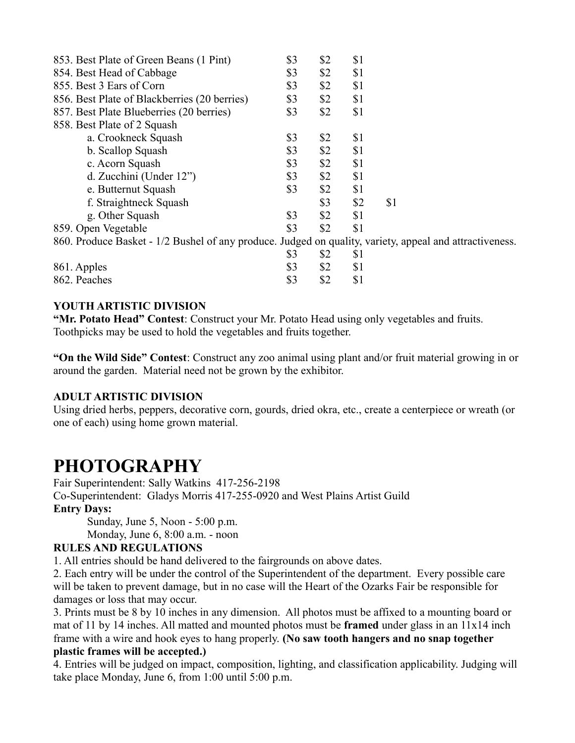| 853. Best Plate of Green Beans (1 Pint)                                                                 | \$3 | \$2 | \$1 |     |
|---------------------------------------------------------------------------------------------------------|-----|-----|-----|-----|
| 854. Best Head of Cabbage                                                                               | \$3 | \$2 | \$1 |     |
| 855. Best 3 Ears of Corn                                                                                | \$3 | \$2 | \$1 |     |
| 856. Best Plate of Blackberries (20 berries)                                                            | \$3 | \$2 | \$1 |     |
| 857. Best Plate Blueberries (20 berries)                                                                | \$3 | \$2 | \$1 |     |
| 858. Best Plate of 2 Squash                                                                             |     |     |     |     |
| a. Crookneck Squash                                                                                     | \$3 | \$2 | \$1 |     |
| b. Scallop Squash                                                                                       | \$3 | \$2 | \$1 |     |
| c. Acorn Squash                                                                                         | \$3 | \$2 | \$1 |     |
| d. Zucchini (Under 12")                                                                                 | \$3 | \$2 | \$1 |     |
| e. Butternut Squash                                                                                     | \$3 | \$2 | \$1 |     |
| f. Straightneck Squash                                                                                  |     | \$3 | \$2 | \$1 |
| g. Other Squash                                                                                         | \$3 | \$2 | \$1 |     |
| 859. Open Vegetable                                                                                     | \$3 | \$2 | \$1 |     |
| 860. Produce Basket - 1/2 Bushel of any produce. Judged on quality, variety, appeal and attractiveness. |     |     |     |     |
|                                                                                                         | \$3 | \$2 | \$1 |     |
| 861. Apples                                                                                             | \$3 | \$2 | \$1 |     |

### **YOUTH ARTISTIC DIVISION**

**"Mr. Potato Head" Contest**: Construct your Mr. Potato Head using only vegetables and fruits. Toothpicks may be used to hold the vegetables and fruits together.

**"On the Wild Side" Contest**: Construct any zoo animal using plant and/or fruit material growing in or around the garden. Material need not be grown by the exhibitor.

### **ADULT ARTISTIC DIVISION**

Using dried herbs, peppers, decorative corn, gourds, dried okra, etc., create a centerpiece or wreath (or one of each) using home grown material.

### **PHOTOGRAPHY**

Fair Superintendent: Sally Watkins 417-256-2198

Co-Superintendent: Gladys Morris 417-255-0920 and West Plains Artist Guild

### **Entry Days:**

Sunday, June 5, Noon - 5:00 p.m.

Monday, June 6, 8:00 a.m. - noon

### **RULES AND REGULATIONS**

1. All entries should be hand delivered to the fairgrounds on above dates.

862. Peaches \$3 \$2 \$1

2. Each entry will be under the control of the Superintendent of the department. Every possible care will be taken to prevent damage, but in no case will the Heart of the Ozarks Fair be responsible for damages or loss that may occur.

3. Prints must be 8 by 10 inches in any dimension. All photos must be affixed to a mounting board or mat of 11 by 14 inches. All matted and mounted photos must be **framed** under glass in an 11x14 inch frame with a wire and hook eyes to hang properly. **(No saw tooth hangers and no snap together plastic frames will be accepted.)**

4. Entries will be judged on impact, composition, lighting, and classification applicability. Judging will take place Monday, June 6, from 1:00 until 5:00 p.m.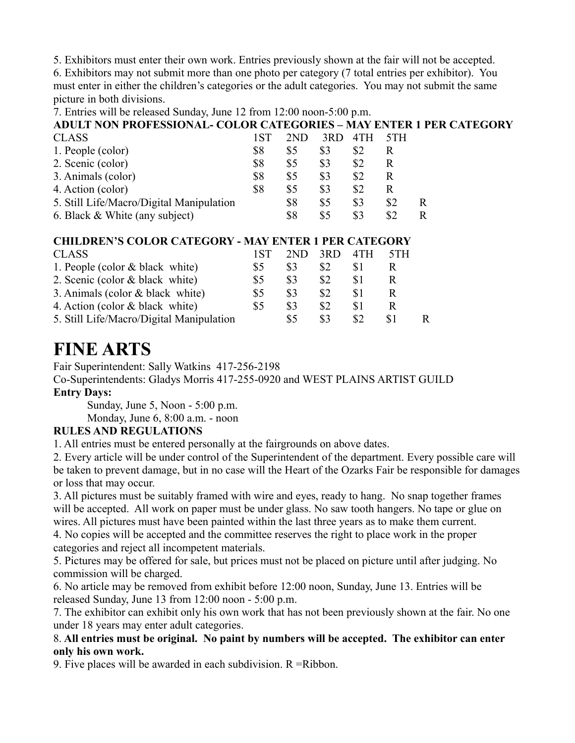5. Exhibitors must enter their own work. Entries previously shown at the fair will not be accepted.

6. Exhibitors may not submit more than one photo per category (7 total entries per exhibitor). You must enter in either the children's categories or the adult categories. You may not submit the same picture in both divisions.

7. Entries will be released Sunday, June 12 from 12:00 noon-5:00 p.m.

**ADULT NON PROFESSIONAL- COLOR CATEGORIES – MAY ENTER 1 PER CATEGORY**

| <b>CLASS</b>                             | 1 S T | 2ND | 3RD. | -4TH | 5TH |    |
|------------------------------------------|-------|-----|------|------|-----|----|
| 1. People (color)                        | \$8   | \$5 | \$3  |      |     |    |
| 2. Scenic (color)                        | \$8   | \$5 | \$3  | \$2  |     |    |
| 3. Animals (color)                       | \$8   | \$5 | \$3  | \$2  |     |    |
| 4. Action (color)                        | \$8   | \$5 | \$3  | \$2  |     |    |
| 5. Still Life/Macro/Digital Manipulation |       | \$8 | \$5  | \$3  | \$2 | R. |
| 6. Black & White (any subject)           |       | \$8 | \$5  | \$3  |     |    |

### **CHILDREN'S COLOR CATEGORY - MAY ENTER 1 PER CATEGORY**

| <b>CLASS</b>                               | 1ST | 2ND            | 3RD | 4TH | 5TH |  |
|--------------------------------------------|-----|----------------|-----|-----|-----|--|
| 1. People (color $& black \text{ white}$ ) | \$5 | \$3            |     |     |     |  |
| 2. Scenic (color & black white)            | \$5 | \$3            | \$2 |     | R   |  |
| 3. Animals (color & black white)           | \$5 | \$3            | \$2 |     | R   |  |
| 4. Action (color & black white)            | \$5 | \$3            | \$2 |     | R   |  |
| 5. Still Life/Macro/Digital Manipulation   |     | S <sub>5</sub> | \$3 |     |     |  |

### **FINE ARTS**

Fair Superintendent: Sally Watkins 417-256-2198

Co-Superintendents: Gladys Morris 417-255-0920 and WEST PLAINS ARTIST GUILD

### **Entry Days:**

Sunday, June 5, Noon - 5:00 p.m.

Monday, June 6, 8:00 a.m. - noon

### **RULES AND REGULATIONS**

1. All entries must be entered personally at the fairgrounds on above dates.

2. Every article will be under control of the Superintendent of the department. Every possible care will be taken to prevent damage, but in no case will the Heart of the Ozarks Fair be responsible for damages or loss that may occur.

3. All pictures must be suitably framed with wire and eyes, ready to hang. No snap together frames will be accepted. All work on paper must be under glass. No saw tooth hangers. No tape or glue on wires. All pictures must have been painted within the last three years as to make them current.

4. No copies will be accepted and the committee reserves the right to place work in the proper categories and reject all incompetent materials.

5. Pictures may be offered for sale, but prices must not be placed on picture until after judging. No commission will be charged.

6. No article may be removed from exhibit before 12:00 noon, Sunday, June 13. Entries will be released Sunday, June 13 from 12:00 noon - 5:00 p.m.

7. The exhibitor can exhibit only his own work that has not been previously shown at the fair. No one under 18 years may enter adult categories.

### 8. **All entries must be original. No paint by numbers will be accepted. The exhibitor can enter only his own work.**

9. Five places will be awarded in each subdivision.  $R = Ribbon$ .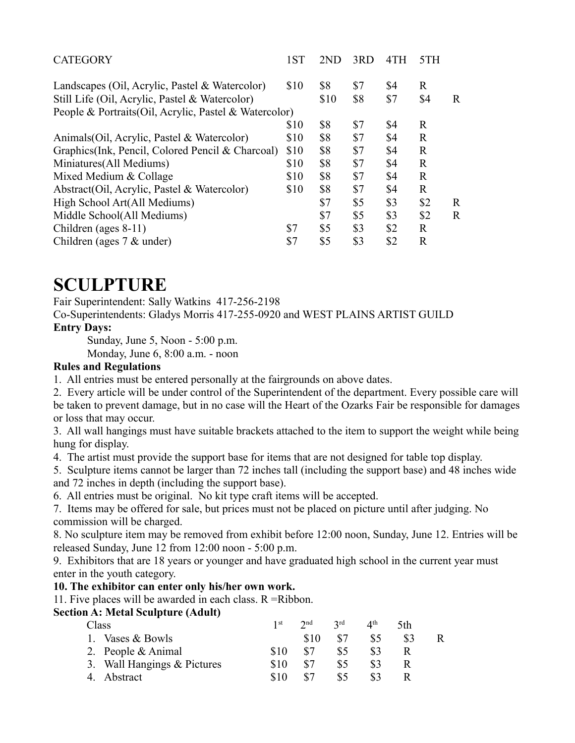| <b>CATEGORY</b>                                        | 1ST  | 2ND  | 3RD | 4TH | 5TH          |              |
|--------------------------------------------------------|------|------|-----|-----|--------------|--------------|
| Landscapes (Oil, Acrylic, Pastel & Watercolor)         | \$10 | \$8  | \$7 | \$4 | $\mathbb{R}$ |              |
| Still Life (Oil, Acrylic, Pastel & Watercolor)         |      | \$10 | \$8 | \$7 | \$4          | $\mathbb{R}$ |
| People & Portraits (Oil, Acrylic, Pastel & Watercolor) |      |      |     |     |              |              |
|                                                        | \$10 | \$8  | \$7 | \$4 | $\mathbf R$  |              |
| Animals (Oil, Acrylic, Pastel & Watercolor)            | \$10 | \$8  | \$7 | \$4 | $\mathbf R$  |              |
| Graphics (Ink, Pencil, Colored Pencil & Charcoal)      | \$10 | \$8  | \$7 | \$4 | $\mathbf R$  |              |
| Miniatures (All Mediums)                               | \$10 | \$8  | \$7 | \$4 | $\mathbb{R}$ |              |
| Mixed Medium & Collage                                 | \$10 | \$8  | \$7 | \$4 | $\mathbb{R}$ |              |
| Abstract(Oil, Acrylic, Pastel & Watercolor)            | \$10 | \$8  | \$7 | \$4 | $\mathbf R$  |              |
| High School Art(All Mediums)                           |      | \$7  | \$5 | \$3 | \$2          | $\mathbf R$  |
| Middle School(All Mediums)                             |      | \$7  | \$5 | \$3 | \$2          | $\mathbf R$  |
| Children (ages 8-11)                                   | \$7  | \$5  | \$3 | \$2 | $\mathbb{R}$ |              |
| Children (ages $7 &$ under)                            | \$7  | \$5  | \$3 | \$2 | $\mathbb{R}$ |              |

### **SCULPTURE**

Fair Superintendent: Sally Watkins 417-256-2198

Co-Superintendents: Gladys Morris 417-255-0920 and WEST PLAINS ARTIST GUILD **Entry Days:**

Sunday, June 5, Noon - 5:00 p.m.

Monday, June 6, 8:00 a.m. - noon

### **Rules and Regulations**

1. All entries must be entered personally at the fairgrounds on above dates.

2. Every article will be under control of the Superintendent of the department. Every possible care will be taken to prevent damage, but in no case will the Heart of the Ozarks Fair be responsible for damages or loss that may occur.

3. All wall hangings must have suitable brackets attached to the item to support the weight while being hung for display.

4. The artist must provide the support base for items that are not designed for table top display.

5. Sculpture items cannot be larger than 72 inches tall (including the support base) and 48 inches wide and 72 inches in depth (including the support base).

6. All entries must be original. No kit type craft items will be accepted.

7. Items may be offered for sale, but prices must not be placed on picture until after judging. No commission will be charged.

8. No sculpture item may be removed from exhibit before 12:00 noon, Sunday, June 12. Entries will be released Sunday, June 12 from 12:00 noon - 5:00 p.m.

9. Exhibitors that are 18 years or younger and have graduated high school in the current year must enter in the youth category.

### **10. The exhibitor can enter only his/her own work.**

11. Five places will be awarded in each class. R =Ribbon.

### **Section A: Metal Sculpture (Adult)**

| Class                       | 1 <sup>st</sup> | $2^{nd}$ | 2rd | $\varDelta$ <sup>th</sup> | 5th |   |
|-----------------------------|-----------------|----------|-----|---------------------------|-----|---|
| 1. Vases & Bowls            |                 | \$10     | \$7 | \$5                       | \$3 | R |
| 2. People & Animal          | \$10            | \$7      | \$5 | \$3                       |     |   |
| 3. Wall Hangings & Pictures | \$10            | \$7      | \$5 |                           |     |   |
| 4. Abstract                 | \$10            | \$7      | \$5 |                           |     |   |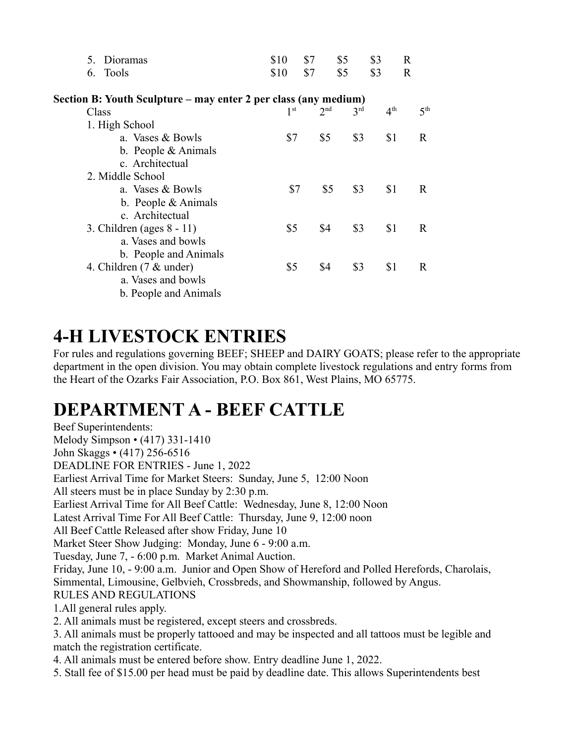| \$10 | \$7 | \$5                                         | \$3                                                | $\mathbf R$                                                     |
|------|-----|---------------------------------------------|----------------------------------------------------|-----------------------------------------------------------------|
| \$10 | \$7 | \$5                                         | \$3                                                | $\mathbf R$                                                     |
|      |     |                                             |                                                    |                                                                 |
|      |     | 3 <sup>rd</sup>                             | 4 <sup>th</sup>                                    | 5 <sup>th</sup>                                                 |
|      |     |                                             |                                                    |                                                                 |
|      |     | \$3                                         | \$1                                                | R.                                                              |
|      |     |                                             |                                                    |                                                                 |
|      |     |                                             |                                                    |                                                                 |
|      |     |                                             |                                                    |                                                                 |
|      |     |                                             | \$1                                                | R.                                                              |
|      |     |                                             |                                                    |                                                                 |
|      |     |                                             |                                                    |                                                                 |
|      |     | \$3                                         | \$1                                                | R.                                                              |
|      |     |                                             |                                                    |                                                                 |
|      |     |                                             |                                                    |                                                                 |
|      |     | \$3                                         | \$1                                                | R.                                                              |
|      |     |                                             |                                                    |                                                                 |
|      |     |                                             |                                                    |                                                                 |
|      |     | 1 <sup>st</sup><br>\$7<br>\$7<br>\$5<br>\$5 | 2 <sub>nd</sub><br>\$5<br>\$3<br>\$5<br>\$4<br>\$4 | Section B: Youth Sculpture – may enter 2 per class (any medium) |

# **4-H LIVESTOCK ENTRIES**

For rules and regulations governing BEEF; SHEEP and DAIRY GOATS; please refer to the appropriate department in the open division. You may obtain complete livestock regulations and entry forms from the Heart of the Ozarks Fair Association, P.O. Box 861, West Plains, MO 65775.

### **DEPARTMENT A - BEEF CATTLE**

Beef Superintendents: Melody Simpson • (417) 331-1410 John Skaggs • (417) 256-6516 DEADLINE FOR ENTRIES - June 1, 2022 Earliest Arrival Time for Market Steers: Sunday, June 5, 12:00 Noon All steers must be in place Sunday by 2:30 p.m. Earliest Arrival Time for All Beef Cattle: Wednesday, June 8, 12:00 Noon Latest Arrival Time For All Beef Cattle: Thursday, June 9, 12:00 noon All Beef Cattle Released after show Friday, June 10 Market Steer Show Judging: Monday, June 6 - 9:00 a.m. Tuesday, June 7, - 6:00 p.m. Market Animal Auction. Friday, June 10, - 9:00 a.m. Junior and Open Show of Hereford and Polled Herefords, Charolais, Simmental, Limousine, Gelbvieh, Crossbreds, and Showmanship, followed by Angus. RULES AND REGULATIONS 1.All general rules apply. 2. All animals must be registered, except steers and crossbreds. 3. All animals must be properly tattooed and may be inspected and all tattoos must be legible and match the registration certificate. 4. All animals must be entered before show. Entry deadline June 1, 2022. 5. Stall fee of \$15.00 per head must be paid by deadline date. This allows Superintendents best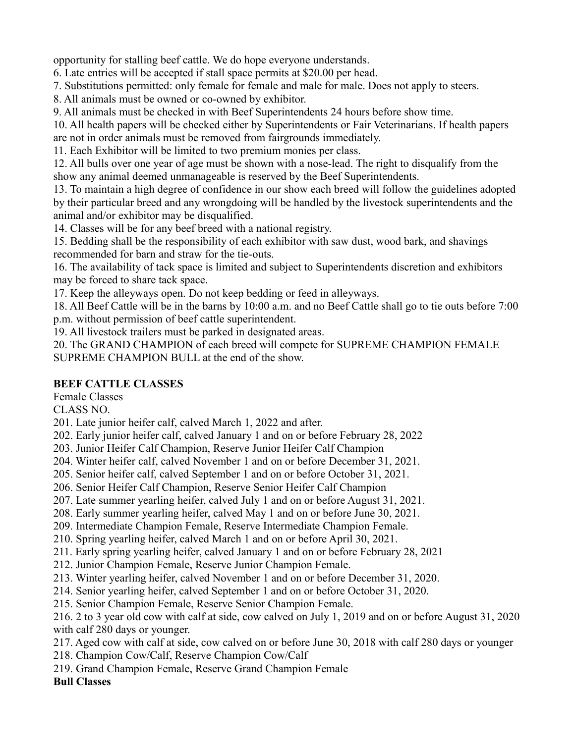opportunity for stalling beef cattle. We do hope everyone understands.

6. Late entries will be accepted if stall space permits at \$20.00 per head.

7. Substitutions permitted: only female for female and male for male. Does not apply to steers.

8. All animals must be owned or co-owned by exhibitor.

9. All animals must be checked in with Beef Superintendents 24 hours before show time.

10. All health papers will be checked either by Superintendents or Fair Veterinarians. If health papers

are not in order animals must be removed from fairgrounds immediately.

11. Each Exhibitor will be limited to two premium monies per class.

12. All bulls over one year of age must be shown with a nose-lead. The right to disqualify from the show any animal deemed unmanageable is reserved by the Beef Superintendents.

13. To maintain a high degree of confidence in our show each breed will follow the guidelines adopted by their particular breed and any wrongdoing will be handled by the livestock superintendents and the animal and/or exhibitor may be disqualified.

14. Classes will be for any beef breed with a national registry.

15. Bedding shall be the responsibility of each exhibitor with saw dust, wood bark, and shavings recommended for barn and straw for the tie-outs.

16. The availability of tack space is limited and subject to Superintendents discretion and exhibitors may be forced to share tack space.

17. Keep the alleyways open. Do not keep bedding or feed in alleyways.

18. All Beef Cattle will be in the barns by 10:00 a.m. and no Beef Cattle shall go to tie outs before 7:00 p.m. without permission of beef cattle superintendent.

19. All livestock trailers must be parked in designated areas.

20. The GRAND CHAMPION of each breed will compete for SUPREME CHAMPION FEMALE SUPREME CHAMPION BULL at the end of the show.

### **BEEF CATTLE CLASSES**

Female Classes

CLASS NO.

201. Late junior heifer calf, calved March 1, 2022 and after.

202. Early junior heifer calf, calved January 1 and on or before February 28, 2022

203. Junior Heifer Calf Champion, Reserve Junior Heifer Calf Champion

204. Winter heifer calf, calved November 1 and on or before December 31, 2021.

205. Senior heifer calf, calved September 1 and on or before October 31, 2021.

206. Senior Heifer Calf Champion, Reserve Senior Heifer Calf Champion

207. Late summer yearling heifer, calved July 1 and on or before August 31, 2021.

208. Early summer yearling heifer, calved May 1 and on or before June 30, 2021.

209. Intermediate Champion Female, Reserve Intermediate Champion Female.

210. Spring yearling heifer, calved March 1 and on or before April 30, 2021.

211. Early spring yearling heifer, calved January 1 and on or before February 28, 2021

212. Junior Champion Female, Reserve Junior Champion Female.

213. Winter yearling heifer, calved November 1 and on or before December 31, 2020.

214. Senior yearling heifer, calved September 1 and on or before October 31, 2020.

215. Senior Champion Female, Reserve Senior Champion Female.

216. 2 to 3 year old cow with calf at side, cow calved on July 1, 2019 and on or before August 31, 2020 with calf 280 days or younger.

217. Aged cow with calf at side, cow calved on or before June 30, 2018 with calf 280 days or younger

218. Champion Cow/Calf, Reserve Champion Cow/Calf

219. Grand Champion Female, Reserve Grand Champion Female

**Bull Classes**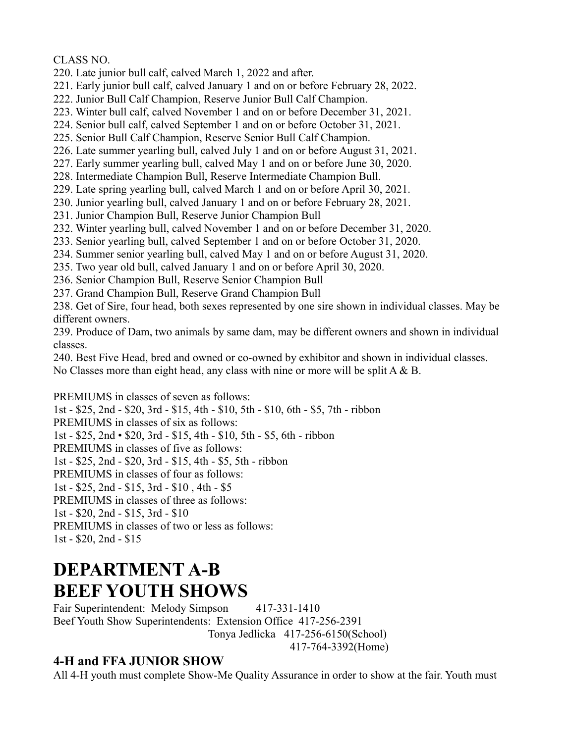CLASS NO.

- 220. Late junior bull calf, calved March 1, 2022 and after.
- 221. Early junior bull calf, calved January 1 and on or before February 28, 2022.
- 222. Junior Bull Calf Champion, Reserve Junior Bull Calf Champion.
- 223. Winter bull calf, calved November 1 and on or before December 31, 2021.
- 224. Senior bull calf, calved September 1 and on or before October 31, 2021.
- 225. Senior Bull Calf Champion, Reserve Senior Bull Calf Champion.
- 226. Late summer yearling bull, calved July 1 and on or before August 31, 2021.
- 227. Early summer yearling bull, calved May 1 and on or before June 30, 2020.
- 228. Intermediate Champion Bull, Reserve Intermediate Champion Bull.
- 229. Late spring yearling bull, calved March 1 and on or before April 30, 2021.
- 230. Junior yearling bull, calved January 1 and on or before February 28, 2021.
- 231. Junior Champion Bull, Reserve Junior Champion Bull
- 232. Winter yearling bull, calved November 1 and on or before December 31, 2020.
- 233. Senior yearling bull, calved September 1 and on or before October 31, 2020.
- 234. Summer senior yearling bull, calved May 1 and on or before August 31, 2020.
- 235. Two year old bull, calved January 1 and on or before April 30, 2020.
- 236. Senior Champion Bull, Reserve Senior Champion Bull
- 237. Grand Champion Bull, Reserve Grand Champion Bull
- 238. Get of Sire, four head, both sexes represented by one sire shown in individual classes. May be different owners.
- 239. Produce of Dam, two animals by same dam, may be different owners and shown in individual classes.
- 240. Best Five Head, bred and owned or co-owned by exhibitor and shown in individual classes.
- No Classes more than eight head, any class with nine or more will be split A & B.

PREMIUMS in classes of seven as follows: 1st - \$25, 2nd - \$20, 3rd - \$15, 4th - \$10, 5th - \$10, 6th - \$5, 7th - ribbon PREMIUMS in classes of six as follows: 1st - \$25, 2nd • \$20, 3rd - \$15, 4th - \$10, 5th - \$5, 6th - ribbon PREMIUMS in classes of five as follows: 1st - \$25, 2nd - \$20, 3rd - \$15, 4th - \$5, 5th - ribbon PREMIUMS in classes of four as follows: 1st - \$25, 2nd - \$15, 3rd - \$10 , 4th - \$5 PREMIUMS in classes of three as follows: 1st - \$20, 2nd - \$15, 3rd - \$10 PREMIUMS in classes of two or less as follows: 1st - \$20, 2nd - \$15

# **DEPARTMENT A-B BEEF YOUTH SHOWS**

Fair Superintendent: Melody Simpson 417-331-1410 Beef Youth Show Superintendents: Extension Office 417-256-2391 Tonya Jedlicka 417-256-6150(School) 417-764-3392(Home)

### **4-H and FFA JUNIOR SHOW**

All 4-H youth must complete Show-Me Quality Assurance in order to show at the fair. Youth must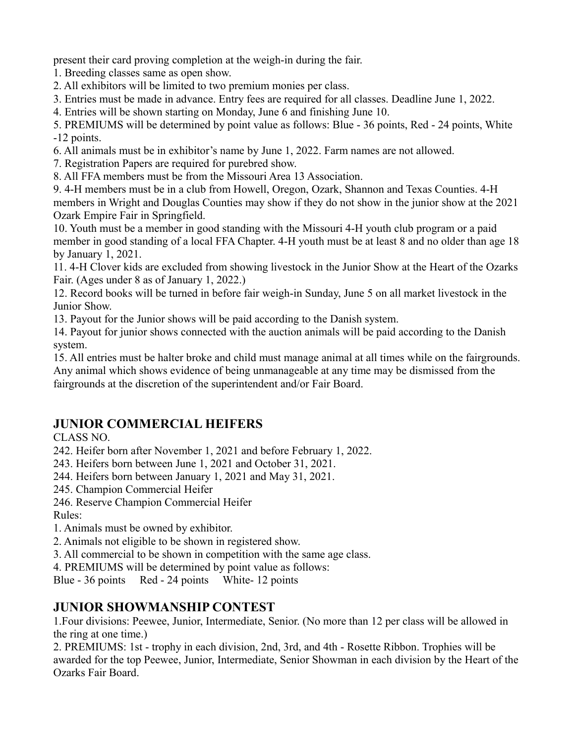present their card proving completion at the weigh-in during the fair.

1. Breeding classes same as open show.

2. All exhibitors will be limited to two premium monies per class.

3. Entries must be made in advance. Entry fees are required for all classes. Deadline June 1, 2022.

4. Entries will be shown starting on Monday, June 6 and finishing June 10.

5. PREMIUMS will be determined by point value as follows: Blue - 36 points, Red - 24 points, White -12 points.

6. All animals must be in exhibitor's name by June 1, 2022. Farm names are not allowed.

7. Registration Papers are required for purebred show.

8. All FFA members must be from the Missouri Area 13 Association.

9. 4-H members must be in a club from Howell, Oregon, Ozark, Shannon and Texas Counties. 4-H members in Wright and Douglas Counties may show if they do not show in the junior show at the 2021 Ozark Empire Fair in Springfield.

10. Youth must be a member in good standing with the Missouri 4-H youth club program or a paid member in good standing of a local FFA Chapter. 4-H youth must be at least 8 and no older than age 18 by January 1, 2021.

11. 4-H Clover kids are excluded from showing livestock in the Junior Show at the Heart of the Ozarks Fair. (Ages under 8 as of January 1, 2022.)

12. Record books will be turned in before fair weigh-in Sunday, June 5 on all market livestock in the Junior Show.

13. Payout for the Junior shows will be paid according to the Danish system.

14. Payout for junior shows connected with the auction animals will be paid according to the Danish system.

15. All entries must be halter broke and child must manage animal at all times while on the fairgrounds. Any animal which shows evidence of being unmanageable at any time may be dismissed from the fairgrounds at the discretion of the superintendent and/or Fair Board.

### **JUNIOR COMMERCIAL HEIFERS**

CLASS NO.

242. Heifer born after November 1, 2021 and before February 1, 2022.

243. Heifers born between June 1, 2021 and October 31, 2021.

244. Heifers born between January 1, 2021 and May 31, 2021.

245. Champion Commercial Heifer

246. Reserve Champion Commercial Heifer

Rules:

1. Animals must be owned by exhibitor.

2. Animals not eligible to be shown in registered show.

3. All commercial to be shown in competition with the same age class.

4. PREMIUMS will be determined by point value as follows:

Blue - 36 points Red - 24 points White- 12 points

### **JUNIOR SHOWMANSHIP CONTEST**

1.Four divisions: Peewee, Junior, Intermediate, Senior. (No more than 12 per class will be allowed in the ring at one time.)

2. PREMIUMS: 1st - trophy in each division, 2nd, 3rd, and 4th - Rosette Ribbon. Trophies will be awarded for the top Peewee, Junior, Intermediate, Senior Showman in each division by the Heart of the Ozarks Fair Board.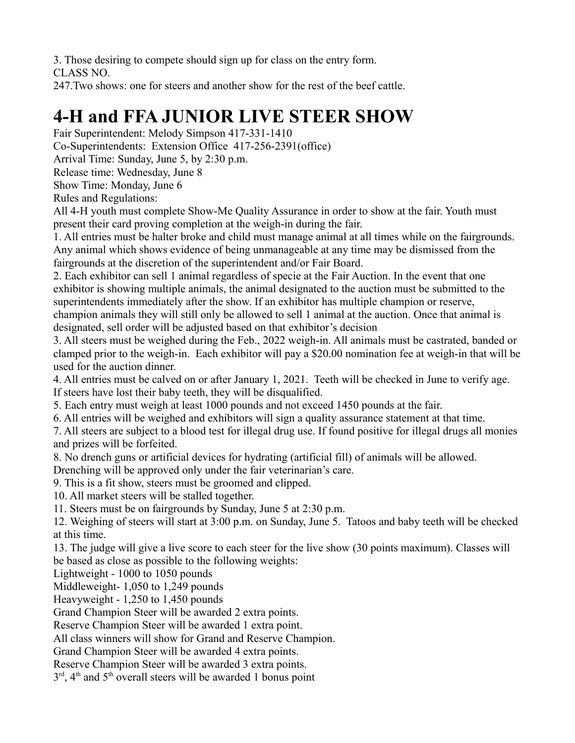3. Those desiring to compete should sign up for class on the entry form.

CLASS NO.

247.Two shows: one for steers and another show for the rest of the beef cattle.

# **4-H and FFA JUNIOR LIVE STEER SHOW**

Fair Superintendent: Melody Simpson 417-331-1410

Co-Superintendents: Extension Office 417-256-2391(office)

Arrival Time: Sunday, June 5, by 2:30 p.m.

Release time: Wednesday, June 8

Show Time: Monday, June 6

Rules and Regulations:

All 4-H youth must complete Show-Me Quality Assurance in order to show at the fair. Youth must present their card proving completion at the weigh-in during the fair.

1. All entries must be halter broke and child must manage animal at all times while on the fairgrounds. Any animal which shows evidence of being unmanageable at any time may be dismissed from the fairgrounds at the discretion of the superintendent and/or Fair Board.

2. Each exhibitor can sell 1 animal regardless of specie at the Fair Auction. In the event that one exhibitor is showing multiple animals, the animal designated to the auction must be submitted to the superintendents immediately after the show. If an exhibitor has multiple champion or reserve, champion animals they will still only be allowed to sell 1 animal at the auction. Once that animal is designated, sell order will be adjusted based on that exhibitor's decision

3. All steers must be weighed during the Feb., 2022 weigh-in. All animals must be castrated, banded or clamped prior to the weigh-in. Each exhibitor will pay a \$20.00 nomination fee at weigh-in that will be used for the auction dinner.

4. All entries must be calved on or after January 1, 2021. Teeth will be checked in June to verify age. If steers have lost their baby teeth, they will be disqualified.

5. Each entry must weigh at least 1000 pounds and not exceed 1450 pounds at the fair.

6. All entries will be weighed and exhibitors will sign a quality assurance statement at that time.

7. All steers are subject to a blood test for illegal drug use. If found positive for illegal drugs all monies and prizes will be forfeited.

8. No drench guns or artificial devices for hydrating (artificial fill) of animals will be allowed.

Drenching will be approved only under the fair veterinarian's care.

9. This is a fit show, steers must be groomed and clipped.

10. All market steers will be stalled together.

11. Steers must be on fairgrounds by Sunday, June 5 at 2:30 p.m.

12. Weighing of steers will start at 3:00 p.m. on Sunday, June 5. Tatoos and baby teeth will be checked at this time.

13. The judge will give a live score to each steer for the live show (30 points maximum). Classes will be based as close as possible to the following weights:

Lightweight - 1000 to 1050 pounds

Middleweight- 1,050 to 1,249 pounds

Heavyweight - 1,250 to 1,450 pounds

Grand Champion Steer will be awarded 2 extra points.

Reserve Champion Steer will be awarded 1 extra point.

All class winners will show for Grand and Reserve Champion.

Grand Champion Steer will be awarded 4 extra points.

Reserve Champion Steer will be awarded 3 extra points.

 $3<sup>rd</sup>$ , 4<sup>th</sup> and 5<sup>th</sup> overall steers will be awarded 1 bonus point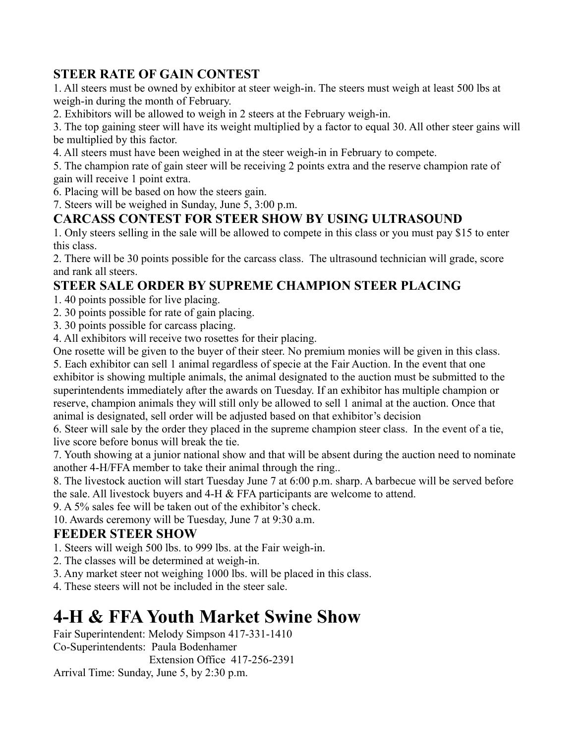### **STEER RATE OF GAIN CONTEST**

1. All steers must be owned by exhibitor at steer weigh-in. The steers must weigh at least 500 lbs at weigh-in during the month of February.

2. Exhibitors will be allowed to weigh in 2 steers at the February weigh-in.

3. The top gaining steer will have its weight multiplied by a factor to equal 30. All other steer gains will be multiplied by this factor.

4. All steers must have been weighed in at the steer weigh-in in February to compete.

5. The champion rate of gain steer will be receiving 2 points extra and the reserve champion rate of gain will receive 1 point extra.

6. Placing will be based on how the steers gain.

7. Steers will be weighed in Sunday, June 5, 3:00 p.m.

### **CARCASS CONTEST FOR STEER SHOW BY USING ULTRASOUND**

1. Only steers selling in the sale will be allowed to compete in this class or you must pay \$15 to enter this class.

2. There will be 30 points possible for the carcass class. The ultrasound technician will grade, score and rank all steers.

### **STEER SALE ORDER BY SUPREME CHAMPION STEER PLACING**

1. 40 points possible for live placing.

2. 30 points possible for rate of gain placing.

3. 30 points possible for carcass placing.

4. All exhibitors will receive two rosettes for their placing.

One rosette will be given to the buyer of their steer. No premium monies will be given in this class.

5. Each exhibitor can sell 1 animal regardless of specie at the Fair Auction. In the event that one exhibitor is showing multiple animals, the animal designated to the auction must be submitted to the superintendents immediately after the awards on Tuesday. If an exhibitor has multiple champion or reserve, champion animals they will still only be allowed to sell 1 animal at the auction. Once that animal is designated, sell order will be adjusted based on that exhibitor's decision

6. Steer will sale by the order they placed in the supreme champion steer class. In the event of a tie, live score before bonus will break the tie.

7. Youth showing at a junior national show and that will be absent during the auction need to nominate another 4-H/FFA member to take their animal through the ring..

8. The livestock auction will start Tuesday June 7 at 6:00 p.m. sharp. A barbecue will be served before the sale. All livestock buyers and  $4-H \& FFA$  participants are welcome to attend.

9. A 5% sales fee will be taken out of the exhibitor's check.

10. Awards ceremony will be Tuesday, June 7 at 9:30 a.m.

### **FEEDER STEER SHOW**

1. Steers will weigh 500 lbs. to 999 lbs. at the Fair weigh-in.

2. The classes will be determined at weigh-in.

3. Any market steer not weighing 1000 lbs. will be placed in this class.

4. These steers will not be included in the steer sale.

# **4-H & FFA Youth Market Swine Show**

Fair Superintendent: Melody Simpson 417-331-1410 Co-Superintendents: Paula Bodenhamer Extension Office 417-256-2391 Arrival Time: Sunday, June 5, by 2:30 p.m.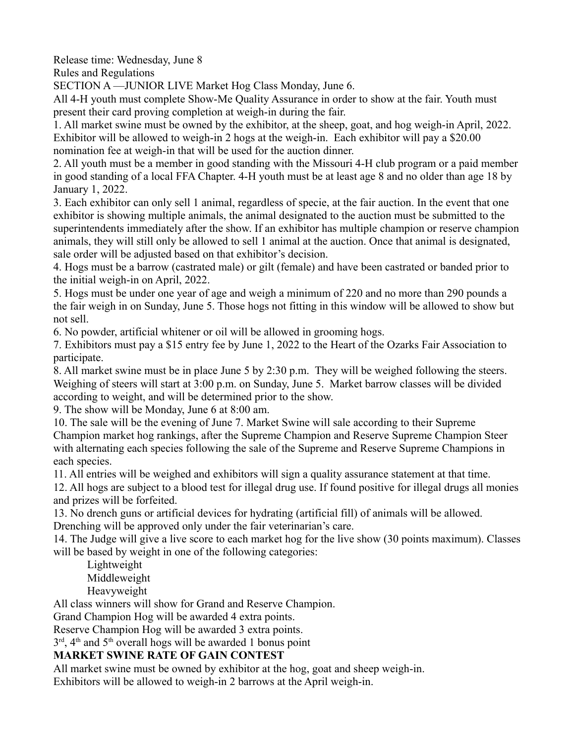Release time: Wednesday, June 8

Rules and Regulations

SECTION A —JUNIOR LIVE Market Hog Class Monday, June 6.

All 4-H youth must complete Show-Me Quality Assurance in order to show at the fair. Youth must present their card proving completion at weigh-in during the fair.

1. All market swine must be owned by the exhibitor, at the sheep, goat, and hog weigh-in April, 2022. Exhibitor will be allowed to weigh-in 2 hogs at the weigh-in. Each exhibitor will pay a \$20.00 nomination fee at weigh-in that will be used for the auction dinner.

2. All youth must be a member in good standing with the Missouri 4-H club program or a paid member in good standing of a local FFA Chapter. 4-H youth must be at least age 8 and no older than age 18 by January 1, 2022.

3. Each exhibitor can only sell 1 animal, regardless of specie, at the fair auction. In the event that one exhibitor is showing multiple animals, the animal designated to the auction must be submitted to the superintendents immediately after the show. If an exhibitor has multiple champion or reserve champion animals, they will still only be allowed to sell 1 animal at the auction. Once that animal is designated, sale order will be adjusted based on that exhibitor's decision.

4. Hogs must be a barrow (castrated male) or gilt (female) and have been castrated or banded prior to the initial weigh-in on April, 2022.

5. Hogs must be under one year of age and weigh a minimum of 220 and no more than 290 pounds a the fair weigh in on Sunday, June 5. Those hogs not fitting in this window will be allowed to show but not sell.

6. No powder, artificial whitener or oil will be allowed in grooming hogs.

7. Exhibitors must pay a \$15 entry fee by June 1, 2022 to the Heart of the Ozarks Fair Association to participate.

8. All market swine must be in place June 5 by 2:30 p.m. They will be weighed following the steers. Weighing of steers will start at 3:00 p.m. on Sunday, June 5. Market barrow classes will be divided according to weight, and will be determined prior to the show.

9. The show will be Monday, June 6 at 8:00 am.

10. The sale will be the evening of June 7. Market Swine will sale according to their Supreme Champion market hog rankings, after the Supreme Champion and Reserve Supreme Champion Steer with alternating each species following the sale of the Supreme and Reserve Supreme Champions in each species.

11. All entries will be weighed and exhibitors will sign a quality assurance statement at that time.

12. All hogs are subject to a blood test for illegal drug use. If found positive for illegal drugs all monies and prizes will be forfeited.

13. No drench guns or artificial devices for hydrating (artificial fill) of animals will be allowed. Drenching will be approved only under the fair veterinarian's care.

14. The Judge will give a live score to each market hog for the live show (30 points maximum). Classes will be based by weight in one of the following categories:

Lightweight Middleweight Heavyweight

All class winners will show for Grand and Reserve Champion.

Grand Champion Hog will be awarded 4 extra points.

Reserve Champion Hog will be awarded 3 extra points.

3<sup>rd</sup>, 4<sup>th</sup> and 5<sup>th</sup> overall hogs will be awarded 1 bonus point

### **MARKET SWINE RATE OF GAIN CONTEST**

All market swine must be owned by exhibitor at the hog, goat and sheep weigh-in.

Exhibitors will be allowed to weigh-in 2 barrows at the April weigh-in.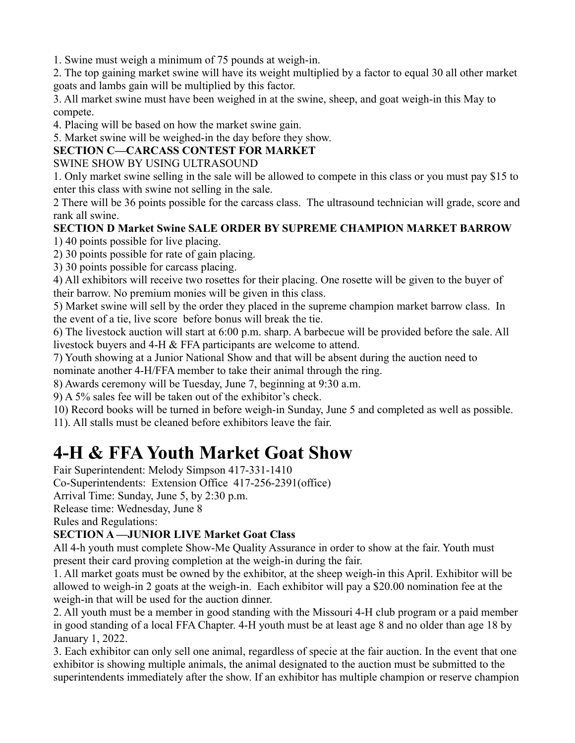1. Swine must weigh a minimum of 75 pounds at weigh-in.

2. The top gaining market swine will have its weight multiplied by a factor to equal 30 all other market goats and lambs gain will be multiplied by this factor.

3. All market swine must have been weighed in at the swine, sheep, and goat weigh-in this May to compete.

4. Placing will be based on how the market swine gain.

5. Market swine will be weighed-in the day before they show.

### **SECTION C—CARCASS CONTEST FOR MARKET**

SWINE SHOW BY USING ULTRASOUND

1. Only market swine selling in the sale will be allowed to compete in this class or you must pay \$15 to enter this class with swine not selling in the sale.

2 There will be 36 points possible for the carcass class. The ultrasound technician will grade, score and rank all swine.

### **SECTION D Market Swine SALE ORDER BY SUPREME CHAMPION MARKET BARROW**

1) 40 points possible for live placing.

2) 30 points possible for rate of gain placing.

3) 30 points possible for carcass placing.

4) All exhibitors will receive two rosettes for their placing. One rosette will be given to the buyer of their barrow. No premium monies will be given in this class.

5) Market swine will sell by the order they placed in the supreme champion market barrow class. In the event of a tie, live score before bonus will break the tie.

6) The livestock auction will start at 6:00 p.m. sharp. A barbecue will be provided before the sale. All livestock buyers and 4-H & FFA participants are welcome to attend.

7) Youth showing at a Junior National Show and that will be absent during the auction need to

nominate another 4-H/FFA member to take their animal through the ring.

8) Awards ceremony will be Tuesday, June 7, beginning at 9:30 a.m.

9) A 5% sales fee will be taken out of the exhibitor's check.

10) Record books will be turned in before weigh-in Sunday, June 5 and completed as well as possible.

11). All stalls must be cleaned before exhibitors leave the fair.

# **4-H & FFA Youth Market Goat Show**

Fair Superintendent: Melody Simpson 417-331-1410

Co-Superintendents: Extension Office 417-256-2391(office)

Arrival Time: Sunday, June 5, by 2:30 p.m.

Release time: Wednesday, June 8

Rules and Regulations:

### **SECTION A —JUNIOR LIVE Market Goat Class**

All 4-h youth must complete Show-Me Quality Assurance in order to show at the fair. Youth must present their card proving completion at the weigh-in during the fair.

1. All market goats must be owned by the exhibitor, at the sheep weigh-in this April. Exhibitor will be allowed to weigh-in 2 goats at the weigh-in. Each exhibitor will pay a \$20.00 nomination fee at the weigh-in that will be used for the auction dinner.

2. All youth must be a member in good standing with the Missouri 4-H club program or a paid member in good standing of a local FFA Chapter. 4-H youth must be at least age 8 and no older than age 18 by January 1, 2022.

3. Each exhibitor can only sell one animal, regardless of specie at the fair auction. In the event that one exhibitor is showing multiple animals, the animal designated to the auction must be submitted to the superintendents immediately after the show. If an exhibitor has multiple champion or reserve champion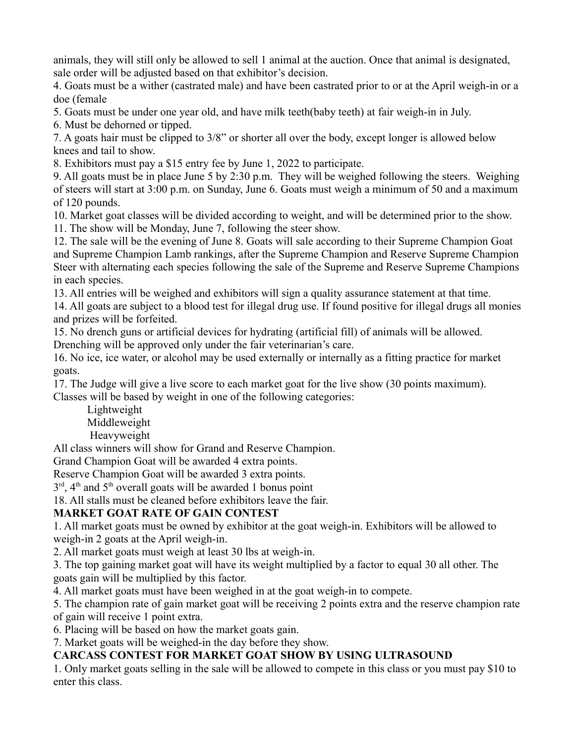animals, they will still only be allowed to sell 1 animal at the auction. Once that animal is designated, sale order will be adjusted based on that exhibitor's decision.

4. Goats must be a wither (castrated male) and have been castrated prior to or at the April weigh-in or a doe (female

5. Goats must be under one year old, and have milk teeth(baby teeth) at fair weigh-in in July.

6. Must be dehorned or tipped.

7. A goats hair must be clipped to 3/8" or shorter all over the body, except longer is allowed below knees and tail to show.

8. Exhibitors must pay a \$15 entry fee by June 1, 2022 to participate.

9. All goats must be in place June 5 by 2:30 p.m. They will be weighed following the steers. Weighing of steers will start at 3:00 p.m. on Sunday, June 6. Goats must weigh a minimum of 50 and a maximum of 120 pounds.

10. Market goat classes will be divided according to weight, and will be determined prior to the show. 11. The show will be Monday, June 7, following the steer show.

12. The sale will be the evening of June 8. Goats will sale according to their Supreme Champion Goat and Supreme Champion Lamb rankings, after the Supreme Champion and Reserve Supreme Champion Steer with alternating each species following the sale of the Supreme and Reserve Supreme Champions in each species.

13. All entries will be weighed and exhibitors will sign a quality assurance statement at that time.

14. All goats are subject to a blood test for illegal drug use. If found positive for illegal drugs all monies and prizes will be forfeited.

15. No drench guns or artificial devices for hydrating (artificial fill) of animals will be allowed.

Drenching will be approved only under the fair veterinarian's care.

16. No ice, ice water, or alcohol may be used externally or internally as a fitting practice for market goats.

17. The Judge will give a live score to each market goat for the live show (30 points maximum). Classes will be based by weight in one of the following categories:

Lightweight Middleweight Heavyweight

All class winners will show for Grand and Reserve Champion.

Grand Champion Goat will be awarded 4 extra points.

Reserve Champion Goat will be awarded 3 extra points.

 $3<sup>rd</sup>$ , 4<sup>th</sup> and 5<sup>th</sup> overall goats will be awarded 1 bonus point

18. All stalls must be cleaned before exhibitors leave the fair.

### **MARKET GOAT RATE OF GAIN CONTEST**

1. All market goats must be owned by exhibitor at the goat weigh-in. Exhibitors will be allowed to weigh-in 2 goats at the April weigh-in.

2. All market goats must weigh at least 30 lbs at weigh-in.

3. The top gaining market goat will have its weight multiplied by a factor to equal 30 all other. The goats gain will be multiplied by this factor.

4. All market goats must have been weighed in at the goat weigh-in to compete.

5. The champion rate of gain market goat will be receiving 2 points extra and the reserve champion rate

of gain will receive 1 point extra.

6. Placing will be based on how the market goats gain.

7. Market goats will be weighed-in the day before they show.

### **CARCASS CONTEST FOR MARKET GOAT SHOW BY USING ULTRASOUND**

1. Only market goats selling in the sale will be allowed to compete in this class or you must pay \$10 to enter this class.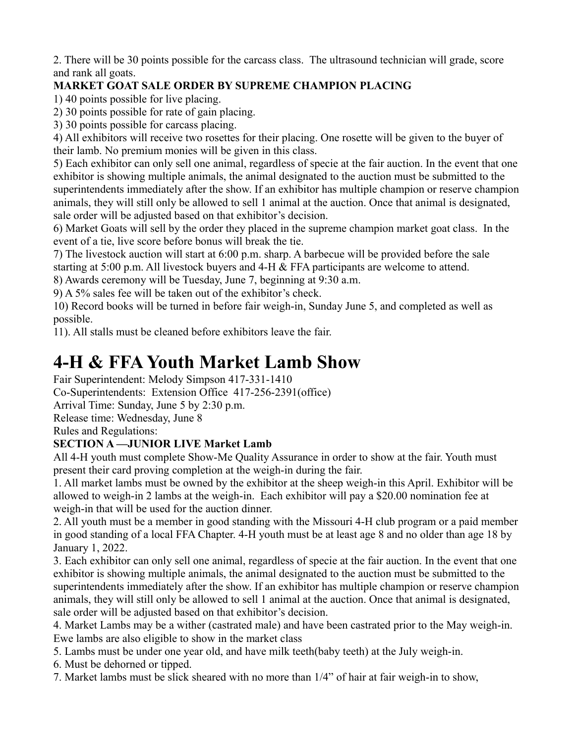2. There will be 30 points possible for the carcass class. The ultrasound technician will grade, score and rank all goats.

### **MARKET GOAT SALE ORDER BY SUPREME CHAMPION PLACING**

1) 40 points possible for live placing.

2) 30 points possible for rate of gain placing.

3) 30 points possible for carcass placing.

4) All exhibitors will receive two rosettes for their placing. One rosette will be given to the buyer of their lamb. No premium monies will be given in this class.

5) Each exhibitor can only sell one animal, regardless of specie at the fair auction. In the event that one exhibitor is showing multiple animals, the animal designated to the auction must be submitted to the superintendents immediately after the show. If an exhibitor has multiple champion or reserve champion animals, they will still only be allowed to sell 1 animal at the auction. Once that animal is designated, sale order will be adjusted based on that exhibitor's decision.

6) Market Goats will sell by the order they placed in the supreme champion market goat class. In the event of a tie, live score before bonus will break the tie.

7) The livestock auction will start at 6:00 p.m. sharp. A barbecue will be provided before the sale starting at 5:00 p.m. All livestock buyers and 4-H & FFA participants are welcome to attend.

8) Awards ceremony will be Tuesday, June 7, beginning at 9:30 a.m.

9) A 5% sales fee will be taken out of the exhibitor's check.

10) Record books will be turned in before fair weigh-in, Sunday June 5, and completed as well as possible.

11). All stalls must be cleaned before exhibitors leave the fair.

### **4-H & FFA Youth Market Lamb Show**

Fair Superintendent: Melody Simpson 417-331-1410

Co-Superintendents: Extension Office 417-256-2391(office)

Arrival Time: Sunday, June 5 by 2:30 p.m.

Release time: Wednesday, June 8

Rules and Regulations:

### **SECTION A —JUNIOR LIVE Market Lamb**

All 4-H youth must complete Show-Me Quality Assurance in order to show at the fair. Youth must present their card proving completion at the weigh-in during the fair.

1. All market lambs must be owned by the exhibitor at the sheep weigh-in this April. Exhibitor will be allowed to weigh-in 2 lambs at the weigh-in. Each exhibitor will pay a \$20.00 nomination fee at weigh-in that will be used for the auction dinner.

2. All youth must be a member in good standing with the Missouri 4-H club program or a paid member in good standing of a local FFA Chapter. 4-H youth must be at least age 8 and no older than age 18 by January 1, 2022.

3. Each exhibitor can only sell one animal, regardless of specie at the fair auction. In the event that one exhibitor is showing multiple animals, the animal designated to the auction must be submitted to the superintendents immediately after the show. If an exhibitor has multiple champion or reserve champion animals, they will still only be allowed to sell 1 animal at the auction. Once that animal is designated, sale order will be adjusted based on that exhibitor's decision.

4. Market Lambs may be a wither (castrated male) and have been castrated prior to the May weigh-in. Ewe lambs are also eligible to show in the market class

5. Lambs must be under one year old, and have milk teeth(baby teeth) at the July weigh-in.

6. Must be dehorned or tipped.

7. Market lambs must be slick sheared with no more than 1/4" of hair at fair weigh-in to show,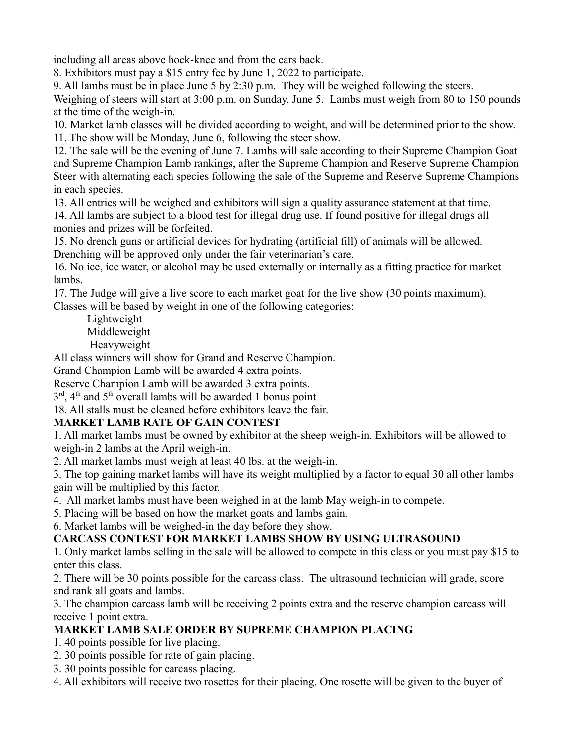including all areas above hock-knee and from the ears back.

8. Exhibitors must pay a \$15 entry fee by June 1, 2022 to participate.

9. All lambs must be in place June 5 by 2:30 p.m. They will be weighed following the steers.

Weighing of steers will start at 3:00 p.m. on Sunday, June 5. Lambs must weigh from 80 to 150 pounds at the time of the weigh-in.

10. Market lamb classes will be divided according to weight, and will be determined prior to the show. 11. The show will be Monday, June 6, following the steer show.

12. The sale will be the evening of June 7. Lambs will sale according to their Supreme Champion Goat and Supreme Champion Lamb rankings, after the Supreme Champion and Reserve Supreme Champion Steer with alternating each species following the sale of the Supreme and Reserve Supreme Champions in each species.

13. All entries will be weighed and exhibitors will sign a quality assurance statement at that time.

14. All lambs are subject to a blood test for illegal drug use. If found positive for illegal drugs all monies and prizes will be forfeited.

15. No drench guns or artificial devices for hydrating (artificial fill) of animals will be allowed. Drenching will be approved only under the fair veterinarian's care.

16. No ice, ice water, or alcohol may be used externally or internally as a fitting practice for market lambs.

17. The Judge will give a live score to each market goat for the live show (30 points maximum). Classes will be based by weight in one of the following categories:

Lightweight Middleweight Heavyweight

All class winners will show for Grand and Reserve Champion.

Grand Champion Lamb will be awarded 4 extra points.

Reserve Champion Lamb will be awarded 3 extra points.

 $3<sup>rd</sup>$ , 4<sup>th</sup> and 5<sup>th</sup> overall lambs will be awarded 1 bonus point

18. All stalls must be cleaned before exhibitors leave the fair.

### **MARKET LAMB RATE OF GAIN CONTEST**

1. All market lambs must be owned by exhibitor at the sheep weigh-in. Exhibitors will be allowed to weigh-in 2 lambs at the April weigh-in.

2. All market lambs must weigh at least 40 lbs. at the weigh-in.

3. The top gaining market lambs will have its weight multiplied by a factor to equal 30 all other lambs gain will be multiplied by this factor.

4. All market lambs must have been weighed in at the lamb May weigh-in to compete.

5. Placing will be based on how the market goats and lambs gain.

6. Market lambs will be weighed-in the day before they show.

### **CARCASS CONTEST FOR MARKET LAMBS SHOW BY USING ULTRASOUND**

1. Only market lambs selling in the sale will be allowed to compete in this class or you must pay \$15 to enter this class.

2. There will be 30 points possible for the carcass class. The ultrasound technician will grade, score and rank all goats and lambs.

3. The champion carcass lamb will be receiving 2 points extra and the reserve champion carcass will receive 1 point extra.

### **MARKET LAMB SALE ORDER BY SUPREME CHAMPION PLACING**

1. 40 points possible for live placing.

- 2. 30 points possible for rate of gain placing.
- 3. 30 points possible for carcass placing.

4. All exhibitors will receive two rosettes for their placing. One rosette will be given to the buyer of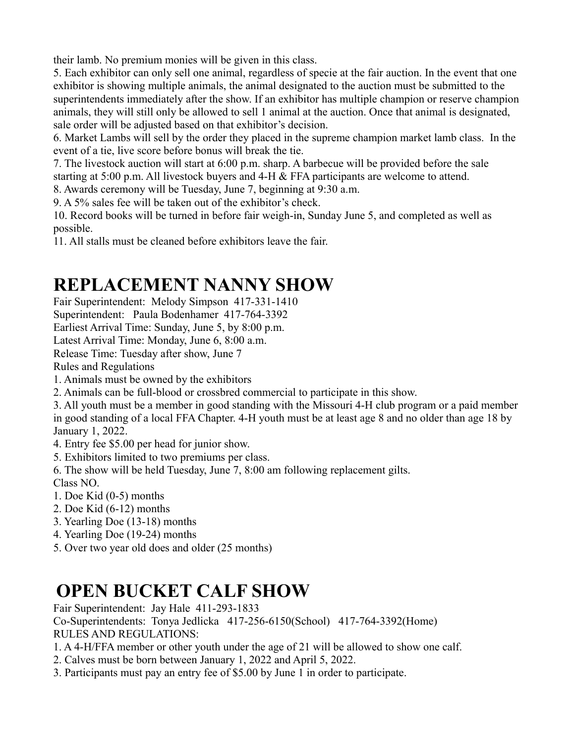their lamb. No premium monies will be given in this class.

5. Each exhibitor can only sell one animal, regardless of specie at the fair auction. In the event that one exhibitor is showing multiple animals, the animal designated to the auction must be submitted to the superintendents immediately after the show. If an exhibitor has multiple champion or reserve champion animals, they will still only be allowed to sell 1 animal at the auction. Once that animal is designated, sale order will be adjusted based on that exhibitor's decision.

6. Market Lambs will sell by the order they placed in the supreme champion market lamb class. In the event of a tie, live score before bonus will break the tie.

7. The livestock auction will start at 6:00 p.m. sharp. A barbecue will be provided before the sale starting at 5:00 p.m. All livestock buyers and 4-H & FFA participants are welcome to attend.

8. Awards ceremony will be Tuesday, June 7, beginning at 9:30 a.m.

9. A 5% sales fee will be taken out of the exhibitor's check.

10. Record books will be turned in before fair weigh-in, Sunday June 5, and completed as well as possible.

11. All stalls must be cleaned before exhibitors leave the fair.

# **REPLACEMENT NANNY SHOW**

Fair Superintendent: Melody Simpson 417-331-1410

Superintendent: Paula Bodenhamer 417-764-3392

Earliest Arrival Time: Sunday, June 5, by 8:00 p.m.

Latest Arrival Time: Monday, June 6, 8:00 a.m.

Release Time: Tuesday after show, June 7

Rules and Regulations

1. Animals must be owned by the exhibitors

2. Animals can be full-blood or crossbred commercial to participate in this show.

3. All youth must be a member in good standing with the Missouri 4-H club program or a paid member in good standing of a local FFA Chapter. 4-H youth must be at least age 8 and no older than age 18 by January 1, 2022.

4. Entry fee \$5.00 per head for junior show.

5. Exhibitors limited to two premiums per class.

6. The show will be held Tuesday, June 7, 8:00 am following replacement gilts.

Class NO.

- 1. Doe Kid (0-5) months
- 2. Doe Kid (6-12) months
- 3. Yearling Doe (13-18) months
- 4. Yearling Doe (19-24) months
- 5. Over two year old does and older (25 months)

# **OPEN BUCKET CALF SHOW**

Fair Superintendent: Jay Hale 411-293-1833

Co-Superintendents: Tonya Jedlicka 417-256-6150(School) 417-764-3392(Home) RULES AND REGULATIONS:

1. A 4-H/FFA member or other youth under the age of 21 will be allowed to show one calf.

- 2. Calves must be born between January 1, 2022 and April 5, 2022.
- 3. Participants must pay an entry fee of \$5.00 by June 1 in order to participate.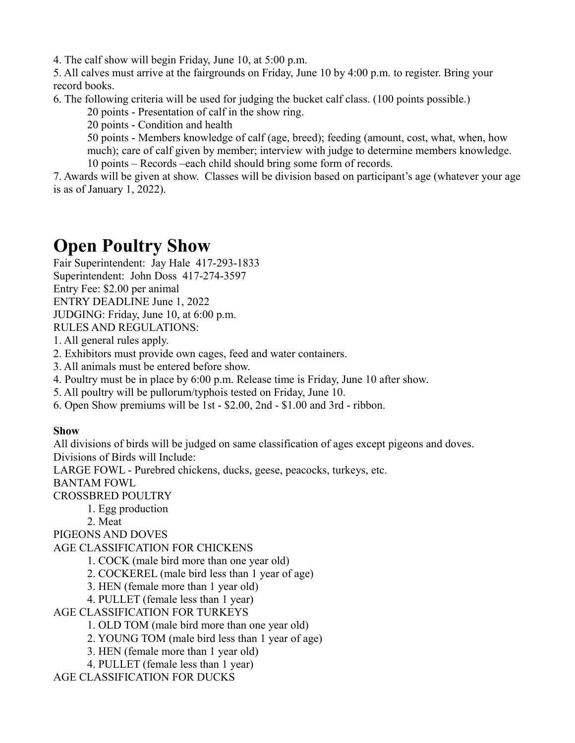4. The calf show will begin Friday, June 10, at 5:00 p.m.

5. All calves must arrive at the fairgrounds on Friday, June 10 by 4:00 p.m. to register. Bring your record books.

6. The following criteria will be used for judging the bucket calf class. (100 points possible.)

20 points - Presentation of calf in the show ring.

20 points - Condition and health

50 points - Members knowledge of calf (age, breed); feeding (amount, cost, what, when, how much); care of calf given by member; interview with judge to determine members knowledge.

10 points – Records –each child should bring some form of records.

7. Awards will be given at show. Classes will be division based on participant's age (whatever your age is as of January 1, 2022).

# **Open Poultry Show**

Fair Superintendent: Jay Hale 417-293-1833

Superintendent: John Doss 417-274-3597

Entry Fee: \$2.00 per animal

ENTRY DEADLINE June 1, 2022

JUDGING: Friday, June 10, at 6:00 p.m.

RULES AND REGULATIONS:

1. All general rules apply.

2. Exhibitors must provide own cages, feed and water containers.

3. All animals must be entered before show.

4. Poultry must be in place by 6:00 p.m. Release time is Friday, June 10 after show.

5. All poultry will be pullorum/typhois tested on Friday, June 10.

6. Open Show premiums will be 1st - \$2.00, 2nd - \$1.00 and 3rd - ribbon.

### **Show**

All divisions of birds will be judged on same classification of ages except pigeons and doves. Divisions of Birds will Include:

LARGE FOWL - Purebred chickens, ducks, geese, peacocks, turkeys, etc.

BANTAM FOWL

CROSSBRED POULTRY

1. Egg production

2. Meat

PIGEONS AND DOVES

AGE CLASSIFICATION FOR CHICKENS

1. COCK (male bird more than one year old)

2. COCKEREL (male bird less than 1 year of age)

3. HEN (female more than 1 year old)

4. PULLET (female less than 1 year)

AGE CLASSIFICATION FOR TURKEYS

1. OLD TOM (male bird more than one year old)

2. YOUNG TOM (male bird less than 1 year of age)

3. HEN (female more than 1 year old)

4. PULLET (female less than 1 year)

AGE CLASSIFICATION FOR DUCKS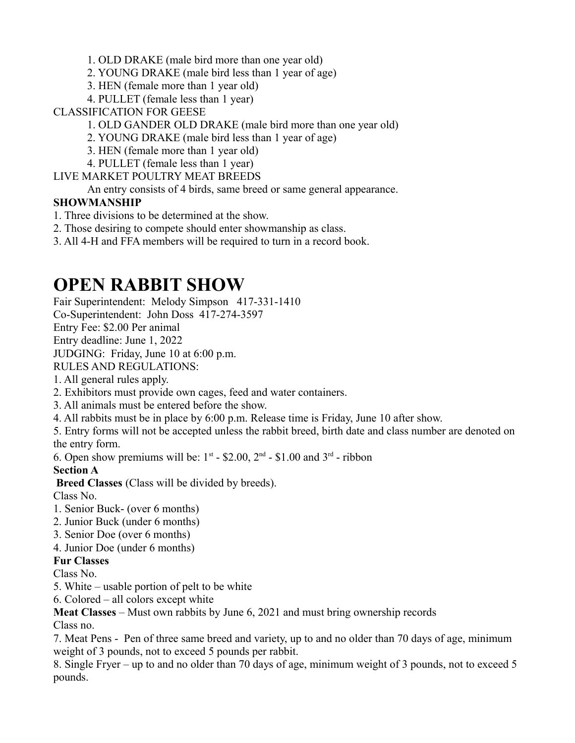1. OLD DRAKE (male bird more than one year old)

- 2. YOUNG DRAKE (male bird less than 1 year of age)
- 3. HEN (female more than 1 year old)
- 4. PULLET (female less than 1 year)

CLASSIFICATION FOR GEESE

- 1. OLD GANDER OLD DRAKE (male bird more than one year old)
- 2. YOUNG DRAKE (male bird less than 1 year of age)
- 3. HEN (female more than 1 year old)
- 4. PULLET (female less than 1 year)

LIVE MARKET POULTRY MEAT BREEDS

An entry consists of 4 birds, same breed or same general appearance.

### **SHOWMANSHIP**

- 1. Three divisions to be determined at the show.
- 2. Those desiring to compete should enter showmanship as class.

3. All 4-H and FFA members will be required to turn in a record book.

## **OPEN RABBIT SHOW**

Fair Superintendent: Melody Simpson 417-331-1410

Co-Superintendent: John Doss 417-274-3597

Entry Fee: \$2.00 Per animal

Entry deadline: June 1, 2022

JUDGING: Friday, June 10 at 6:00 p.m.

RULES AND REGULATIONS:

1. All general rules apply.

- 2. Exhibitors must provide own cages, feed and water containers.
- 3. All animals must be entered before the show.
- 4. All rabbits must be in place by 6:00 p.m. Release time is Friday, June 10 after show.

5. Entry forms will not be accepted unless the rabbit breed, birth date and class number are denoted on the entry form.

6. Open show premiums will be:  $1^{st}$  - \$2.00,  $2^{nd}$  - \$1.00 and  $3^{rd}$  - ribbon

**Section A** 

**Breed Classes** (Class will be divided by breeds).

Class No.

- 1. Senior Buck- (over 6 months)
- 2. Junior Buck (under 6 months)
- 3. Senior Doe (over 6 months)
- 4. Junior Doe (under 6 months)

### **Fur Classes**

Class No.

- 5. White usable portion of pelt to be white
- 6. Colored all colors except white

**Meat Classes** – Must own rabbits by June 6, 2021 and must bring ownership records

Class no.

7. Meat Pens - Pen of three same breed and variety, up to and no older than 70 days of age, minimum weight of 3 pounds, not to exceed 5 pounds per rabbit.

8. Single Fryer – up to and no older than 70 days of age, minimum weight of 3 pounds, not to exceed 5 pounds.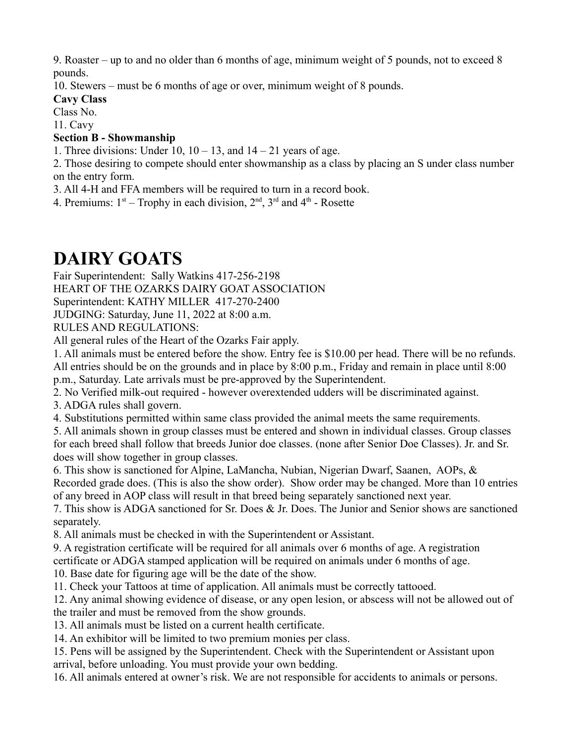9. Roaster – up to and no older than 6 months of age, minimum weight of 5 pounds, not to exceed 8 pounds.

10. Stewers – must be 6 months of age or over, minimum weight of 8 pounds.

### **Cavy Class**

Class No.

11. Cavy

### **Section B - Showmanship**

1. Three divisions: Under 10,  $10 - 13$ , and  $14 - 21$  years of age.

2. Those desiring to compete should enter showmanship as a class by placing an S under class number on the entry form.

3. All 4-H and FFA members will be required to turn in a record book.

4. Premiums:  $1<sup>st</sup> - Trophy$  in each division,  $2<sup>nd</sup>$ ,  $3<sup>rd</sup>$  and  $4<sup>th</sup>$  - Rosette

# **DAIRY GOATS**

Fair Superintendent: Sally Watkins 417-256-2198

HEART OF THE OZARKS DAIRY GOAT ASSOCIATION

Superintendent: KATHY MILLER 417-270-2400

JUDGING: Saturday, June 11, 2022 at 8:00 a.m.

RULES AND REGULATIONS:

All general rules of the Heart of the Ozarks Fair apply.

1. All animals must be entered before the show. Entry fee is \$10.00 per head. There will be no refunds. All entries should be on the grounds and in place by 8:00 p.m., Friday and remain in place until 8:00 p.m., Saturday. Late arrivals must be pre-approved by the Superintendent.

2. No Verified milk-out required - however overextended udders will be discriminated against.

3. ADGA rules shall govern.

4. Substitutions permitted within same class provided the animal meets the same requirements.

5. All animals shown in group classes must be entered and shown in individual classes. Group classes for each breed shall follow that breeds Junior doe classes. (none after Senior Doe Classes). Jr. and Sr. does will show together in group classes.

6. This show is sanctioned for Alpine, LaMancha, Nubian, Nigerian Dwarf, Saanen, AOPs, & Recorded grade does. (This is also the show order). Show order may be changed. More than 10 entries of any breed in AOP class will result in that breed being separately sanctioned next year.

7. This show is ADGA sanctioned for Sr. Does & Jr. Does. The Junior and Senior shows are sanctioned separately.

8. All animals must be checked in with the Superintendent or Assistant.

9. A registration certificate will be required for all animals over 6 months of age. A registration

certificate or ADGA stamped application will be required on animals under 6 months of age.

10. Base date for figuring age will be the date of the show.

11. Check your Tattoos at time of application. All animals must be correctly tattooed.

12. Any animal showing evidence of disease, or any open lesion, or abscess will not be allowed out of the trailer and must be removed from the show grounds.

13. All animals must be listed on a current health certificate.

14. An exhibitor will be limited to two premium monies per class.

15. Pens will be assigned by the Superintendent. Check with the Superintendent or Assistant upon arrival, before unloading. You must provide your own bedding.

16. All animals entered at owner's risk. We are not responsible for accidents to animals or persons.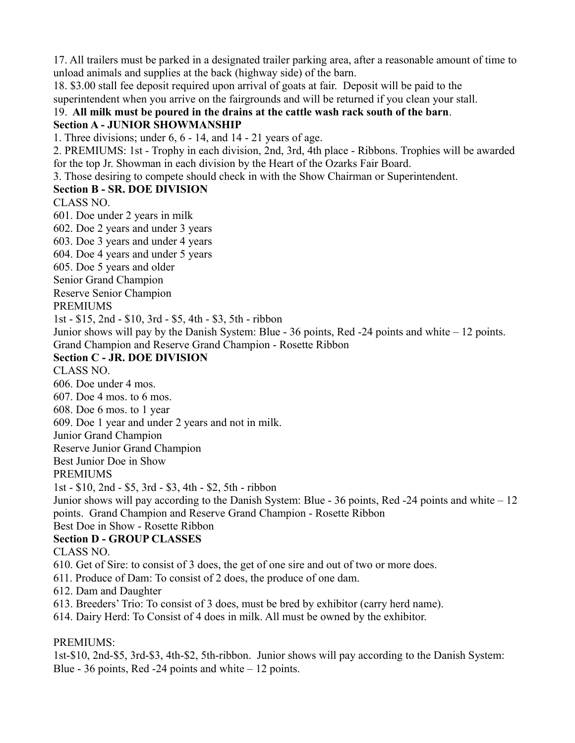17. All trailers must be parked in a designated trailer parking area, after a reasonable amount of time to unload animals and supplies at the back (highway side) of the barn.

18. \$3.00 stall fee deposit required upon arrival of goats at fair. Deposit will be paid to the superintendent when you arrive on the fairgrounds and will be returned if you clean your stall.

### 19. **All milk must be poured in the drains at the cattle wash rack south of the barn**.

### **Section A - JUNIOR SHOWMANSHIP**

1. Three divisions; under 6, 6 - 14, and 14 - 21 years of age.

2. PREMIUMS: 1st - Trophy in each division, 2nd, 3rd, 4th place - Ribbons. Trophies will be awarded for the top Jr. Showman in each division by the Heart of the Ozarks Fair Board.

3. Those desiring to compete should check in with the Show Chairman or Superintendent.

### **Section B - SR. DOE DIVISION**

CLASS NO.

601. Doe under 2 years in milk 602. Doe 2 years and under 3 years 603. Doe 3 years and under 4 years 604. Doe 4 years and under 5 years

605. Doe 5 years and older

Senior Grand Champion

Reserve Senior Champion

PREMIUMS

1st - \$15, 2nd - \$10, 3rd - \$5, 4th - \$3, 5th - ribbon

Junior shows will pay by the Danish System: Blue - 36 points, Red -24 points and white – 12 points. Grand Champion and Reserve Grand Champion - Rosette Ribbon

### **Section C - JR. DOE DIVISION**

CLASS NO.

606. Doe under 4 mos.

607. Doe 4 mos. to 6 mos.

608. Doe 6 mos. to 1 year

609. Doe 1 year and under 2 years and not in milk.

Junior Grand Champion

Reserve Junior Grand Champion

Best Junior Doe in Show

### PREMIUMS

1st - \$10, 2nd - \$5, 3rd - \$3, 4th - \$2, 5th - ribbon

Junior shows will pay according to the Danish System: Blue - 36 points, Red -24 points and white – 12 points. Grand Champion and Reserve Grand Champion - Rosette Ribbon

#### Best Doe in Show - Rosette Ribbon **Section D - GROUP CLASSES**

CLASS NO.

610. Get of Sire: to consist of 3 does, the get of one sire and out of two or more does.

611. Produce of Dam: To consist of 2 does, the produce of one dam.

612. Dam and Daughter

613. Breeders' Trio: To consist of 3 does, must be bred by exhibitor (carry herd name).

614. Dairy Herd: To Consist of 4 does in milk. All must be owned by the exhibitor.

### PREMIUMS:

1st-\$10, 2nd-\$5, 3rd-\$3, 4th-\$2, 5th-ribbon. Junior shows will pay according to the Danish System: Blue - 36 points, Red -  $24$  points and white  $-12$  points.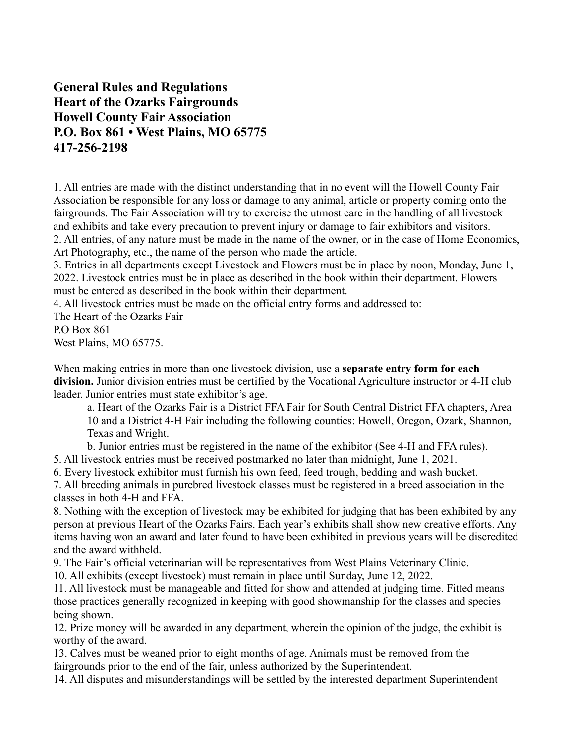### **General Rules and Regulations Heart of the Ozarks Fairgrounds Howell County Fair Association P.O. Box 861 • West Plains, MO 65775 417-256-2198**

1. All entries are made with the distinct understanding that in no event will the Howell County Fair Association be responsible for any loss or damage to any animal, article or property coming onto the fairgrounds. The Fair Association will try to exercise the utmost care in the handling of all livestock and exhibits and take every precaution to prevent injury or damage to fair exhibitors and visitors. 2. All entries, of any nature must be made in the name of the owner, or in the case of Home Economics, Art Photography, etc., the name of the person who made the article.

3. Entries in all departments except Livestock and Flowers must be in place by noon, Monday, June 1, 2022. Livestock entries must be in place as described in the book within their department. Flowers must be entered as described in the book within their department.

4. All livestock entries must be made on the official entry forms and addressed to:

The Heart of the Ozarks Fair

P.O Box 861 West Plains, MO 65775.

When making entries in more than one livestock division, use a **separate entry form for each division.** Junior division entries must be certified by the Vocational Agriculture instructor or 4-H club leader. Junior entries must state exhibitor's age.

a. Heart of the Ozarks Fair is a District FFA Fair for South Central District FFA chapters, Area 10 and a District 4-H Fair including the following counties: Howell, Oregon, Ozark, Shannon, Texas and Wright.

b. Junior entries must be registered in the name of the exhibitor (See 4-H and FFA rules).

5. All livestock entries must be received postmarked no later than midnight, June 1, 2021.

6. Every livestock exhibitor must furnish his own feed, feed trough, bedding and wash bucket.

7. All breeding animals in purebred livestock classes must be registered in a breed association in the classes in both 4-H and FFA.

8. Nothing with the exception of livestock may be exhibited for judging that has been exhibited by any person at previous Heart of the Ozarks Fairs. Each year's exhibits shall show new creative efforts. Any items having won an award and later found to have been exhibited in previous years will be discredited and the award withheld.

9. The Fair's official veterinarian will be representatives from West Plains Veterinary Clinic.

10. All exhibits (except livestock) must remain in place until Sunday, June 12, 2022.

11. All livestock must be manageable and fitted for show and attended at judging time. Fitted means those practices generally recognized in keeping with good showmanship for the classes and species being shown.

12. Prize money will be awarded in any department, wherein the opinion of the judge, the exhibit is worthy of the award.

13. Calves must be weaned prior to eight months of age. Animals must be removed from the fairgrounds prior to the end of the fair, unless authorized by the Superintendent.

14. All disputes and misunderstandings will be settled by the interested department Superintendent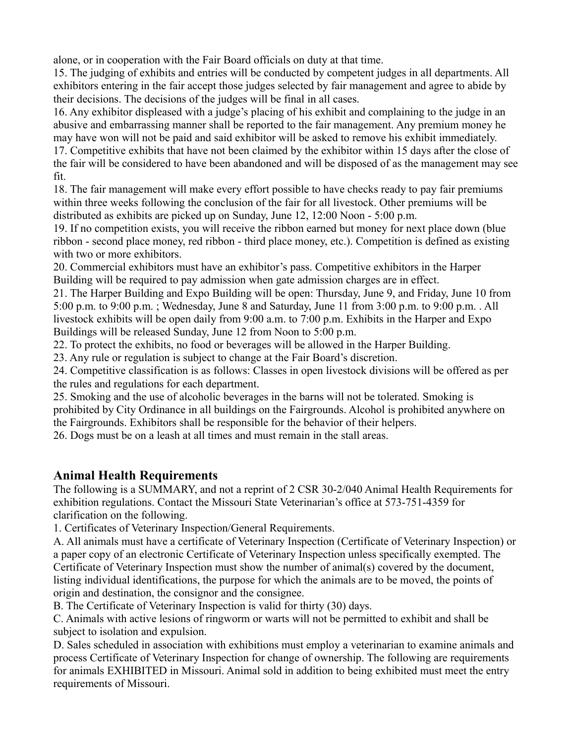alone, or in cooperation with the Fair Board officials on duty at that time.

15. The judging of exhibits and entries will be conducted by competent judges in all departments. All exhibitors entering in the fair accept those judges selected by fair management and agree to abide by their decisions. The decisions of the judges will be final in all cases.

16. Any exhibitor displeased with a judge's placing of his exhibit and complaining to the judge in an abusive and embarrassing manner shall be reported to the fair management. Any premium money he may have won will not be paid and said exhibitor will be asked to remove his exhibit immediately. 17. Competitive exhibits that have not been claimed by the exhibitor within 15 days after the close of the fair will be considered to have been abandoned and will be disposed of as the management may see fit.

18. The fair management will make every effort possible to have checks ready to pay fair premiums within three weeks following the conclusion of the fair for all livestock. Other premiums will be distributed as exhibits are picked up on Sunday, June 12, 12:00 Noon - 5:00 p.m.

19. If no competition exists, you will receive the ribbon earned but money for next place down (blue ribbon - second place money, red ribbon - third place money, etc.). Competition is defined as existing with two or more exhibitors.

20. Commercial exhibitors must have an exhibitor's pass. Competitive exhibitors in the Harper Building will be required to pay admission when gate admission charges are in effect.

21. The Harper Building and Expo Building will be open: Thursday, June 9, and Friday, June 10 from 5:00 p.m. to 9:00 p.m. ; Wednesday, June 8 and Saturday, June 11 from 3:00 p.m. to 9:00 p.m. . All livestock exhibits will be open daily from 9:00 a.m. to 7:00 p.m. Exhibits in the Harper and Expo Buildings will be released Sunday, June 12 from Noon to 5:00 p.m.

22. To protect the exhibits, no food or beverages will be allowed in the Harper Building.

23. Any rule or regulation is subject to change at the Fair Board's discretion.

24. Competitive classification is as follows: Classes in open livestock divisions will be offered as per the rules and regulations for each department.

25. Smoking and the use of alcoholic beverages in the barns will not be tolerated. Smoking is prohibited by City Ordinance in all buildings on the Fairgrounds. Alcohol is prohibited anywhere on the Fairgrounds. Exhibitors shall be responsible for the behavior of their helpers.

26. Dogs must be on a leash at all times and must remain in the stall areas.

### **Animal Health Requirements**

The following is a SUMMARY, and not a reprint of 2 CSR 30-2/040 Animal Health Requirements for exhibition regulations. Contact the Missouri State Veterinarian's office at 573-751-4359 for clarification on the following.

1. Certificates of Veterinary Inspection/General Requirements.

A. All animals must have a certificate of Veterinary Inspection (Certificate of Veterinary Inspection) or a paper copy of an electronic Certificate of Veterinary Inspection unless specifically exempted. The Certificate of Veterinary Inspection must show the number of animal(s) covered by the document, listing individual identifications, the purpose for which the animals are to be moved, the points of origin and destination, the consignor and the consignee.

B. The Certificate of Veterinary Inspection is valid for thirty (30) days.

C. Animals with active lesions of ringworm or warts will not be permitted to exhibit and shall be subject to isolation and expulsion.

D. Sales scheduled in association with exhibitions must employ a veterinarian to examine animals and process Certificate of Veterinary Inspection for change of ownership. The following are requirements for animals EXHIBITED in Missouri. Animal sold in addition to being exhibited must meet the entry requirements of Missouri.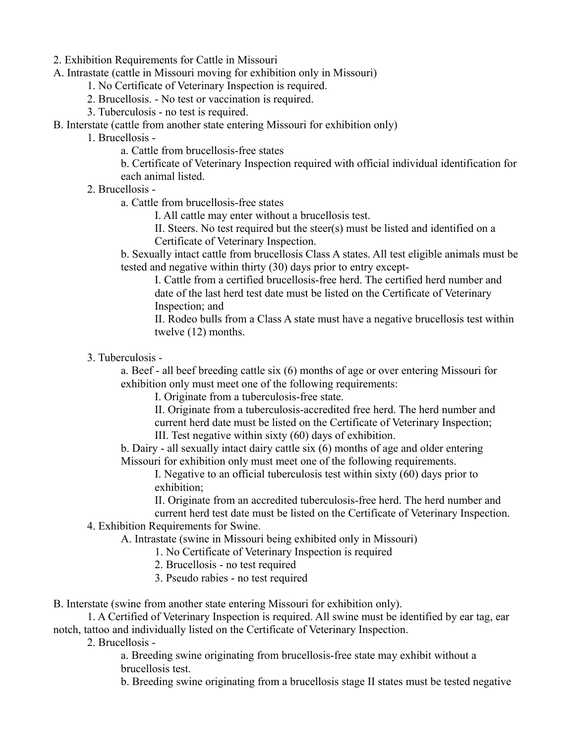- 2. Exhibition Requirements for Cattle in Missouri
- A. Intrastate (cattle in Missouri moving for exhibition only in Missouri)
	- 1. No Certificate of Veterinary Inspection is required.
	- 2. Brucellosis. No test or vaccination is required.
	- 3. Tuberculosis no test is required.
- B. Interstate (cattle from another state entering Missouri for exhibition only)
	- 1. Brucellosis
		- a. Cattle from brucellosis-free states

b. Certificate of Veterinary Inspection required with official individual identification for each animal listed.

- 2. Brucellosis
	- a. Cattle from brucellosis-free states

I. All cattle may enter without a brucellosis test.

II. Steers. No test required but the steer(s) must be listed and identified on a Certificate of Veterinary Inspection.

b. Sexually intact cattle from brucellosis Class A states. All test eligible animals must be tested and negative within thirty (30) days prior to entry except-

I. Cattle from a certified brucellosis-free herd. The certified herd number and date of the last herd test date must be listed on the Certificate of Veterinary Inspection; and

II. Rodeo bulls from a Class A state must have a negative brucellosis test within twelve (12) months.

3. Tuberculosis -

a. Beef - all beef breeding cattle six (6) months of age or over entering Missouri for exhibition only must meet one of the following requirements:

I. Originate from a tuberculosis-free state.

II. Originate from a tuberculosis-accredited free herd. The herd number and current herd date must be listed on the Certificate of Veterinary Inspection; III. Test negative within sixty (60) days of exhibition.

b. Dairy - all sexually intact dairy cattle six (6) months of age and older entering Missouri for exhibition only must meet one of the following requirements.

I. Negative to an official tuberculosis test within sixty (60) days prior to exhibition;

II. Originate from an accredited tuberculosis-free herd. The herd number and

current herd test date must be listed on the Certificate of Veterinary Inspection. 4. Exhibition Requirements for Swine.

A. Intrastate (swine in Missouri being exhibited only in Missouri)

1. No Certificate of Veterinary Inspection is required

2. Brucellosis - no test required

3. Pseudo rabies - no test required

B. Interstate (swine from another state entering Missouri for exhibition only).

1. A Certified of Veterinary Inspection is required. All swine must be identified by ear tag, ear notch, tattoo and individually listed on the Certificate of Veterinary Inspection.

2. Brucellosis -

a. Breeding swine originating from brucellosis-free state may exhibit without a brucellosis test.

b. Breeding swine originating from a brucellosis stage II states must be tested negative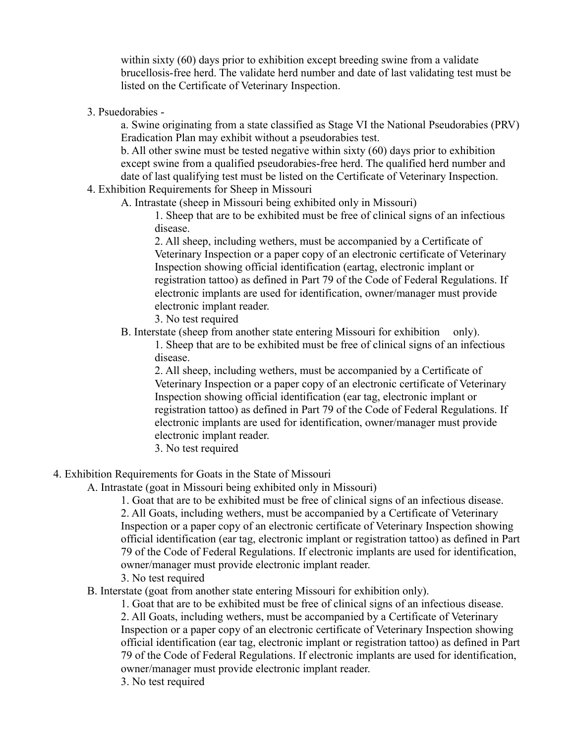within sixty (60) days prior to exhibition except breeding swine from a validate brucellosis-free herd. The validate herd number and date of last validating test must be listed on the Certificate of Veterinary Inspection.

3. Psuedorabies -

a. Swine originating from a state classified as Stage VI the National Pseudorabies (PRV) Eradication Plan may exhibit without a pseudorabies test.

b. All other swine must be tested negative within sixty (60) days prior to exhibition except swine from a qualified pseudorabies-free herd. The qualified herd number and date of last qualifying test must be listed on the Certificate of Veterinary Inspection.

4. Exhibition Requirements for Sheep in Missouri

A. Intrastate (sheep in Missouri being exhibited only in Missouri)

1. Sheep that are to be exhibited must be free of clinical signs of an infectious disease.

2. All sheep, including wethers, must be accompanied by a Certificate of Veterinary Inspection or a paper copy of an electronic certificate of Veterinary Inspection showing official identification (eartag, electronic implant or registration tattoo) as defined in Part 79 of the Code of Federal Regulations. If electronic implants are used for identification, owner/manager must provide electronic implant reader.

- 3. No test required
- B. Interstate (sheep from another state entering Missouri for exhibition only).

1. Sheep that are to be exhibited must be free of clinical signs of an infectious disease.

2. All sheep, including wethers, must be accompanied by a Certificate of Veterinary Inspection or a paper copy of an electronic certificate of Veterinary Inspection showing official identification (ear tag, electronic implant or registration tattoo) as defined in Part 79 of the Code of Federal Regulations. If electronic implants are used for identification, owner/manager must provide electronic implant reader.

3. No test required

4. Exhibition Requirements for Goats in the State of Missouri

A. Intrastate (goat in Missouri being exhibited only in Missouri)

1. Goat that are to be exhibited must be free of clinical signs of an infectious disease. 2. All Goats, including wethers, must be accompanied by a Certificate of Veterinary Inspection or a paper copy of an electronic certificate of Veterinary Inspection showing official identification (ear tag, electronic implant or registration tattoo) as defined in Part 79 of the Code of Federal Regulations. If electronic implants are used for identification, owner/manager must provide electronic implant reader.

- 3. No test required
- B. Interstate (goat from another state entering Missouri for exhibition only).

1. Goat that are to be exhibited must be free of clinical signs of an infectious disease.

2. All Goats, including wethers, must be accompanied by a Certificate of Veterinary Inspection or a paper copy of an electronic certificate of Veterinary Inspection showing official identification (ear tag, electronic implant or registration tattoo) as defined in Part 79 of the Code of Federal Regulations. If electronic implants are used for identification, owner/manager must provide electronic implant reader.

3. No test required